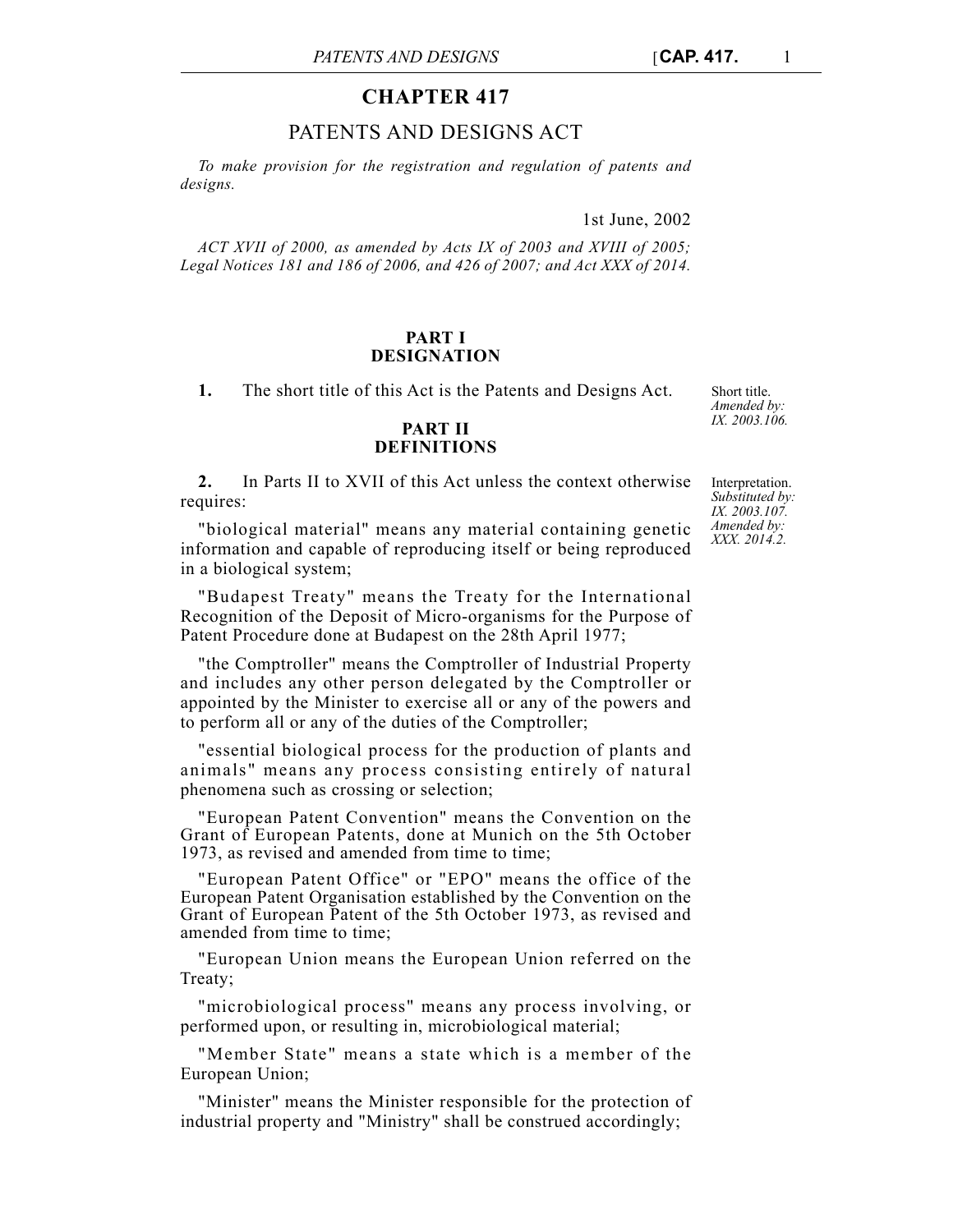# **CHAPTER 417**

# PATENTS AND DESIGNS ACT

*To make provision for the registration and regulation of patents and designs.*

1st June, 2002

*ACT XVII of 2000, as amended by Acts IX of 2003 and XVIII of 2005; Legal Notices 181 and 186 of 2006, and 426 of 2007; and Act XXX of 2014.*

## **PART I DESIGNATION**

**1.** The short title of this Act is the Patents and Designs Act.

# **PART II DEFINITIONS**

**2.** In Parts II to XVII of this Act unless the context otherwise requires:

"biological material" means any material containing genetic information and capable of reproducing itself or being reproduced in a biological system;

"Budapest Treaty" means the Treaty for the International Recognition of the Deposit of Micro-organisms for the Purpose of Patent Procedure done at Budapest on the 28th April 1977;

"the Comptroller" means the Comptroller of Industrial Property and includes any other person delegated by the Comptroller or appointed by the Minister to exercise all or any of the powers and to perform all or any of the duties of the Comptroller;

"essential biological process for the production of plants and animals" means any process consisting entirely of natural phenomena such as crossing or selection;

"European Patent Convention" means the Convention on the Grant of European Patents, done at Munich on the 5th October 1973, as revised and amended from time to time;

"European Patent Office" or "EPO" means the office of the European Patent Organisation established by the Convention on the Grant of European Patent of the 5th October 1973, as revised and amended from time to time;

"European Union means the European Union referred on the Treaty;

"microbiological process" means any process involving, or performed upon, or resulting in, microbiological material;

"Member State" means a state which is a member of the European Union;

"Minister" means the Minister responsible for the protection of industrial property and "Ministry" shall be construed accordingly;

Short title. *Amended by: IX. 2003.106.*

Interpretation. *Substituted by: IX. 2003.107. Amended by: XXX. 2014.2.*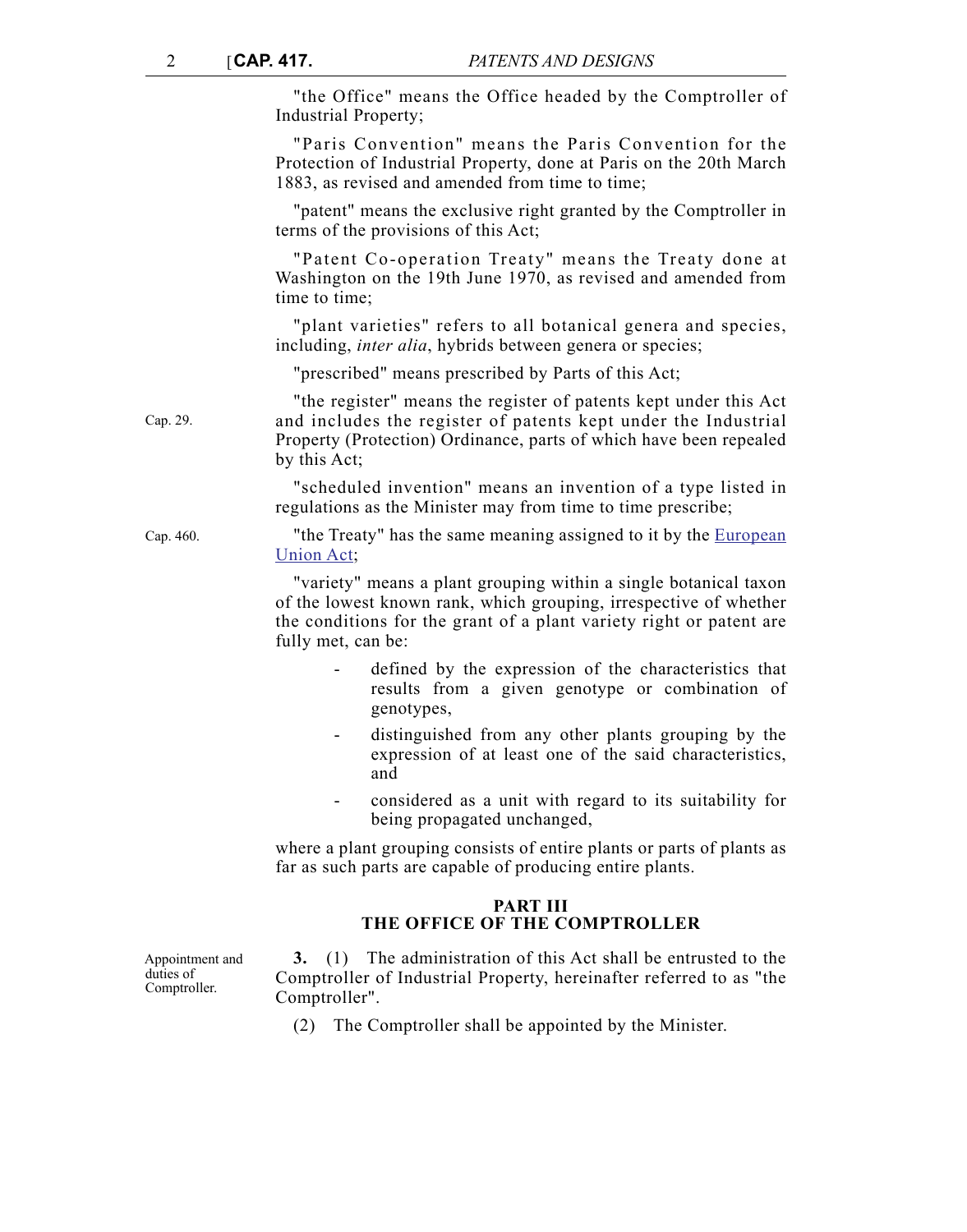"the Office" means the Office headed by the Comptroller of Industrial Property;

"Paris Convention" means the Paris Convention for the Protection of Industrial Property, done at Paris on the 20th March 1883, as revised and amended from time to time;

"patent" means the exclusive right granted by the Comptroller in terms of the provisions of this Act;

"Patent Co-operation Treaty" means the Treaty done at Washington on the 19th June 1970, as revised and amended from time to time;

"plant varieties" refers to all botanical genera and species, including, *inter alia*, hybrids between genera or species;

"prescribed" means prescribed by Parts of this Act;

"the register" means the register of patents kept under this Act and includes the register of patents kept under the Industrial Property (Protection) Ordinance, parts of which have been repealed by this Act;

> "scheduled invention" means an invention of a type listed in regulations as the Minister may from time to time prescribe;

Cap. 460. "the Treaty" has the same meaning assigned to it by the [European](http://www.justiceservices.gov.mt/DownloadDocument.aspx?app=lom&itemid=8926&l=1) [Union Act;](http://www.justiceservices.gov.mt/DownloadDocument.aspx?app=lom&itemid=8926&l=1)

> "variety" means a plant grouping within a single botanical taxon of the lowest known rank, which grouping, irrespective of whether the conditions for the grant of a plant variety right or patent are fully met, can be:

- defined by the expression of the characteristics that results from a given genotype or combination of genotypes,
- distinguished from any other plants grouping by the expression of at least one of the said characteristics, and
- considered as a unit with regard to its suitability for being propagated unchanged,

where a plant grouping consists of entire plants or parts of plants as far as such parts are capable of producing entire plants.

# **PART III THE OFFICE OF THE COMPTROLLER**

Appointment and duties of Comptroller.

**3.** (1) The administration of this Act shall be entrusted to the Comptroller of Industrial Property, hereinafter referred to as "the Comptroller".

(2) The Comptroller shall be appointed by the Minister.

Cap. 29.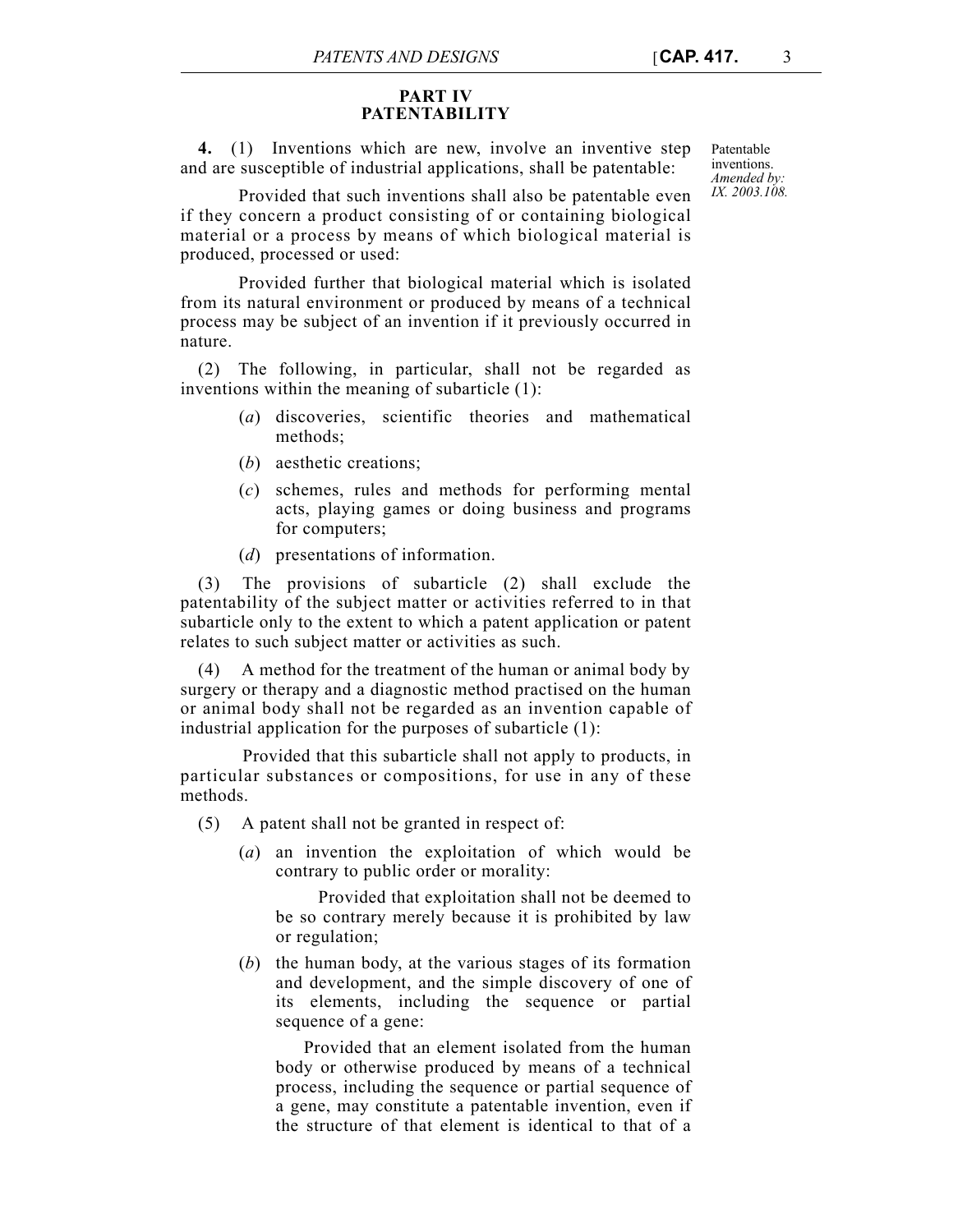### **PART IV PATENTABILITY**

**4.** (1) Inventions which are new, involve an inventive step and are susceptible of industrial applications, shall be patentable:

Patentable inventions. *Amended by: IX. 2003.108.*

Provided that such inventions shall also be patentable even if they concern a product consisting of or containing biological material or a process by means of which biological material is produced, processed or used:

Provided further that biological material which is isolated from its natural environment or produced by means of a technical process may be subject of an invention if it previously occurred in nature.

(2) The following, in particular, shall not be regarded as inventions within the meaning of subarticle (1):

- (*a*) discoveries, scientific theories and mathematical methods;
- (*b*) aesthetic creations;
- (*c*) schemes, rules and methods for performing mental acts, playing games or doing business and programs for computers;
- (*d*) presentations of information.

(3) The provisions of subarticle (2) shall exclude the patentability of the subject matter or activities referred to in that subarticle only to the extent to which a patent application or patent relates to such subject matter or activities as such.

(4) A method for the treatment of the human or animal body by surgery or therapy and a diagnostic method practised on the human or animal body shall not be regarded as an invention capable of industrial application for the purposes of subarticle (1):

Provided that this subarticle shall not apply to products, in particular substances or compositions, for use in any of these methods.

(5) A patent shall not be granted in respect of:

(*a*) an invention the exploitation of which would be contrary to public order or morality:

Provided that exploitation shall not be deemed to be so contrary merely because it is prohibited by law or regulation;

(*b*) the human body, at the various stages of its formation and development, and the simple discovery of one of its elements, including the sequence or partial sequence of a gene:

 Provided that an element isolated from the human body or otherwise produced by means of a technical process, including the sequence or partial sequence of a gene, may constitute a patentable invention, even if the structure of that element is identical to that of a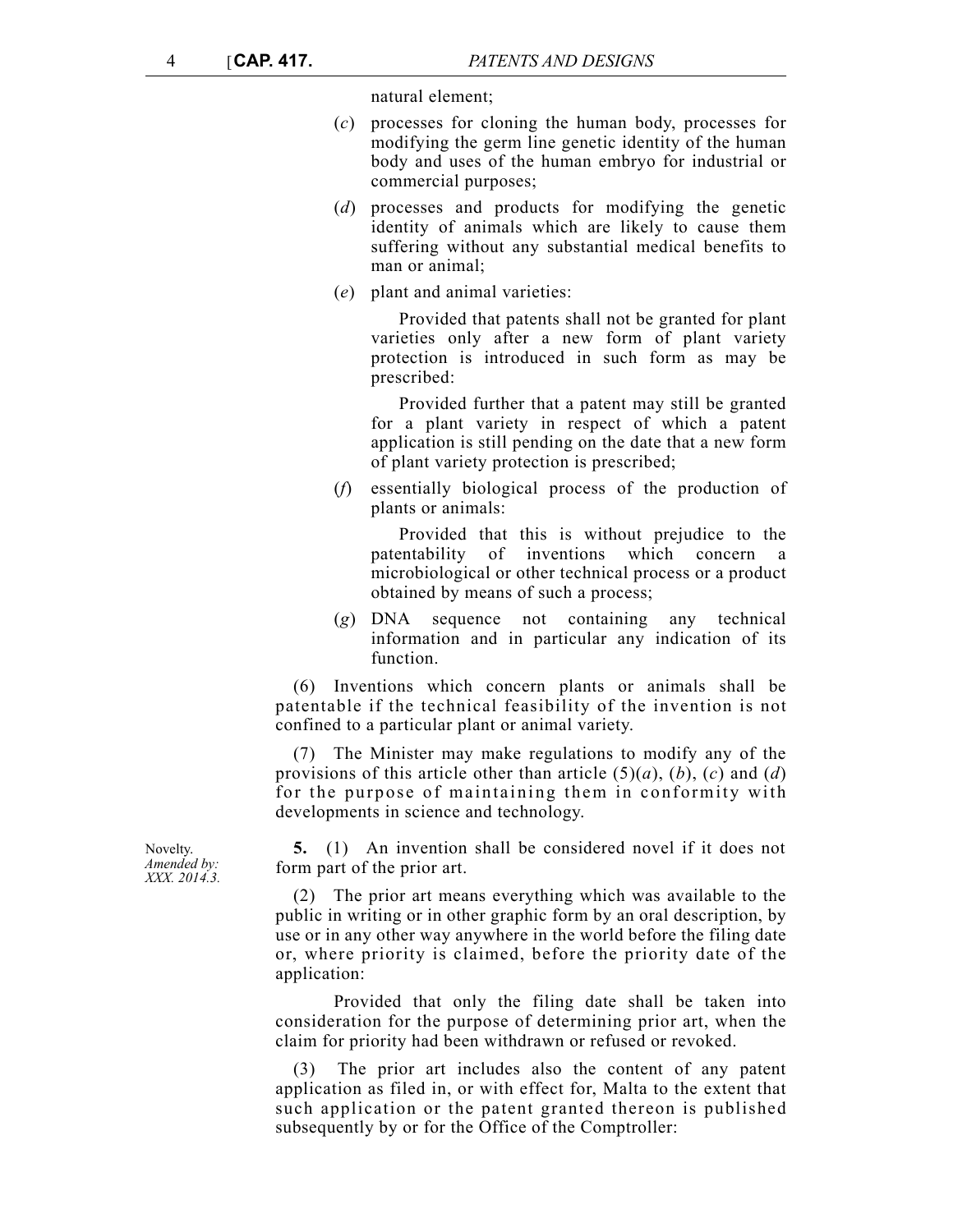natural element;

- (*c*) processes for cloning the human body, processes for modifying the germ line genetic identity of the human body and uses of the human embryo for industrial or commercial purposes;
- (*d*) processes and products for modifying the genetic identity of animals which are likely to cause them suffering without any substantial medical benefits to man or animal;
- (*e*) plant and animal varieties:

 Provided that patents shall not be granted for plant varieties only after a new form of plant variety protection is introduced in such form as may be prescribed:

 Provided further that a patent may still be granted for a plant variety in respect of which a patent application is still pending on the date that a new form of plant variety protection is prescribed;

(*f*) essentially biological process of the production of plants or animals:

 Provided that this is without prejudice to the patentability of inventions which concern a microbiological or other technical process or a product obtained by means of such a process;

(*g*) DNA sequence not containing any technical information and in particular any indication of its function.

(6) Inventions which concern plants or animals shall be patentable if the technical feasibility of the invention is not confined to a particular plant or animal variety.

(7) The Minister may make regulations to modify any of the provisions of this article other than article  $(5)(a)$ ,  $(b)$ ,  $(c)$  and  $(d)$ for the purpose of maintaining them in conformity with developments in science and technology.

**5.** (1) An invention shall be considered novel if it does not form part of the prior art.

(2) The prior art means everything which was available to the public in writing or in other graphic form by an oral description, by use or in any other way anywhere in the world before the filing date or, where priority is claimed, before the priority date of the application:

Provided that only the filing date shall be taken into consideration for the purpose of determining prior art, when the claim for priority had been withdrawn or refused or revoked.

(3) The prior art includes also the content of any patent application as filed in, or with effect for, Malta to the extent that such application or the patent granted thereon is published subsequently by or for the Office of the Comptroller:

Novelty. *Amended by: XXX. 2014.3.*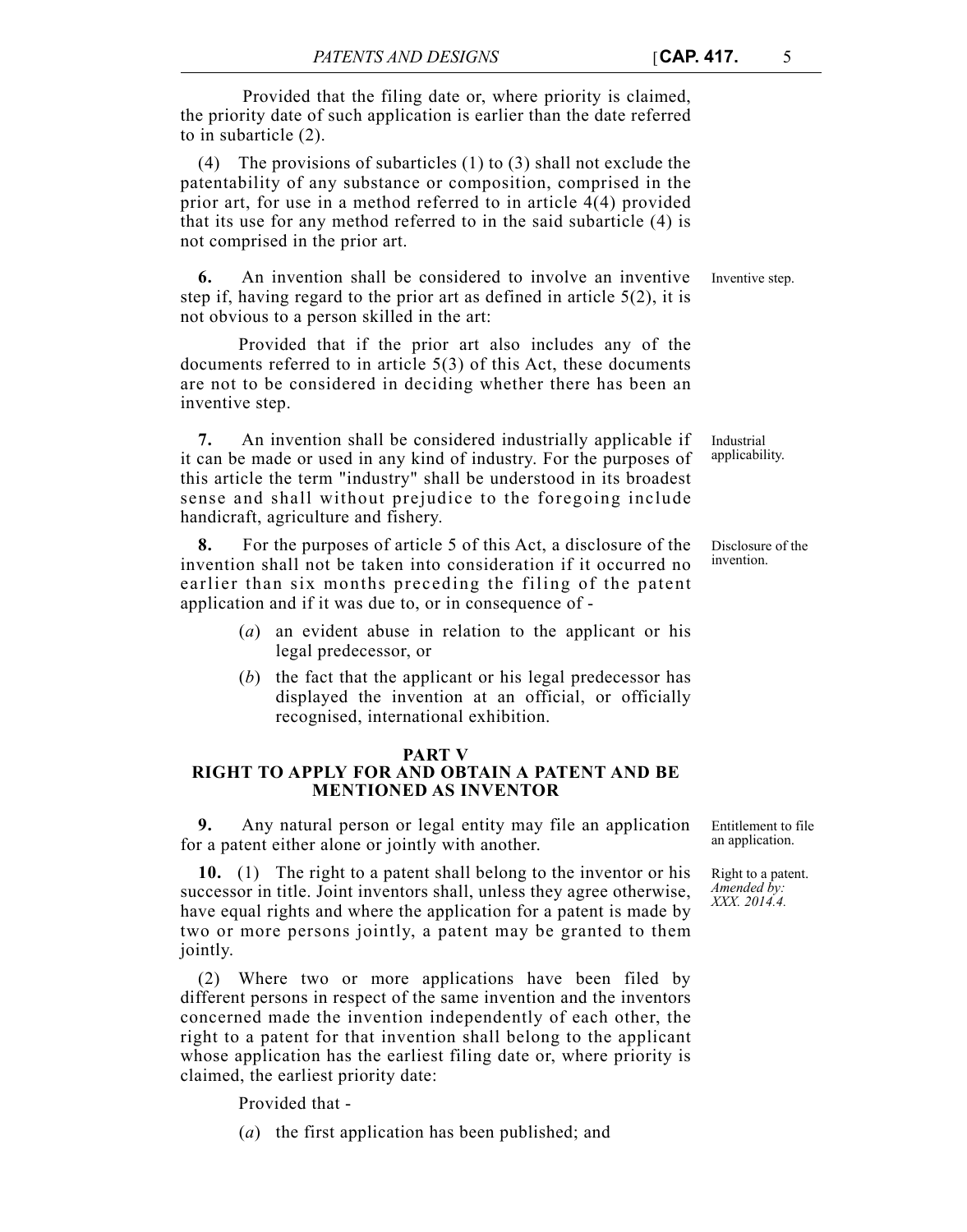Provided that the filing date or, where priority is claimed, the priority date of such application is earlier than the date referred to in subarticle (2).

(4) The provisions of subarticles (1) to (3) shall not exclude the patentability of any substance or composition, comprised in the prior art, for use in a method referred to in article 4(4) provided that its use for any method referred to in the said subarticle (4) is not comprised in the prior art.

**6.** An invention shall be considered to involve an inventive Inventive step. step if, having regard to the prior art as defined in article 5(2), it is not obvious to a person skilled in the art:

Provided that if the prior art also includes any of the documents referred to in article 5(3) of this Act, these documents are not to be considered in deciding whether there has been an inventive step.

**7.** An invention shall be considered industrially applicable if it can be made or used in any kind of industry. For the purposes of this article the term "industry" shall be understood in its broadest sense and shall without prejudice to the foregoing include handicraft, agriculture and fishery.

**8.** For the purposes of article 5 of this Act, a disclosure of the invention shall not be taken into consideration if it occurred no earlier than six months preceding the filing of the patent application and if it was due to, or in consequence of -

- (*a*) an evident abuse in relation to the applicant or his legal predecessor, or
- (*b*) the fact that the applicant or his legal predecessor has displayed the invention at an official, or officially recognised, international exhibition.

### **PART V**

## **RIGHT TO APPLY FOR AND OBTAIN A PATENT AND BE MENTIONED AS INVENTOR**

**9.** Any natural person or legal entity may file an application for a patent either alone or jointly with another.

**10.** (1) The right to a patent shall belong to the inventor or his successor in title. Joint inventors shall, unless they agree otherwise, have equal rights and where the application for a patent is made by two or more persons jointly, a patent may be granted to them jointly.

(2) Where two or more applications have been filed by different persons in respect of the same invention and the inventors concerned made the invention independently of each other, the right to a patent for that invention shall belong to the applicant whose application has the earliest filing date or, where priority is claimed, the earliest priority date:

Provided that -

(*a*) the first application has been published; and

Entitlement to file an application.

Right to a patent. *Amended by: XXX. 2014.4.*

Disclosure of the invention.

Industrial applicability.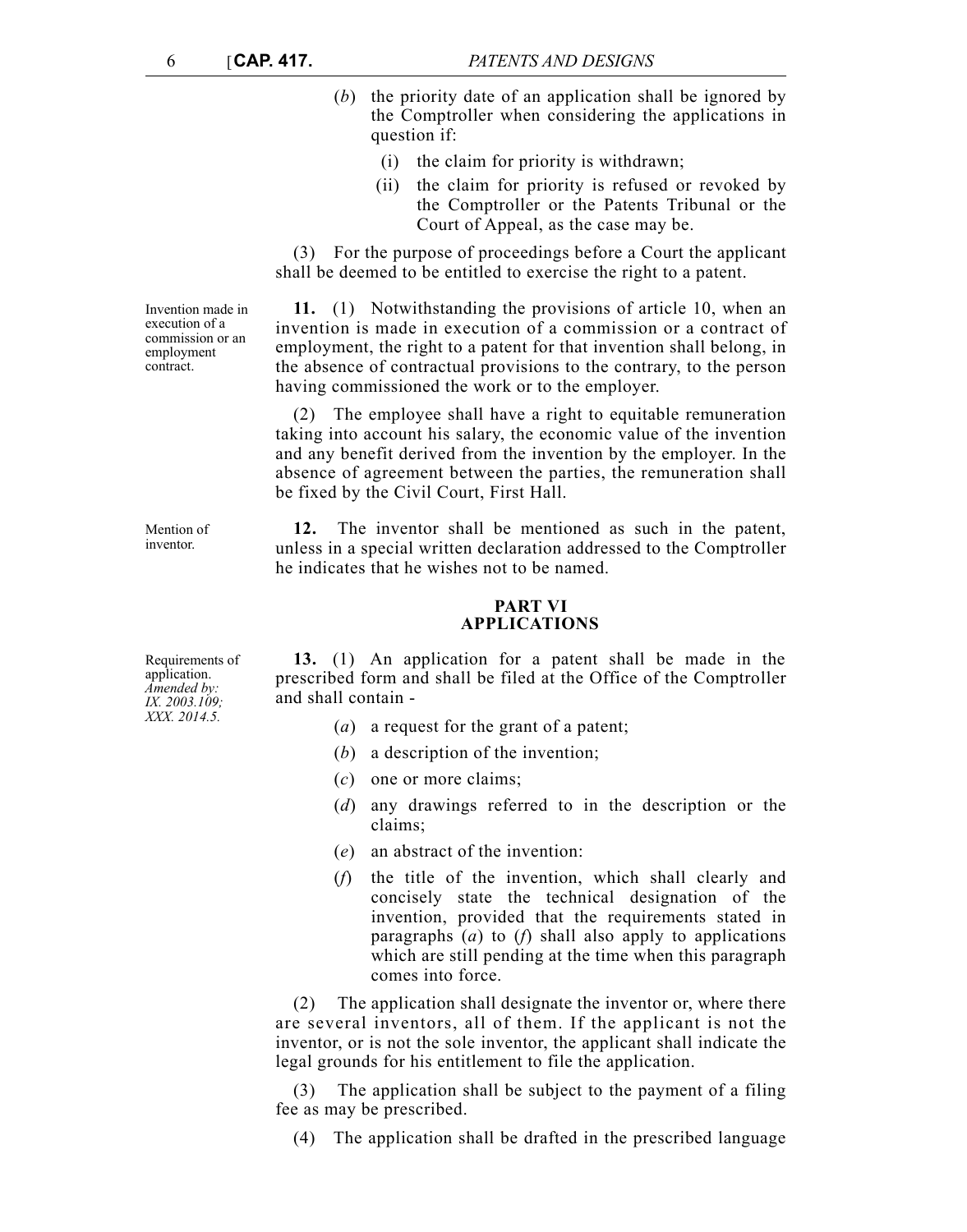- (*b*) the priority date of an application shall be ignored by the Comptroller when considering the applications in question if:
	- (i) the claim for priority is withdrawn;
	- (ii) the claim for priority is refused or revoked by the Comptroller or the Patents Tribunal or the Court of Appeal, as the case may be.

(3) For the purpose of proceedings before a Court the applicant shall be deemed to be entitled to exercise the right to a patent.

**11.** (1) Notwithstanding the provisions of article 10, when an invention is made in execution of a commission or a contract of employment, the right to a patent for that invention shall belong, in the absence of contractual provisions to the contrary, to the person having commissioned the work or to the employer.

(2) The employee shall have a right to equitable remuneration taking into account his salary, the economic value of the invention and any benefit derived from the invention by the employer. In the absence of agreement between the parties, the remuneration shall be fixed by the Civil Court, First Hall.

**12.** The inventor shall be mentioned as such in the patent, unless in a special written declaration addressed to the Comptroller he indicates that he wishes not to be named.

# **PART VI APPLICATIONS**

**13.** (1) An application for a patent shall be made in the prescribed form and shall be filed at the Office of the Comptroller and shall contain -

- (*a*) a request for the grant of a patent;
- (*b*) a description of the invention;
- (*c*) one or more claims;
- (*d*) any drawings referred to in the description or the claims;
- (*e*) an abstract of the invention:
- (*f*) the title of the invention, which shall clearly and concisely state the technical designation of the invention, provided that the requirements stated in paragraphs (*a*) to (*f*) shall also apply to applications which are still pending at the time when this paragraph comes into force.

(2) The application shall designate the inventor or, where there are several inventors, all of them. If the applicant is not the inventor, or is not the sole inventor, the applicant shall indicate the legal grounds for his entitlement to file the application.

(3) The application shall be subject to the payment of a filing fee as may be prescribed.

(4) The application shall be drafted in the prescribed language

Invention made in execution of a commission or an employment contract.

Mention of inventor.

Requirements of application. *Amended by: IX. 2003.109; XXX. 2014.5.*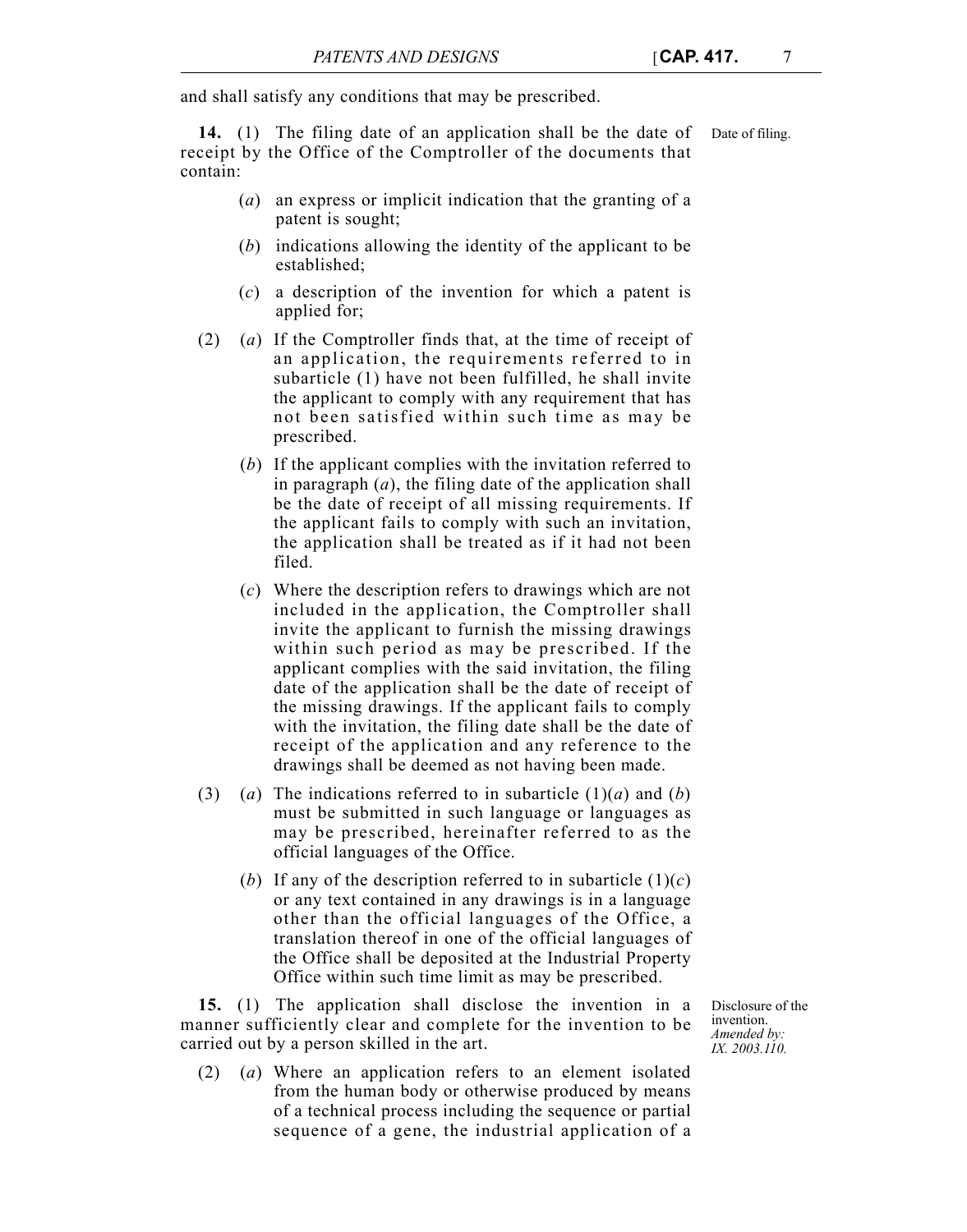and shall satisfy any conditions that may be prescribed.

**14.** (1) The filing date of an application shall be the date of Date of filing. receipt by the Office of the Comptroller of the documents that contain:

- (*a*) an express or implicit indication that the granting of a patent is sought;
- (*b*) indications allowing the identity of the applicant to be established;
- (*c*) a description of the invention for which a patent is applied for;
- (2) (*a*) If the Comptroller finds that, at the time of receipt of an application, the requirements referred to in subarticle (1) have not been fulfilled, he shall invite the applicant to comply with any requirement that has not been satisfied within such time as may be prescribed.
	- (*b*) If the applicant complies with the invitation referred to in paragraph (*a*), the filing date of the application shall be the date of receipt of all missing requirements. If the applicant fails to comply with such an invitation, the application shall be treated as if it had not been filed.
	- (*c*) Where the description refers to drawings which are not included in the application, the Comptroller shall invite the applicant to furnish the missing drawings within such period as may be prescribed. If the applicant complies with the said invitation, the filing date of the application shall be the date of receipt of the missing drawings. If the applicant fails to comply with the invitation, the filing date shall be the date of receipt of the application and any reference to the drawings shall be deemed as not having been made.
- (3) (*a*) The indications referred to in subarticle  $(1)(a)$  and  $(b)$ must be submitted in such language or languages as may be prescribed, hereinafter referred to as the official languages of the Office.
	- (*b*) If any of the description referred to in subarticle  $(1)(c)$ or any text contained in any drawings is in a language other than the official languages of the Office, a translation thereof in one of the official languages of the Office shall be deposited at the Industrial Property Office within such time limit as may be prescribed.

**15.** (1) The application shall disclose the invention in a manner sufficiently clear and complete for the invention to be carried out by a person skilled in the art.

(2) (*a*) Where an application refers to an element isolated from the human body or otherwise produced by means of a technical process including the sequence or partial sequence of a gene, the industrial application of a

Disclosure of the invention. *Amended by: IX. 2003.110.*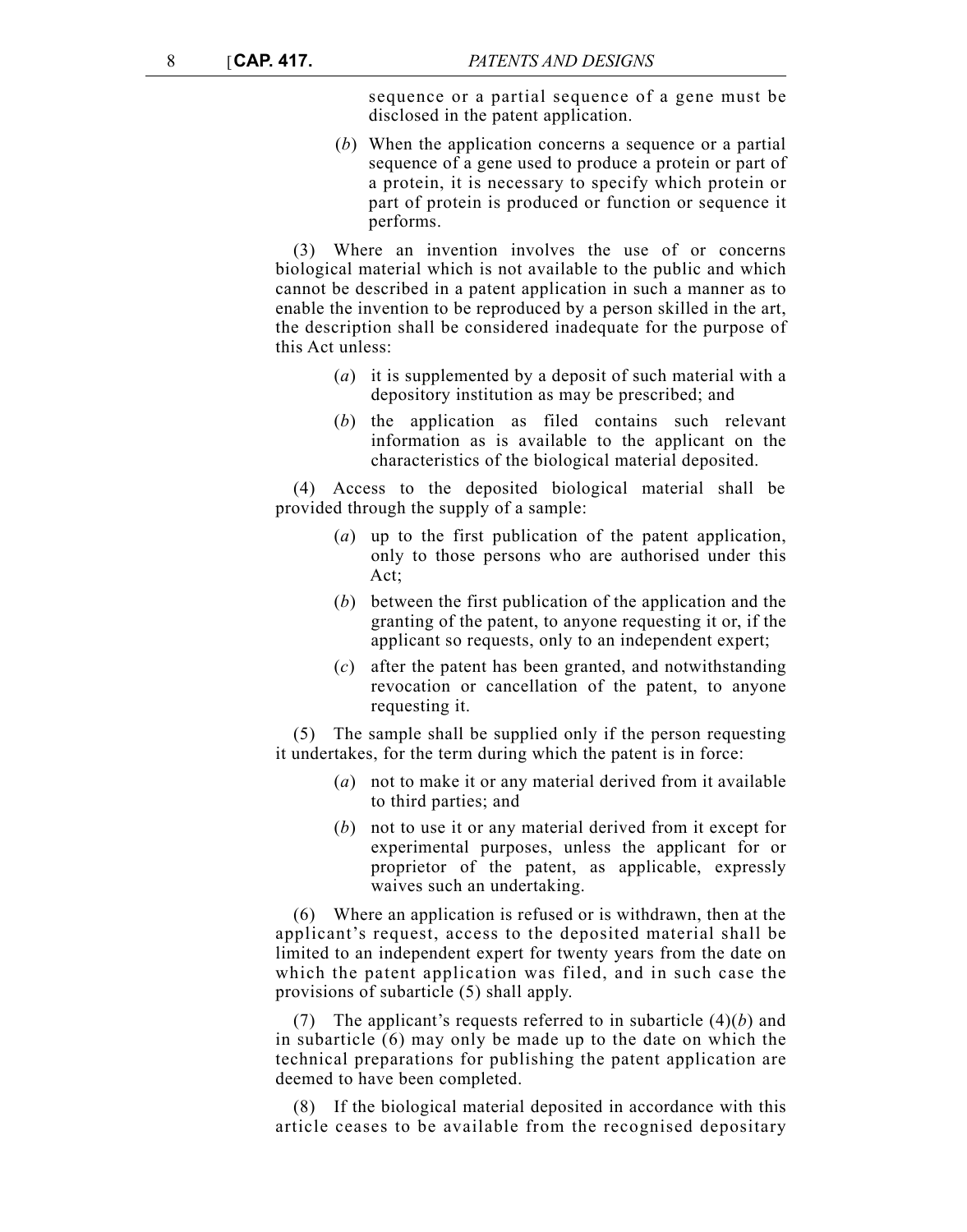sequence or a partial sequence of a gene must be disclosed in the patent application.

(*b*) When the application concerns a sequence or a partial sequence of a gene used to produce a protein or part of a protein, it is necessary to specify which protein or part of protein is produced or function or sequence it performs.

(3) Where an invention involves the use of or concerns biological material which is not available to the public and which cannot be described in a patent application in such a manner as to enable the invention to be reproduced by a person skilled in the art, the description shall be considered inadequate for the purpose of this Act unless:

- (*a*) it is supplemented by a deposit of such material with a depository institution as may be prescribed; and
- (*b*) the application as filed contains such relevant information as is available to the applicant on the characteristics of the biological material deposited.

(4) Access to the deposited biological material shall be provided through the supply of a sample:

- (*a*) up to the first publication of the patent application, only to those persons who are authorised under this Act;
- (*b*) between the first publication of the application and the granting of the patent, to anyone requesting it or, if the applicant so requests, only to an independent expert;
- (*c*) after the patent has been granted, and notwithstanding revocation or cancellation of the patent, to anyone requesting it.

The sample shall be supplied only if the person requesting it undertakes, for the term during which the patent is in force:

- (*a*) not to make it or any material derived from it available to third parties; and
- (*b*) not to use it or any material derived from it except for experimental purposes, unless the applicant for or proprietor of the patent, as applicable, expressly waives such an undertaking.

(6) Where an application is refused or is withdrawn, then at the applicant's request, access to the deposited material shall be limited to an independent expert for twenty years from the date on which the patent application was filed, and in such case the provisions of subarticle (5) shall apply.

(7) The applicant's requests referred to in subarticle (4)(*b*) and in subarticle (6) may only be made up to the date on which the technical preparations for publishing the patent application are deemed to have been completed.

(8) If the biological material deposited in accordance with this article ceases to be available from the recognised depositary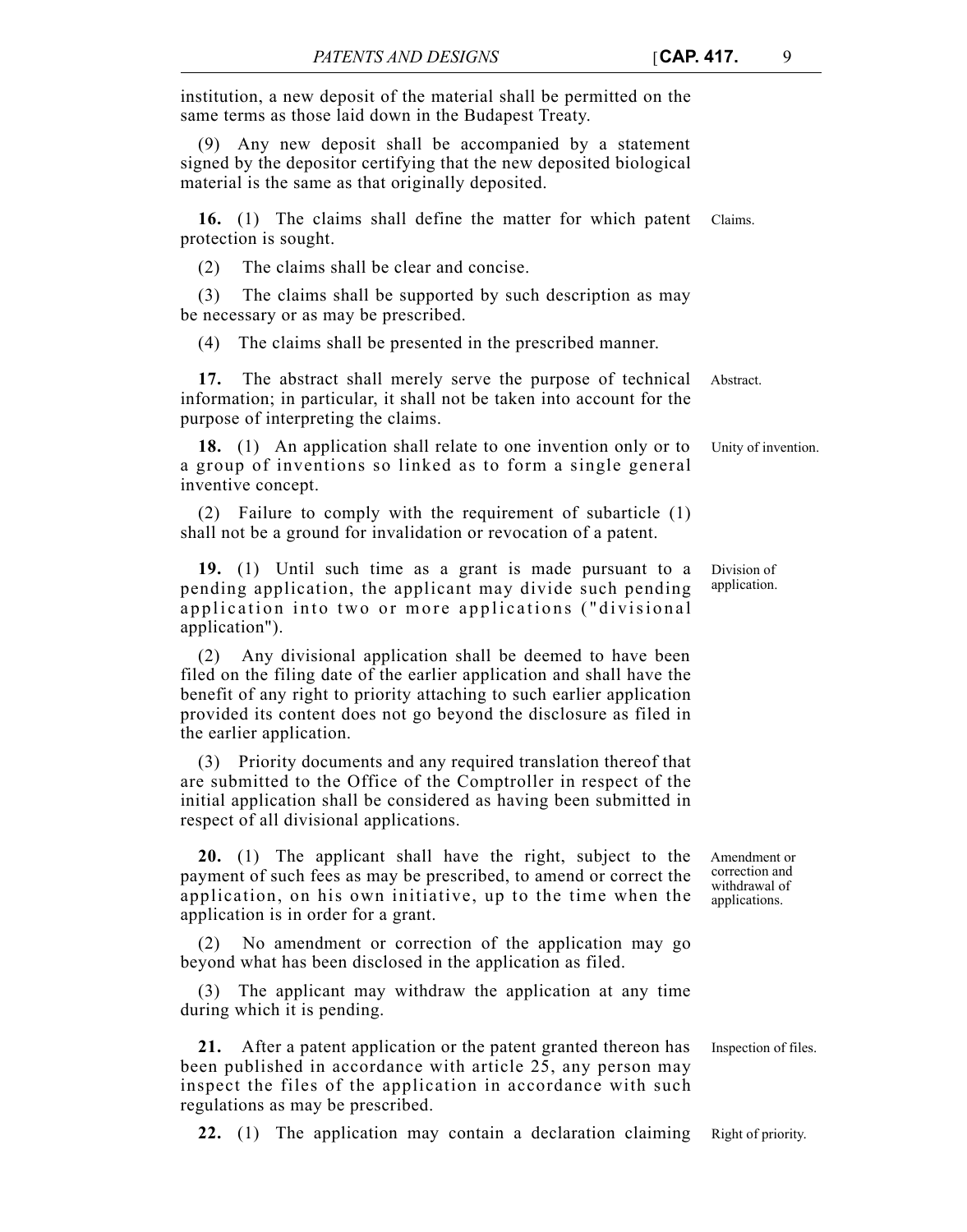institution, a new deposit of the material shall be permitted on the same terms as those laid down in the Budapest Treaty.

(9) Any new deposit shall be accompanied by a statement signed by the depositor certifying that the new deposited biological material is the same as that originally deposited.

**16.** (1) The claims shall define the matter for which patent Claims. protection is sought.

(2) The claims shall be clear and concise.

(3) The claims shall be supported by such description as may be necessary or as may be prescribed.

(4) The claims shall be presented in the prescribed manner.

**17.** The abstract shall merely serve the purpose of technical Abstract. information; in particular, it shall not be taken into account for the purpose of interpreting the claims.

**18.** (1) An application shall relate to one invention only or to Unity of invention. a group of inventions so linked as to form a single general inventive concept.

(2) Failure to comply with the requirement of subarticle (1) shall not be a ground for invalidation or revocation of a patent.

**19.** (1) Until such time as a grant is made pursuant to a pending application, the applicant may divide such pending application into two or more applications ("divisional application").

(2) Any divisional application shall be deemed to have been filed on the filing date of the earlier application and shall have the benefit of any right to priority attaching to such earlier application provided its content does not go beyond the disclosure as filed in the earlier application.

(3) Priority documents and any required translation thereof that are submitted to the Office of the Comptroller in respect of the initial application shall be considered as having been submitted in respect of all divisional applications.

**20.** (1) The applicant shall have the right, subject to the payment of such fees as may be prescribed, to amend or correct the application, on his own initiative, up to the time when the application is in order for a grant.

No amendment or correction of the application may go beyond what has been disclosed in the application as filed.

(3) The applicant may withdraw the application at any time during which it is pending.

21. After a patent application or the patent granted thereon has Inspection of files. been published in accordance with article 25, any person may inspect the files of the application in accordance with such regulations as may be prescribed.

**22.** (1) The application may contain a declaration claiming Right of priority.

Amendment or

Division of application.

correction and withdrawal of applications.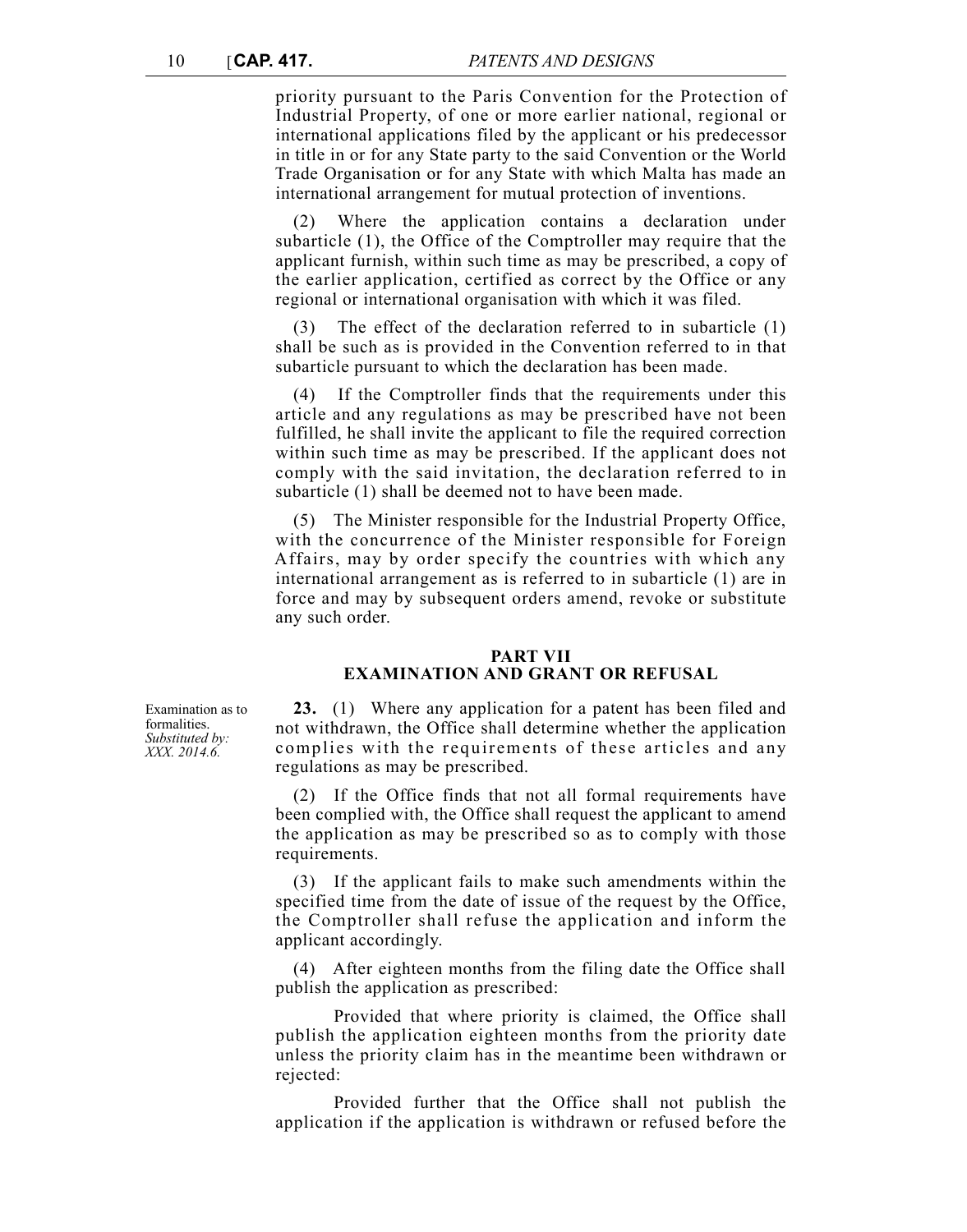priority pursuant to the Paris Convention for the Protection of Industrial Property, of one or more earlier national, regional or international applications filed by the applicant or his predecessor in title in or for any State party to the said Convention or the World Trade Organisation or for any State with which Malta has made an international arrangement for mutual protection of inventions.

Where the application contains a declaration under subarticle (1), the Office of the Comptroller may require that the applicant furnish, within such time as may be prescribed, a copy of the earlier application, certified as correct by the Office or any regional or international organisation with which it was filed.

The effect of the declaration referred to in subarticle (1) shall be such as is provided in the Convention referred to in that subarticle pursuant to which the declaration has been made.

(4) If the Comptroller finds that the requirements under this article and any regulations as may be prescribed have not been fulfilled, he shall invite the applicant to file the required correction within such time as may be prescribed. If the applicant does not comply with the said invitation, the declaration referred to in subarticle (1) shall be deemed not to have been made.

(5) The Minister responsible for the Industrial Property Office, with the concurrence of the Minister responsible for Foreign Affairs, may by order specify the countries with which any international arrangement as is referred to in subarticle (1) are in force and may by subsequent orders amend, revoke or substitute any such order.

### **PART VII EXAMINATION AND GRANT OR REFUSAL**

Examination as to formalities. *Substituted by: XXX. 2014.6.*

**23.** (1) Where any application for a patent has been filed and not withdrawn, the Office shall determine whether the application complies with the requirements of these articles and any regulations as may be prescribed.

(2) If the Office finds that not all formal requirements have been complied with, the Office shall request the applicant to amend the application as may be prescribed so as to comply with those requirements.

(3) If the applicant fails to make such amendments within the specified time from the date of issue of the request by the Office, the Comptroller shall refuse the application and inform the applicant accordingly.

(4) After eighteen months from the filing date the Office shall publish the application as prescribed:

Provided that where priority is claimed, the Office shall publish the application eighteen months from the priority date unless the priority claim has in the meantime been withdrawn or rejected:

Provided further that the Office shall not publish the application if the application is withdrawn or refused before the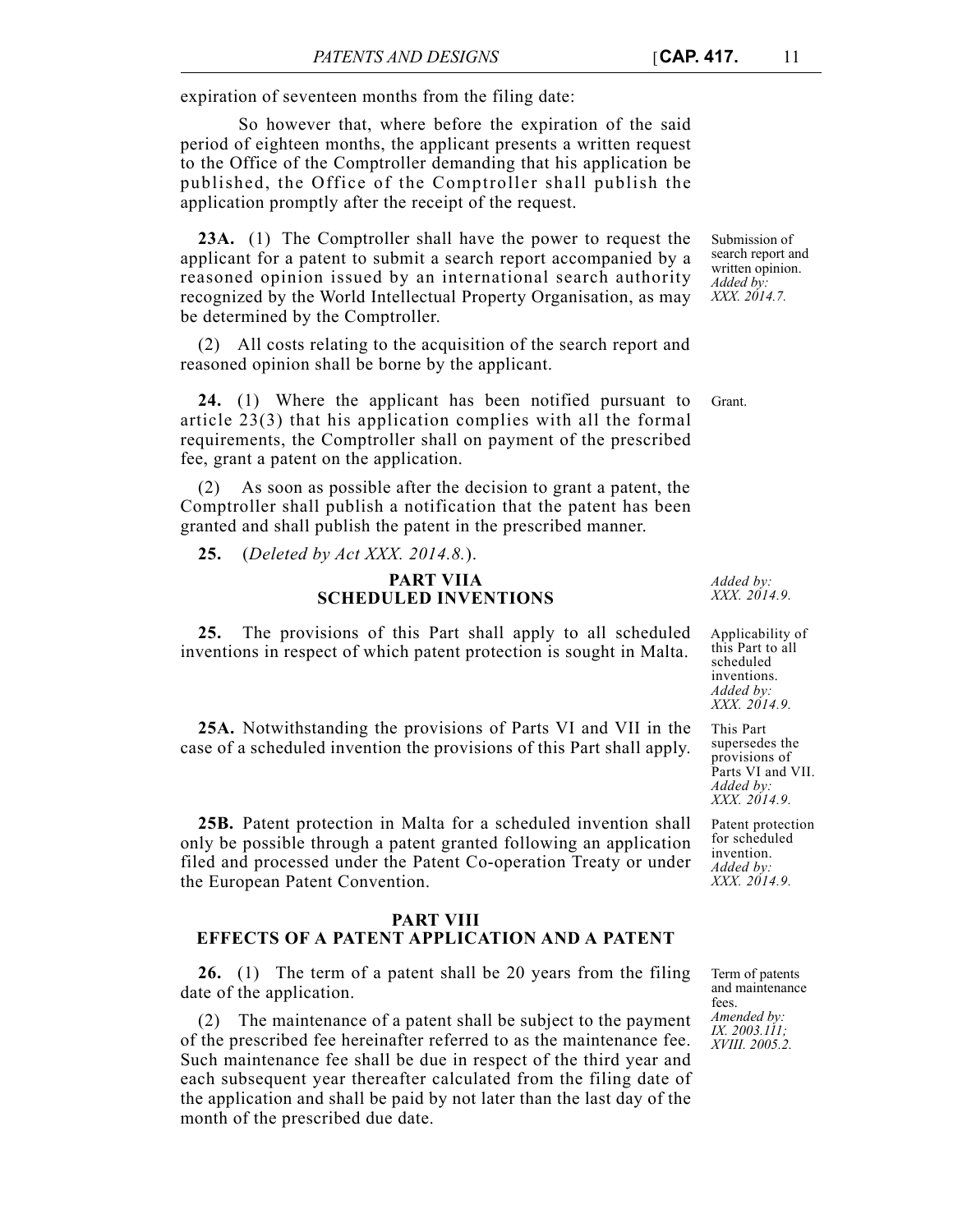expiration of seventeen months from the filing date:

So however that, where before the expiration of the said period of eighteen months, the applicant presents a written request to the Office of the Comptroller demanding that his application be published, the Office of the Comptroller shall publish the application promptly after the receipt of the request.

**23A.** (1) The Comptroller shall have the power to request the applicant for a patent to submit a search report accompanied by a reasoned opinion issued by an international search authority recognized by the World Intellectual Property Organisation, as may be determined by the Comptroller.

(2) All costs relating to the acquisition of the search report and reasoned opinion shall be borne by the applicant.

24. (1) Where the applicant has been notified pursuant to Grant. article 23(3) that his application complies with all the formal requirements, the Comptroller shall on payment of the prescribed fee, grant a patent on the application.

As soon as possible after the decision to grant a patent, the Comptroller shall publish a notification that the patent has been granted and shall publish the patent in the prescribed manner.

**25.** (*Deleted by Act XXX. 2014.8.*).

### **PART VIIA SCHEDULED INVENTIONS**

**25.** The provisions of this Part shall apply to all scheduled inventions in respect of which patent protection is sought in Malta.

**25A.** Notwithstanding the provisions of Parts VI and VII in the case of a scheduled invention the provisions of this Part shall apply.

**25B.** Patent protection in Malta for a scheduled invention shall only be possible through a patent granted following an application filed and processed under the Patent Co-operation Treaty or under the European Patent Convention.

# **PART VIII EFFECTS OF A PATENT APPLICATION AND A PATENT**

**26.** (1) The term of a patent shall be 20 years from the filing date of the application.

(2) The maintenance of a patent shall be subject to the payment of the prescribed fee hereinafter referred to as the maintenance fee. Such maintenance fee shall be due in respect of the third year and each subsequent year thereafter calculated from the filing date of the application and shall be paid by not later than the last day of the month of the prescribed due date.

Submission of search report and written opinion. *Added by: XXX. 2014.7.*

*Added by: XXX. 2014.9.*

Applicability of this Part to all scheduled inventions. *Added by: XXX. 2014.9.*

This Part supersedes the provisions of Parts VI and VII. *Added by: XXX. 2014.9.*

Patent protection for scheduled invention. *Added by: XXX. 2014.9.*

Term of patents and maintenance fees. *Amended by: IX. 2003.111; XVIII. 2005.2.*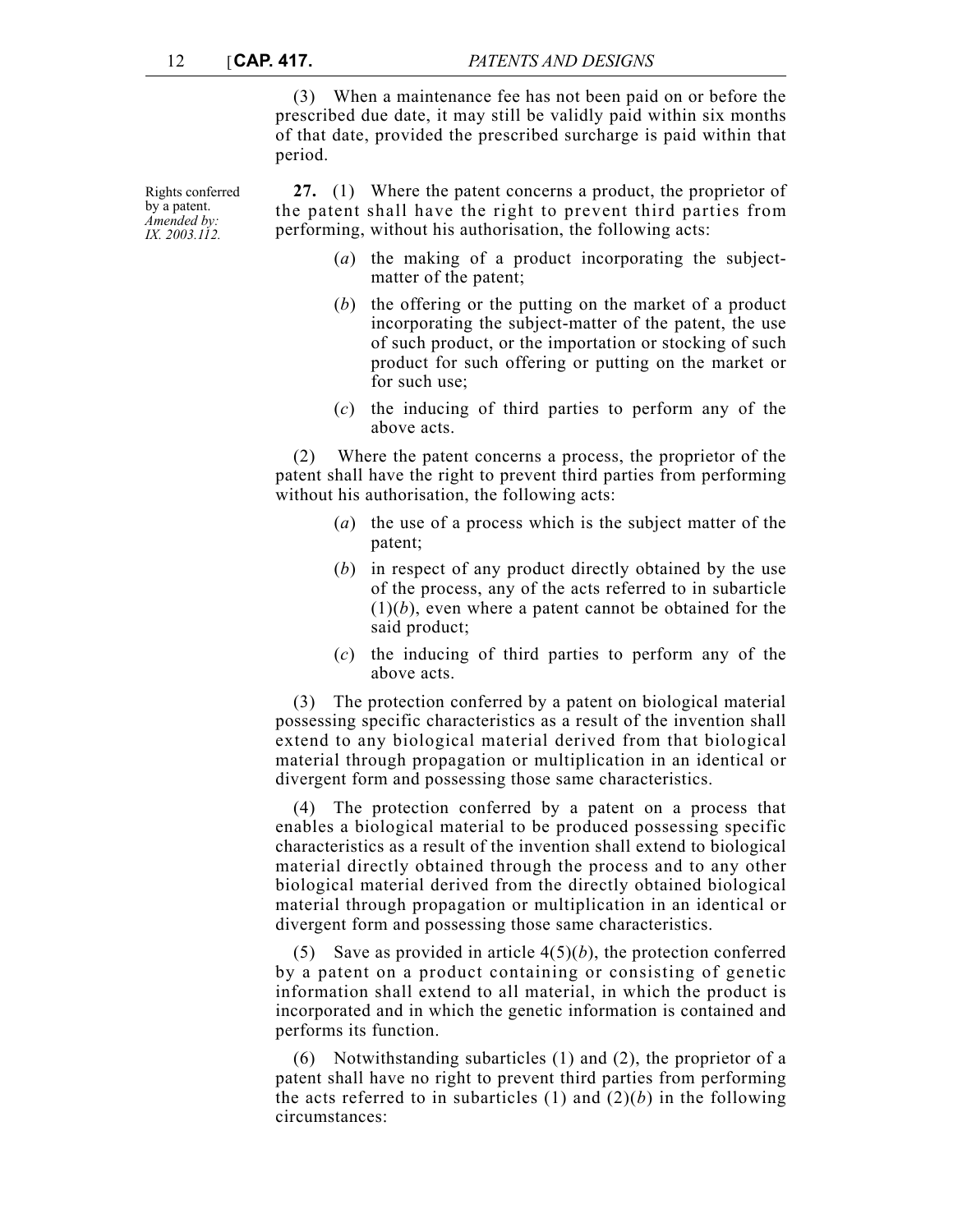(3) When a maintenance fee has not been paid on or before the prescribed due date, it may still be validly paid within six months of that date, provided the prescribed surcharge is paid within that period.

**27.** (1) Where the patent concerns a product, the proprietor of the patent shall have the right to prevent third parties from performing, without his authorisation, the following acts:

- (*a*) the making of a product incorporating the subjectmatter of the patent;
- (*b*) the offering or the putting on the market of a product incorporating the subject-matter of the patent, the use of such product, or the importation or stocking of such product for such offering or putting on the market or for such use;
- (*c*) the inducing of third parties to perform any of the above acts.

(2) Where the patent concerns a process, the proprietor of the patent shall have the right to prevent third parties from performing without his authorisation, the following acts:

- (*a*) the use of a process which is the subject matter of the patent;
- (*b*) in respect of any product directly obtained by the use of the process, any of the acts referred to in subarticle  $(1)(b)$ , even where a patent cannot be obtained for the said product;
- (*c*) the inducing of third parties to perform any of the above acts.

(3) The protection conferred by a patent on biological material possessing specific characteristics as a result of the invention shall extend to any biological material derived from that biological material through propagation or multiplication in an identical or divergent form and possessing those same characteristics.

(4) The protection conferred by a patent on a process that enables a biological material to be produced possessing specific characteristics as a result of the invention shall extend to biological material directly obtained through the process and to any other biological material derived from the directly obtained biological material through propagation or multiplication in an identical or divergent form and possessing those same characteristics.

(5) Save as provided in article 4(5)(*b*), the protection conferred by a patent on a product containing or consisting of genetic information shall extend to all material, in which the product is incorporated and in which the genetic information is contained and performs its function.

(6) Notwithstanding subarticles (1) and (2), the proprietor of a patent shall have no right to prevent third parties from performing the acts referred to in subarticles  $(1)$  and  $(2)(b)$  in the following circumstances:

Rights conferred by a patent. *Amended by: IX. 2003.112.*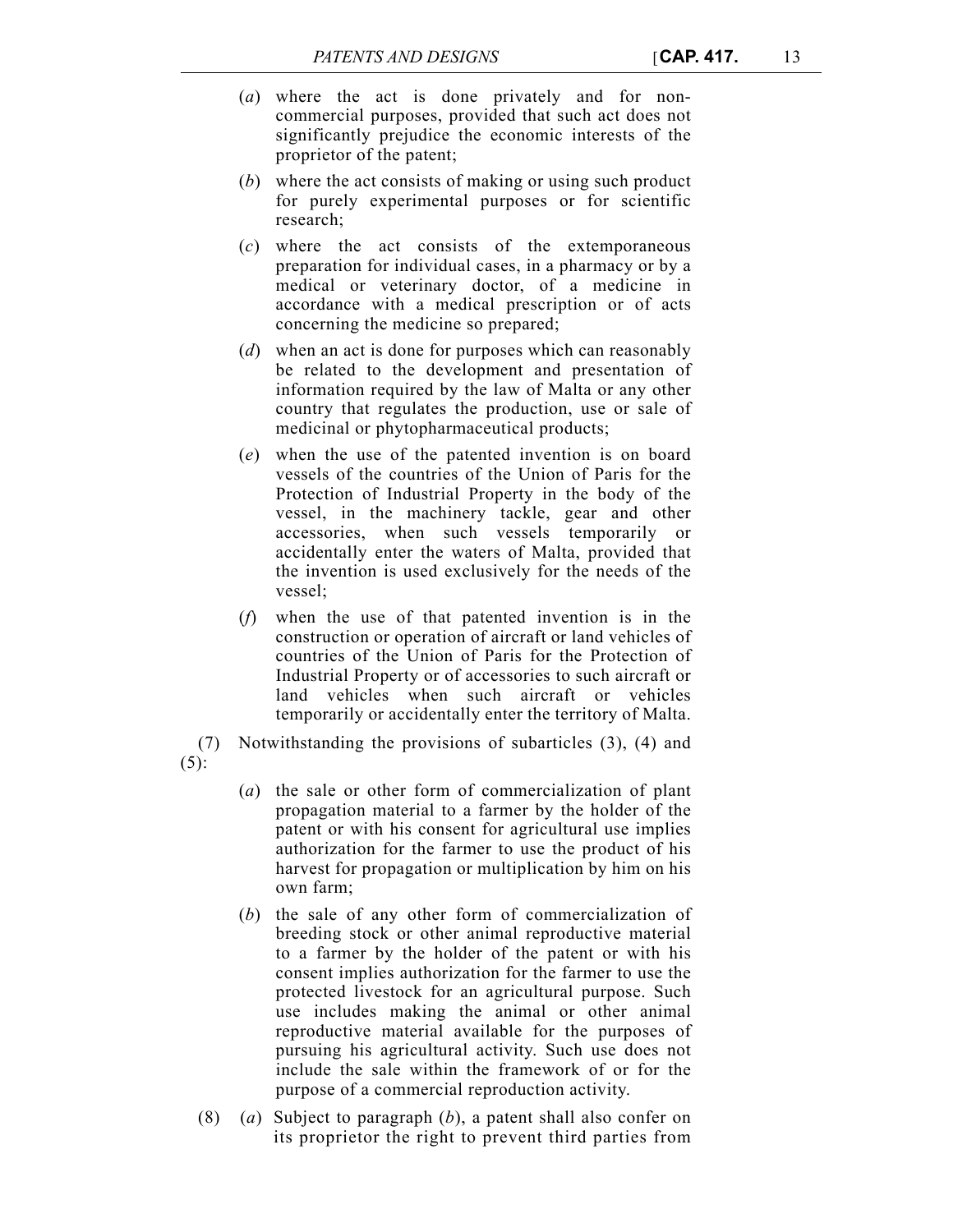- (*a*) where the act is done privately and for noncommercial purposes, provided that such act does not significantly prejudice the economic interests of the proprietor of the patent;
- (*b*) where the act consists of making or using such product for purely experimental purposes or for scientific research;
- (*c*) where the act consists of the extemporaneous preparation for individual cases, in a pharmacy or by a medical or veterinary doctor, of a medicine in accordance with a medical prescription or of acts concerning the medicine so prepared;
- (*d*) when an act is done for purposes which can reasonably be related to the development and presentation of information required by the law of Malta or any other country that regulates the production, use or sale of medicinal or phytopharmaceutical products;
- (*e*) when the use of the patented invention is on board vessels of the countries of the Union of Paris for the Protection of Industrial Property in the body of the vessel, in the machinery tackle, gear and other accessories, when such vessels temporarily or accidentally enter the waters of Malta, provided that the invention is used exclusively for the needs of the vessel;
- (*f*) when the use of that patented invention is in the construction or operation of aircraft or land vehicles of countries of the Union of Paris for the Protection of Industrial Property or of accessories to such aircraft or land vehicles when such aircraft or vehicles temporarily or accidentally enter the territory of Malta.

(7) Notwithstanding the provisions of subarticles (3), (4) and (5):

- (*a*) the sale or other form of commercialization of plant propagation material to a farmer by the holder of the patent or with his consent for agricultural use implies authorization for the farmer to use the product of his harvest for propagation or multiplication by him on his own farm;
- (*b*) the sale of any other form of commercialization of breeding stock or other animal reproductive material to a farmer by the holder of the patent or with his consent implies authorization for the farmer to use the protected livestock for an agricultural purpose. Such use includes making the animal or other animal reproductive material available for the purposes of pursuing his agricultural activity. Such use does not include the sale within the framework of or for the purpose of a commercial reproduction activity.
- (8) (*a*) Subject to paragraph (*b*), a patent shall also confer on its proprietor the right to prevent third parties from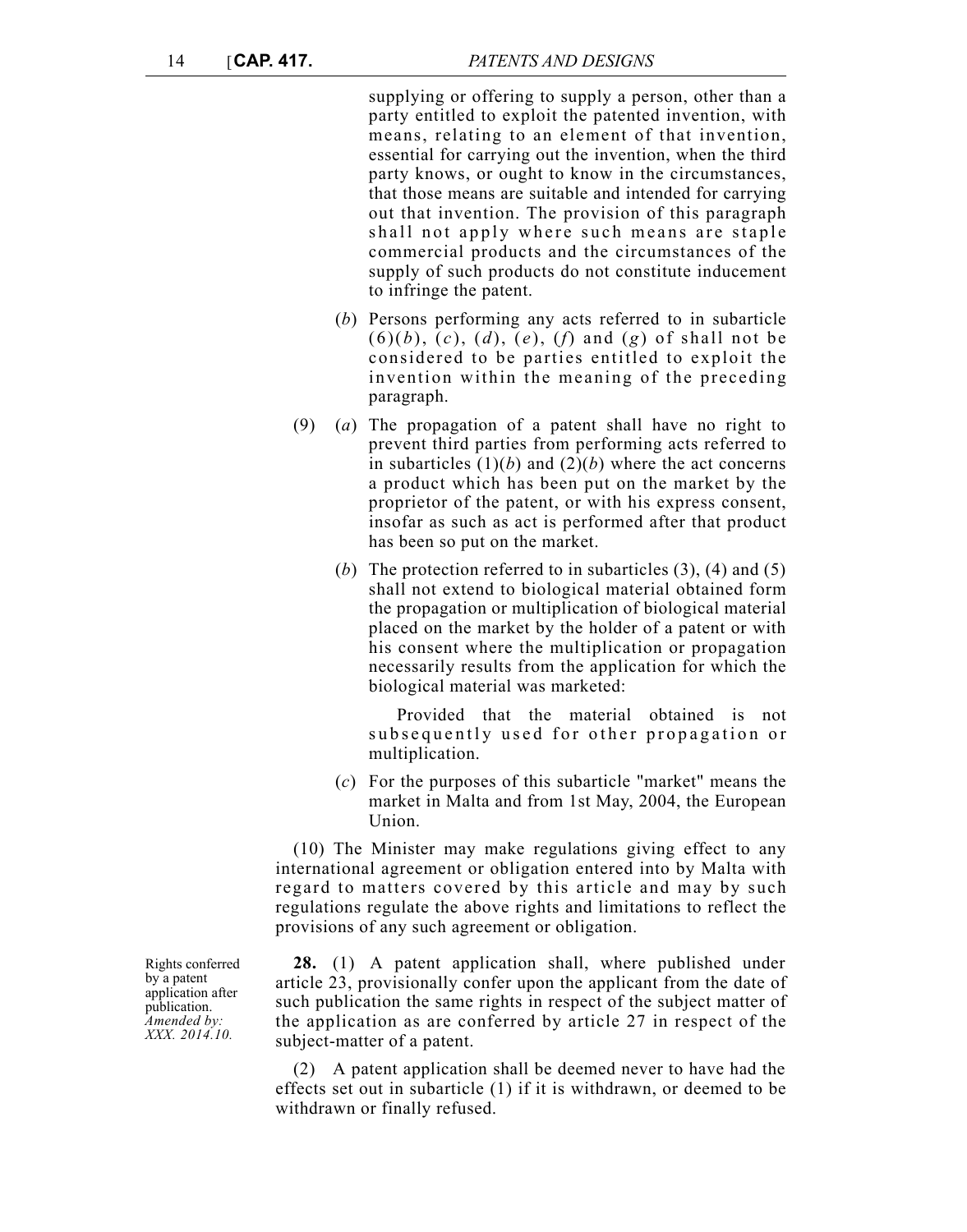supplying or offering to supply a person, other than a party entitled to exploit the patented invention, with means, relating to an element of that invention, essential for carrying out the invention, when the third party knows, or ought to know in the circumstances, that those means are suitable and intended for carrying out that invention. The provision of this paragraph shall not apply where such means are staple commercial products and the circumstances of the supply of such products do not constitute inducement to infringe the patent.

- (*b*) Persons performing any acts referred to in subarticle  $(6)(b)$ ,  $(c)$ ,  $(d)$ ,  $(e)$ ,  $(f)$  and  $(g)$  of shall not be considered to be parties entitled to exploit the invention within the meaning of the preceding paragraph.
- (9) (*a*) The propagation of a patent shall have no right to prevent third parties from performing acts referred to in subarticles  $(1)(b)$  and  $(2)(b)$  where the act concerns a product which has been put on the market by the proprietor of the patent, or with his express consent, insofar as such as act is performed after that product has been so put on the market.
	- (*b*) The protection referred to in subarticles (3), (4) and (5) shall not extend to biological material obtained form the propagation or multiplication of biological material placed on the market by the holder of a patent or with his consent where the multiplication or propagation necessarily results from the application for which the biological material was marketed:

 Provided that the material obtained is not subsequently u sed for other propagation or multiplication.

(*c*) For the purposes of this subarticle "market" means the market in Malta and from 1st May, 2004, the European Union.

(10) The Minister may make regulations giving effect to any international agreement or obligation entered into by Malta with regard to matters covered by this article and may by such regulations regulate the above rights and limitations to reflect the provisions of any such agreement or obligation.

**28.** (1) A patent application shall, where published under article 23, provisionally confer upon the applicant from the date of such publication the same rights in respect of the subject matter of the application as are conferred by article 27 in respect of the subject-matter of a patent.

(2) A patent application shall be deemed never to have had the effects set out in subarticle (1) if it is withdrawn, or deemed to be withdrawn or finally refused.

Rights conferred by a patent application after publication. *Amended by: XXX. 2014.10.*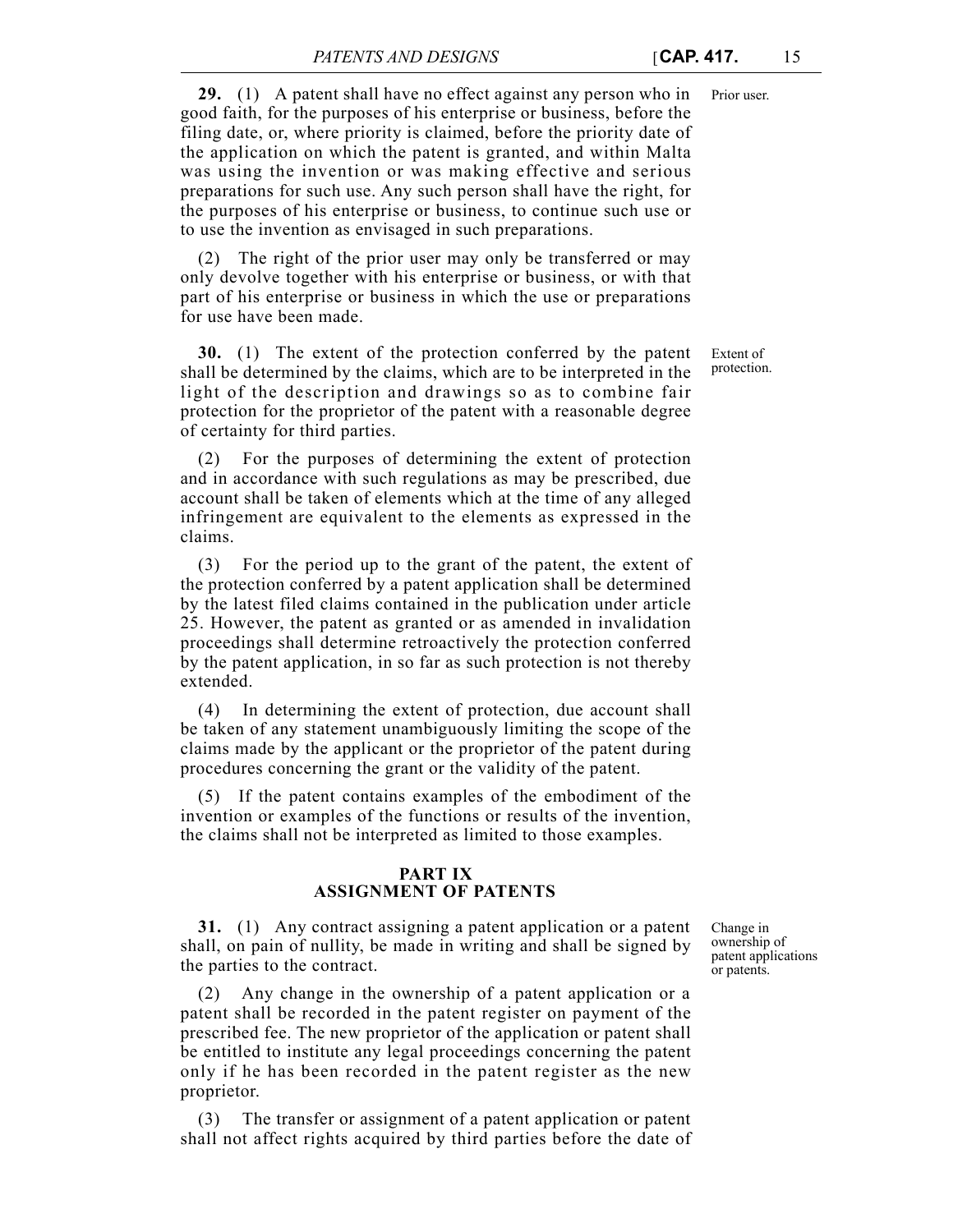**29.** (1) A patent shall have no effect against any person who in Prior user. good faith, for the purposes of his enterprise or business, before the filing date, or, where priority is claimed, before the priority date of the application on which the patent is granted, and within Malta was using the invention or was making effective and serious preparations for such use. Any such person shall have the right, for the purposes of his enterprise or business, to continue such use or to use the invention as envisaged in such preparations.

(2) The right of the prior user may only be transferred or may only devolve together with his enterprise or business, or with that part of his enterprise or business in which the use or preparations for use have been made.

**30.** (1) The extent of the protection conferred by the patent shall be determined by the claims, which are to be interpreted in the light of the description and drawings so as to combine fair protection for the proprietor of the patent with a reasonable degree of certainty for third parties.

(2) For the purposes of determining the extent of protection and in accordance with such regulations as may be prescribed, due account shall be taken of elements which at the time of any alleged infringement are equivalent to the elements as expressed in the claims.

(3) For the period up to the grant of the patent, the extent of the protection conferred by a patent application shall be determined by the latest filed claims contained in the publication under article 25. However, the patent as granted or as amended in invalidation proceedings shall determine retroactively the protection conferred by the patent application, in so far as such protection is not thereby extended.

(4) In determining the extent of protection, due account shall be taken of any statement unambiguously limiting the scope of the claims made by the applicant or the proprietor of the patent during procedures concerning the grant or the validity of the patent.

(5) If the patent contains examples of the embodiment of the invention or examples of the functions or results of the invention, the claims shall not be interpreted as limited to those examples.

### **PART IX ASSIGNMENT OF PATENTS**

**31.** (1) Any contract assigning a patent application or a patent shall, on pain of nullity, be made in writing and shall be signed by the parties to the contract.

(2) Any change in the ownership of a patent application or a patent shall be recorded in the patent register on payment of the prescribed fee. The new proprietor of the application or patent shall be entitled to institute any legal proceedings concerning the patent only if he has been recorded in the patent register as the new proprietor.

The transfer or assignment of a patent application or patent shall not affect rights acquired by third parties before the date of Change in ownership of patent applications or patents.

Extent of protection.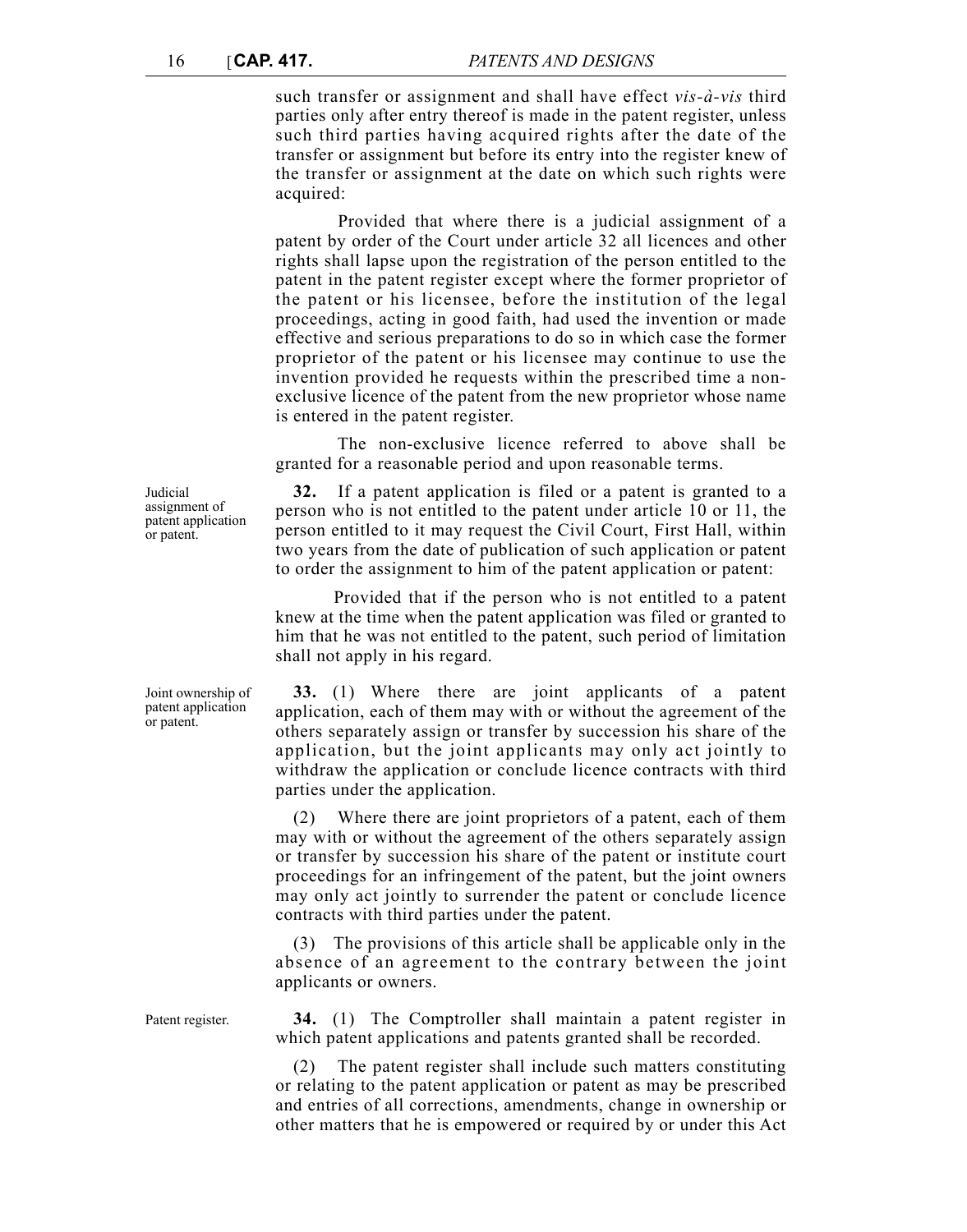such transfer or assignment and shall have effect *vis-à-vis* third parties only after entry thereof is made in the patent register, unless such third parties having acquired rights after the date of the transfer or assignment but before its entry into the register knew of the transfer or assignment at the date on which such rights were acquired:

Provided that where there is a judicial assignment of a patent by order of the Court under article 32 all licences and other rights shall lapse upon the registration of the person entitled to the patent in the patent register except where the former proprietor of the patent or his licensee, before the institution of the legal proceedings, acting in good faith, had used the invention or made effective and serious preparations to do so in which case the former proprietor of the patent or his licensee may continue to use the invention provided he requests within the prescribed time a nonexclusive licence of the patent from the new proprietor whose name is entered in the patent register.

The non-exclusive licence referred to above shall be granted for a reasonable period and upon reasonable terms.

**32.** If a patent application is filed or a patent is granted to a person who is not entitled to the patent under article 10 or 11, the person entitled to it may request the Civil Court, First Hall, within two years from the date of publication of such application or patent to order the assignment to him of the patent application or patent:

Provided that if the person who is not entitled to a patent knew at the time when the patent application was filed or granted to him that he was not entitled to the patent, such period of limitation shall not apply in his regard.

**33.** (1) Where there are joint applicants of a patent application, each of them may with or without the agreement of the others separately assign or transfer by succession his share of the application, but the joint applicants may only act jointly to withdraw the application or conclude licence contracts with third parties under the application.

(2) Where there are joint proprietors of a patent, each of them may with or without the agreement of the others separately assign or transfer by succession his share of the patent or institute court proceedings for an infringement of the patent, but the joint owners may only act jointly to surrender the patent or conclude licence contracts with third parties under the patent.

(3) The provisions of this article shall be applicable only in the absence of an agreement to the contrary between the joint applicants or owners.

Patent register. **34.** (1) The Comptroller shall maintain a patent register in which patent applications and patents granted shall be recorded.

> The patent register shall include such matters constituting or relating to the patent application or patent as may be prescribed and entries of all corrections, amendments, change in ownership or other matters that he is empowered or required by or under this Act

Judicial assignment of patent application or patent.

Joint ownership of patent application or patent.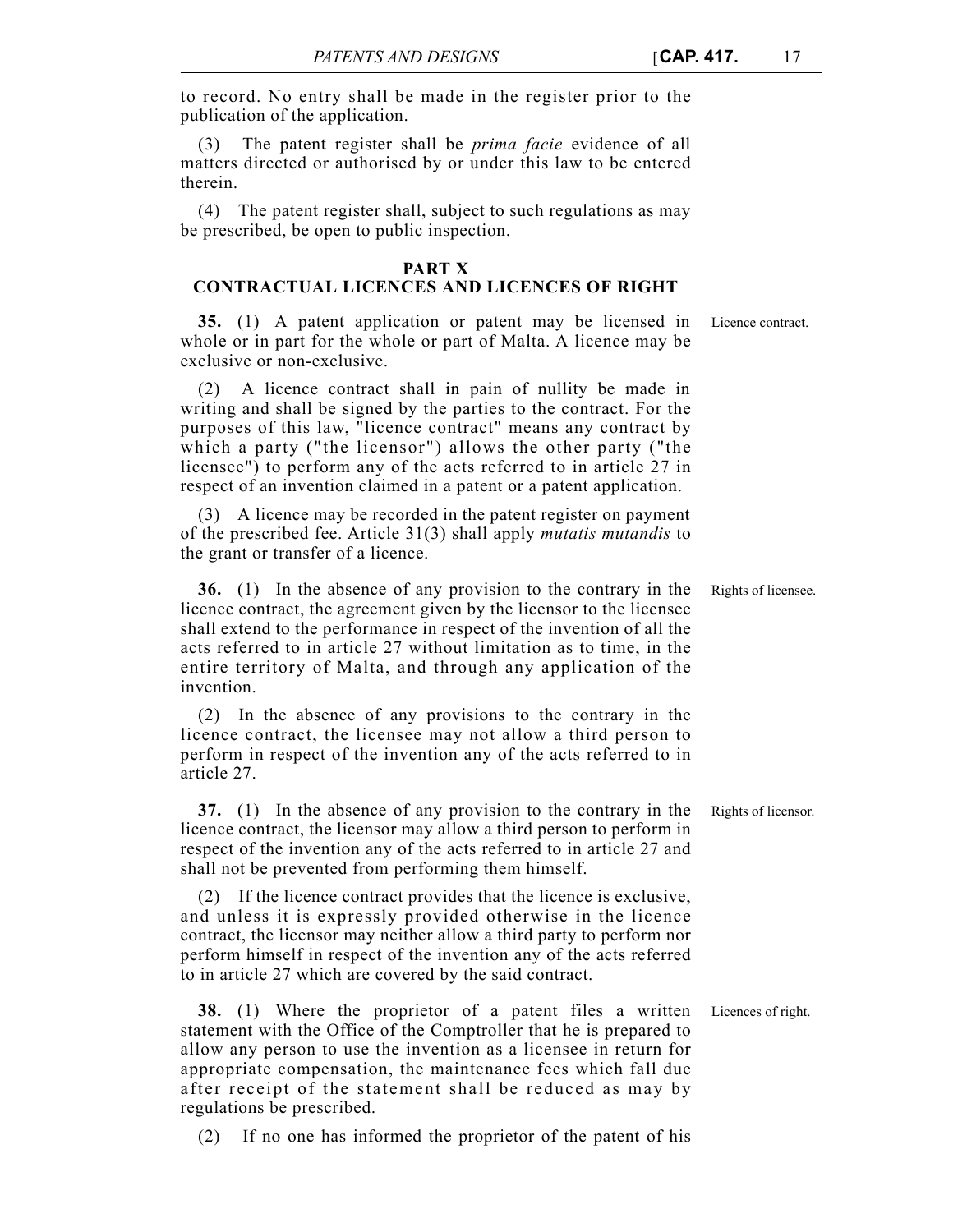to record. No entry shall be made in the register prior to the publication of the application.

(3) The patent register shall be *prima facie* evidence of all matters directed or authorised by or under this law to be entered therein.

(4) The patent register shall, subject to such regulations as may be prescribed, be open to public inspection.

### **PART X**

# **CONTRACTUAL LICENCES AND LICENCES OF RIGHT**

**35.** (1) A patent application or patent may be licensed in Licence contract. whole or in part for the whole or part of Malta. A licence may be exclusive or non-exclusive.

(2) A licence contract shall in pain of nullity be made in writing and shall be signed by the parties to the contract. For the purposes of this law, "licence contract" means any contract by which a party ("the licensor") allows the other party ("the licensee") to perform any of the acts referred to in article 27 in respect of an invention claimed in a patent or a patent application.

(3) A licence may be recorded in the patent register on payment of the prescribed fee. Article 31(3) shall apply *mutatis mutandis* to the grant or transfer of a licence.

**36.** (1) In the absence of any provision to the contrary in the Rights of licensee. licence contract, the agreement given by the licensor to the licensee shall extend to the performance in respect of the invention of all the acts referred to in article 27 without limitation as to time, in the entire territory of Malta, and through any application of the invention.

(2) In the absence of any provisions to the contrary in the licence contract, the licensee may not allow a third person to perform in respect of the invention any of the acts referred to in article 27.

**37.** (1) In the absence of any provision to the contrary in the Rights of licensor. licence contract, the licensor may allow a third person to perform in respect of the invention any of the acts referred to in article 27 and shall not be prevented from performing them himself.

(2) If the licence contract provides that the licence is exclusive, and unless it is expressly provided otherwise in the licence contract, the licensor may neither allow a third party to perform nor perform himself in respect of the invention any of the acts referred to in article 27 which are covered by the said contract.

**38.** (1) Where the proprietor of a patent files a written Licences of right. statement with the Office of the Comptroller that he is prepared to allow any person to use the invention as a licensee in return for appropriate compensation, the maintenance fees which fall due after receipt of the statement shall be reduced as may by regulations be prescribed.

(2) If no one has informed the proprietor of the patent of his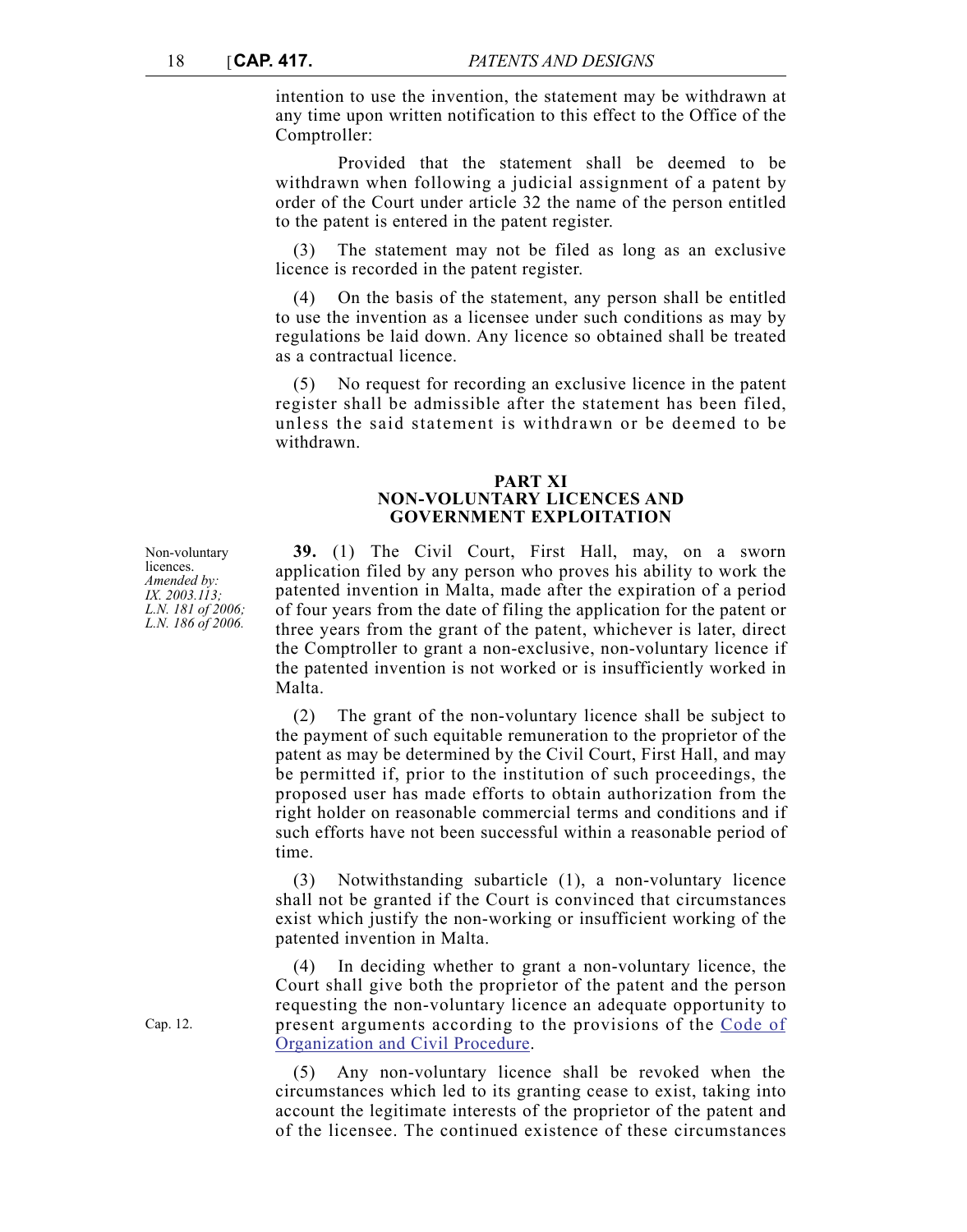intention to use the invention, the statement may be withdrawn at any time upon written notification to this effect to the Office of the Comptroller:

Provided that the statement shall be deemed to be withdrawn when following a judicial assignment of a patent by order of the Court under article 32 the name of the person entitled to the patent is entered in the patent register.

The statement may not be filed as long as an exclusive licence is recorded in the patent register.

(4) On the basis of the statement, any person shall be entitled to use the invention as a licensee under such conditions as may by regulations be laid down. Any licence so obtained shall be treated as a contractual licence.

(5) No request for recording an exclusive licence in the patent register shall be admissible after the statement has been filed, unless the said statement is withdrawn or be deemed to be withdrawn.

### **PART XI NON-VOLUNTARY LICENCES AND GOVERNMENT EXPLOITATION**

**39.** (1) The Civil Court, First Hall, may, on a sworn application filed by any person who proves his ability to work the patented invention in Malta, made after the expiration of a period of four years from the date of filing the application for the patent or three years from the grant of the patent, whichever is later, direct the Comptroller to grant a non-exclusive, non-voluntary licence if the patented invention is not worked or is insufficiently worked in Malta.

(2) The grant of the non-voluntary licence shall be subject to the payment of such equitable remuneration to the proprietor of the patent as may be determined by the Civil Court, First Hall, and may be permitted if, prior to the institution of such proceedings, the proposed user has made efforts to obtain authorization from the right holder on reasonable commercial terms and conditions and if such efforts have not been successful within a reasonable period of time.

(3) Notwithstanding subarticle (1), a non-voluntary licence shall not be granted if the Court is convinced that circumstances exist which justify the non-working or insufficient working of the patented invention in Malta.

(4) In deciding whether to grant a non-voluntary licence, the Court shall give both the proprietor of the patent and the person requesting the non-voluntary licence an adequate opportunity to present arguments according to the provisions of the [Code of](http://www.justiceservices.gov.mt/DownloadDocument.aspx?app=lom&itemid=8577&l=1) [Organization and Civil Procedure](http://www.justiceservices.gov.mt/DownloadDocument.aspx?app=lom&itemid=8577&l=1).

(5) Any non-voluntary licence shall be revoked when the circumstances which led to its granting cease to exist, taking into account the legitimate interests of the proprietor of the patent and of the licensee. The continued existence of these circumstances

Non-voluntary **licences** *Amended by: IX. 2003.113; L.N. 181 of 2006; L.N. 186 of 2006.*

Cap. 12.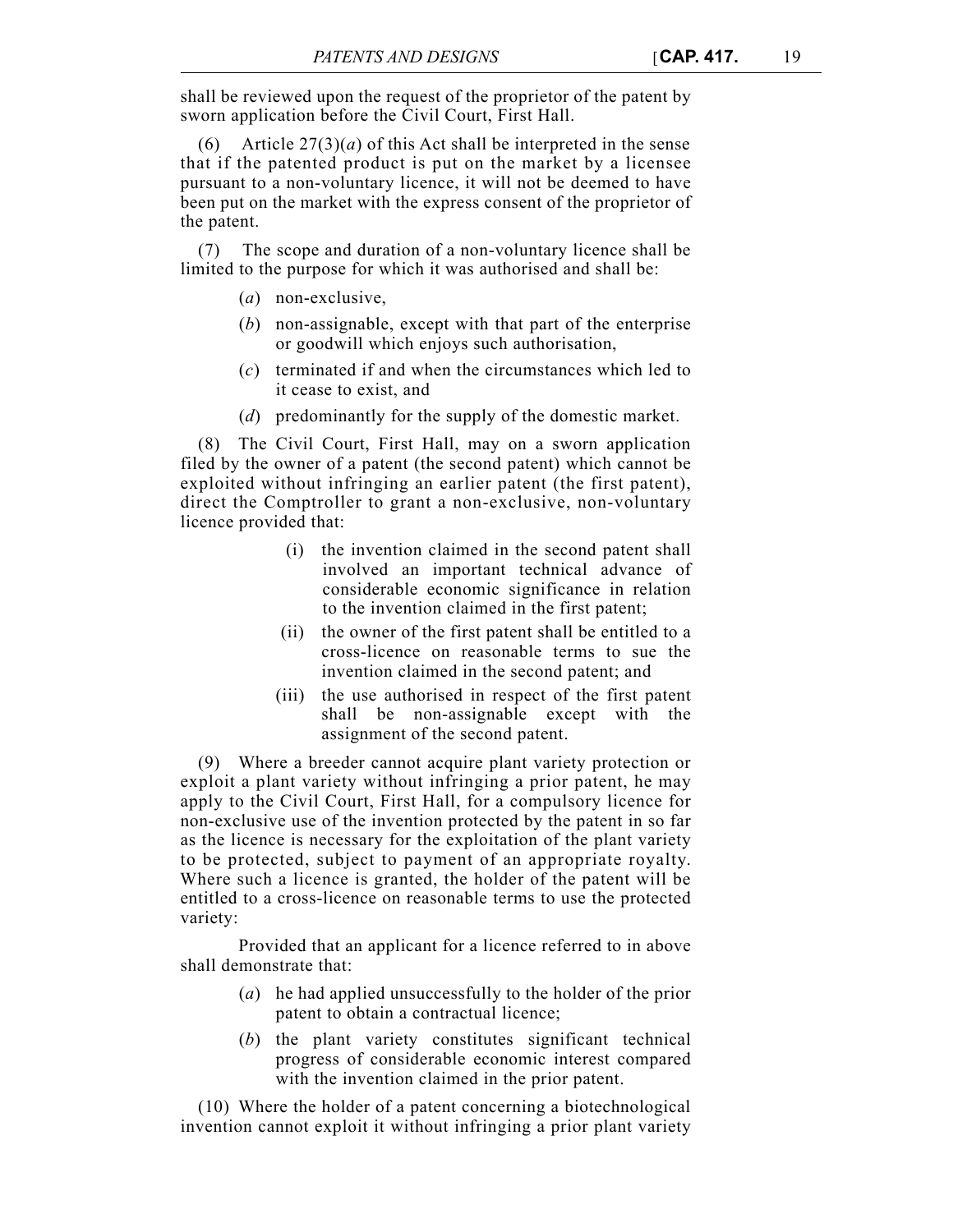shall be reviewed upon the request of the proprietor of the patent by sworn application before the Civil Court, First Hall.

(6) Article  $27(3)(a)$  of this Act shall be interpreted in the sense that if the patented product is put on the market by a licensee pursuant to a non-voluntary licence, it will not be deemed to have been put on the market with the express consent of the proprietor of the patent.

(7) The scope and duration of a non-voluntary licence shall be limited to the purpose for which it was authorised and shall be:

- (*a*) non-exclusive,
- (*b*) non-assignable, except with that part of the enterprise or goodwill which enjoys such authorisation,
- (*c*) terminated if and when the circumstances which led to it cease to exist, and
- (*d*) predominantly for the supply of the domestic market.

(8) The Civil Court, First Hall, may on a sworn application filed by the owner of a patent (the second patent) which cannot be exploited without infringing an earlier patent (the first patent), direct the Comptroller to grant a non-exclusive, non-voluntary licence provided that:

- (i) the invention claimed in the second patent shall involved an important technical advance of considerable economic significance in relation to the invention claimed in the first patent;
- (ii) the owner of the first patent shall be entitled to a cross-licence on reasonable terms to sue the invention claimed in the second patent; and
- (iii) the use authorised in respect of the first patent shall be non-assignable except with the assignment of the second patent.

(9) Where a breeder cannot acquire plant variety protection or exploit a plant variety without infringing a prior patent, he may apply to the Civil Court, First Hall, for a compulsory licence for non-exclusive use of the invention protected by the patent in so far as the licence is necessary for the exploitation of the plant variety to be protected, subject to payment of an appropriate royalty. Where such a licence is granted, the holder of the patent will be entitled to a cross-licence on reasonable terms to use the protected variety:

Provided that an applicant for a licence referred to in above shall demonstrate that:

- (*a*) he had applied unsuccessfully to the holder of the prior patent to obtain a contractual licence;
- (*b*) the plant variety constitutes significant technical progress of considerable economic interest compared with the invention claimed in the prior patent.

(10) Where the holder of a patent concerning a biotechnological invention cannot exploit it without infringing a prior plant variety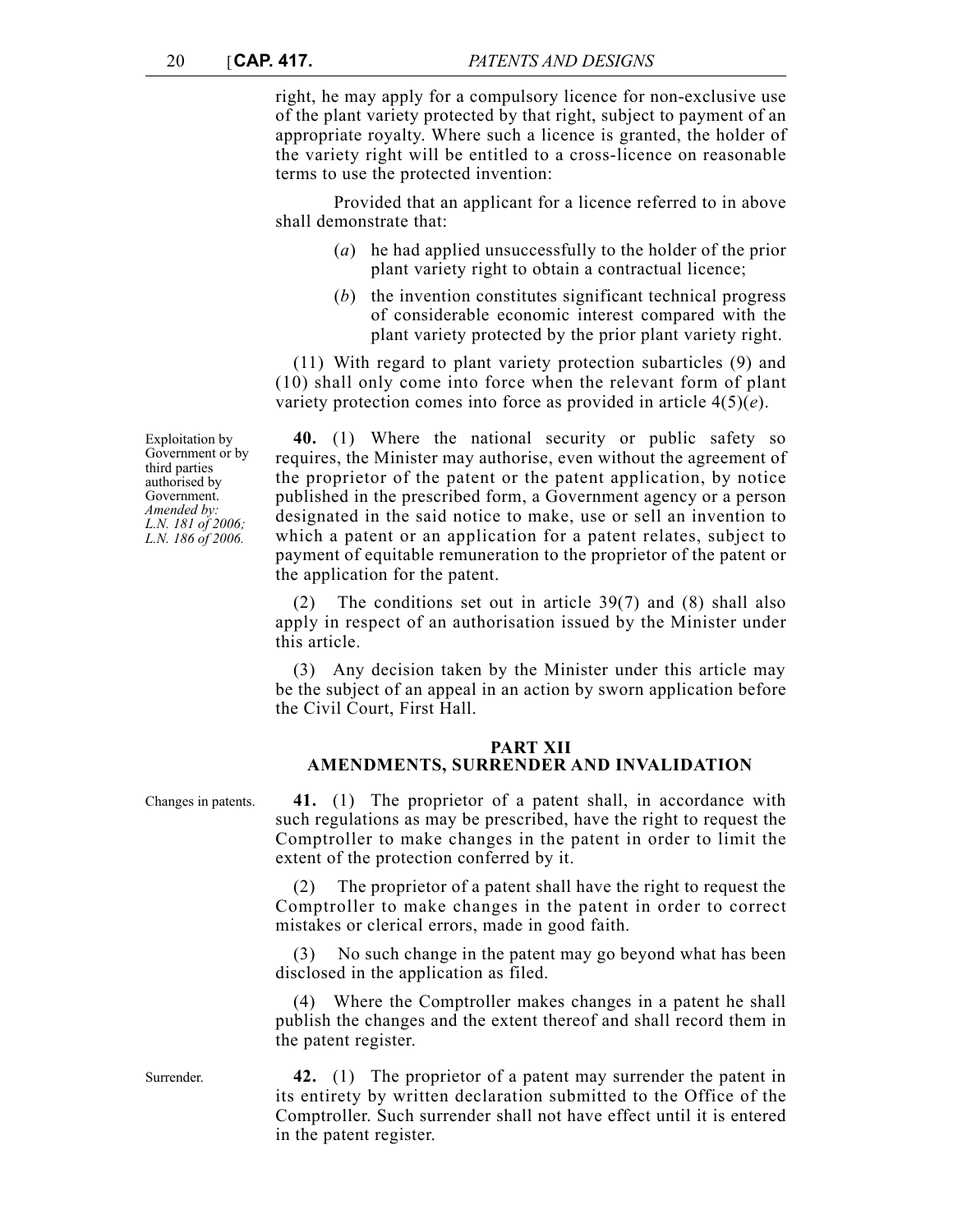right, he may apply for a compulsory licence for non-exclusive use of the plant variety protected by that right, subject to payment of an appropriate royalty. Where such a licence is granted, the holder of the variety right will be entitled to a cross-licence on reasonable terms to use the protected invention:

Provided that an applicant for a licence referred to in above shall demonstrate that:

- (*a*) he had applied unsuccessfully to the holder of the prior plant variety right to obtain a contractual licence;
- (*b*) the invention constitutes significant technical progress of considerable economic interest compared with the plant variety protected by the prior plant variety right.

(11) With regard to plant variety protection subarticles (9) and (10) shall only come into force when the relevant form of plant variety protection comes into force as provided in article 4(5)(*e*).

**40.** (1) Where the national security or public safety so requires, the Minister may authorise, even without the agreement of the proprietor of the patent or the patent application, by notice published in the prescribed form, a Government agency or a person designated in the said notice to make, use or sell an invention to which a patent or an application for a patent relates, subject to payment of equitable remuneration to the proprietor of the patent or the application for the patent.

The conditions set out in article  $39(7)$  and (8) shall also apply in respect of an authorisation issued by the Minister under this article.

(3) Any decision taken by the Minister under this article may be the subject of an appeal in an action by sworn application before the Civil Court, First Hall.

# **PART XII**

# **AMENDMENTS, SURRENDER AND INVALIDATION**

Changes in patents. **41.** (1) The proprietor of a patent shall, in accordance with such regulations as may be prescribed, have the right to request the Comptroller to make changes in the patent in order to limit the extent of the protection conferred by it.

> (2) The proprietor of a patent shall have the right to request the Comptroller to make changes in the patent in order to correct mistakes or clerical errors, made in good faith.

> (3) No such change in the patent may go beyond what has been disclosed in the application as filed.

> (4) Where the Comptroller makes changes in a patent he shall publish the changes and the extent thereof and shall record them in the patent register.

Surrender. **42.** (1) The proprietor of a patent may surrender the patent in its entirety by written declaration submitted to the Office of the Comptroller. Such surrender shall not have effect until it is entered in the patent register.

Exploitation by Government or by third parties authorised by Government. *Amended by: L.N. 181 of 2006; L.N. 186 of 2006.*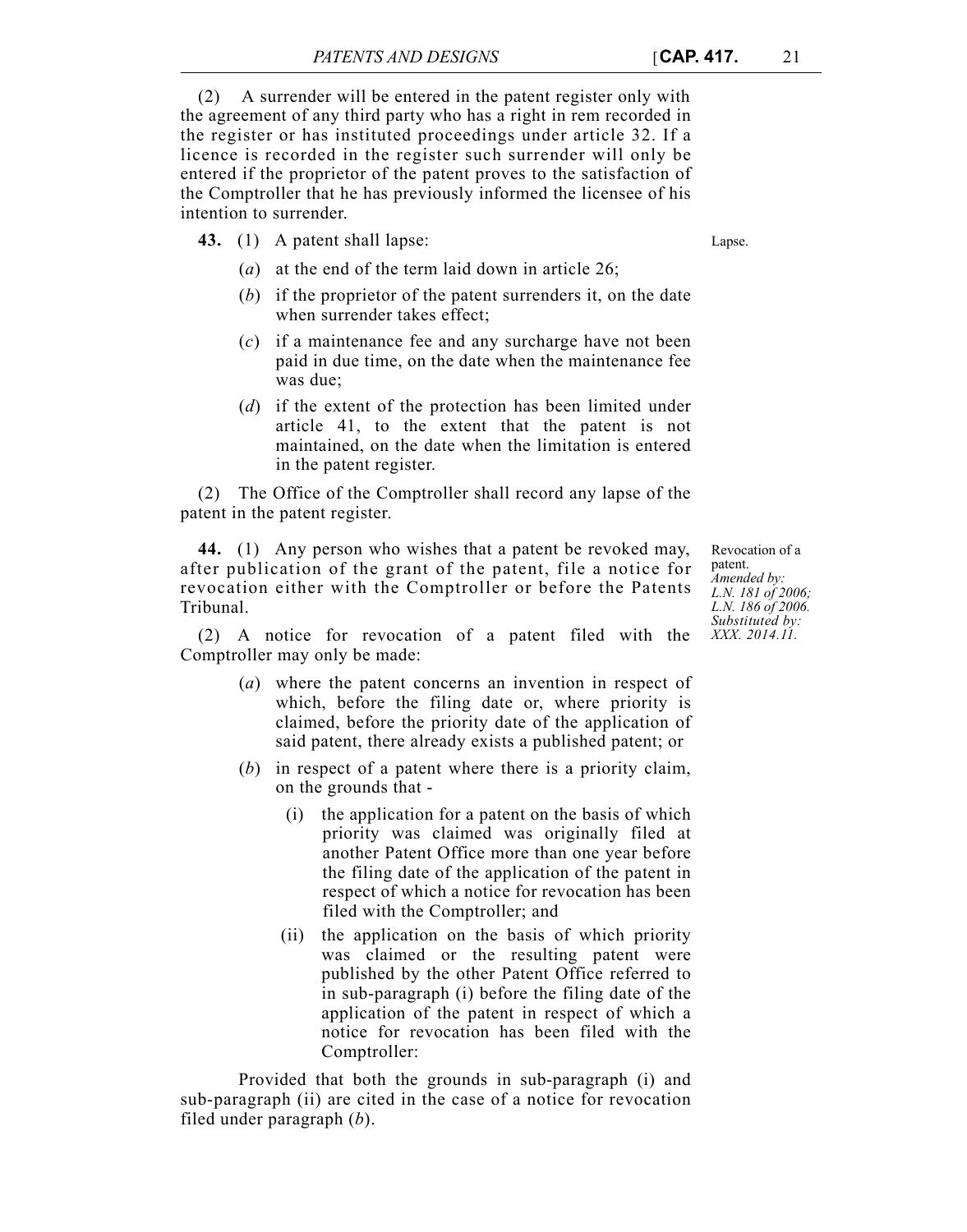(2) A surrender will be entered in the patent register only with the agreement of any third party who has a right in rem recorded in the register or has instituted proceedings under article 32. If a licence is recorded in the register such surrender will only be entered if the proprietor of the patent proves to the satisfaction of the Comptroller that he has previously informed the licensee of his intention to surrender.

**43.** (1) A patent shall lapse: Lapse.

- (*a*) at the end of the term laid down in article 26;
- (*b*) if the proprietor of the patent surrenders it, on the date when surrender takes effect;
- (*c*) if a maintenance fee and any surcharge have not been paid in due time, on the date when the maintenance fee was due;
- (*d*) if the extent of the protection has been limited under article 41, to the extent that the patent is not maintained, on the date when the limitation is entered in the patent register.

(2) The Office of the Comptroller shall record any lapse of the patent in the patent register.

**44.** (1) Any person who wishes that a patent be revoked may, after publication of the grant of the patent, file a notice for revocation either with the Comptroller or before the Patents Tribunal.

(2) A notice for revocation of a patent filed with the Comptroller may only be made:

- (*a*) where the patent concerns an invention in respect of which, before the filing date or, where priority is claimed, before the priority date of the application of said patent, there already exists a published patent; or
- (*b*) in respect of a patent where there is a priority claim, on the grounds that -
	- (i) the application for a patent on the basis of which priority was claimed was originally filed at another Patent Office more than one year before the filing date of the application of the patent in respect of which a notice for revocation has been filed with the Comptroller; and
	- (ii) the application on the basis of which priority was claimed or the resulting patent were published by the other Patent Office referred to in sub-paragraph (i) before the filing date of the application of the patent in respect of which a notice for revocation has been filed with the Comptroller:

Provided that both the grounds in sub-paragraph (i) and sub-paragraph (ii) are cited in the case of a notice for revocation filed under paragraph (*b*).

Revocation of a patent. *Amended by: L.N. 181 of 2006; L.N. 186 of 2006. Substituted by: XXX. 2014.11.*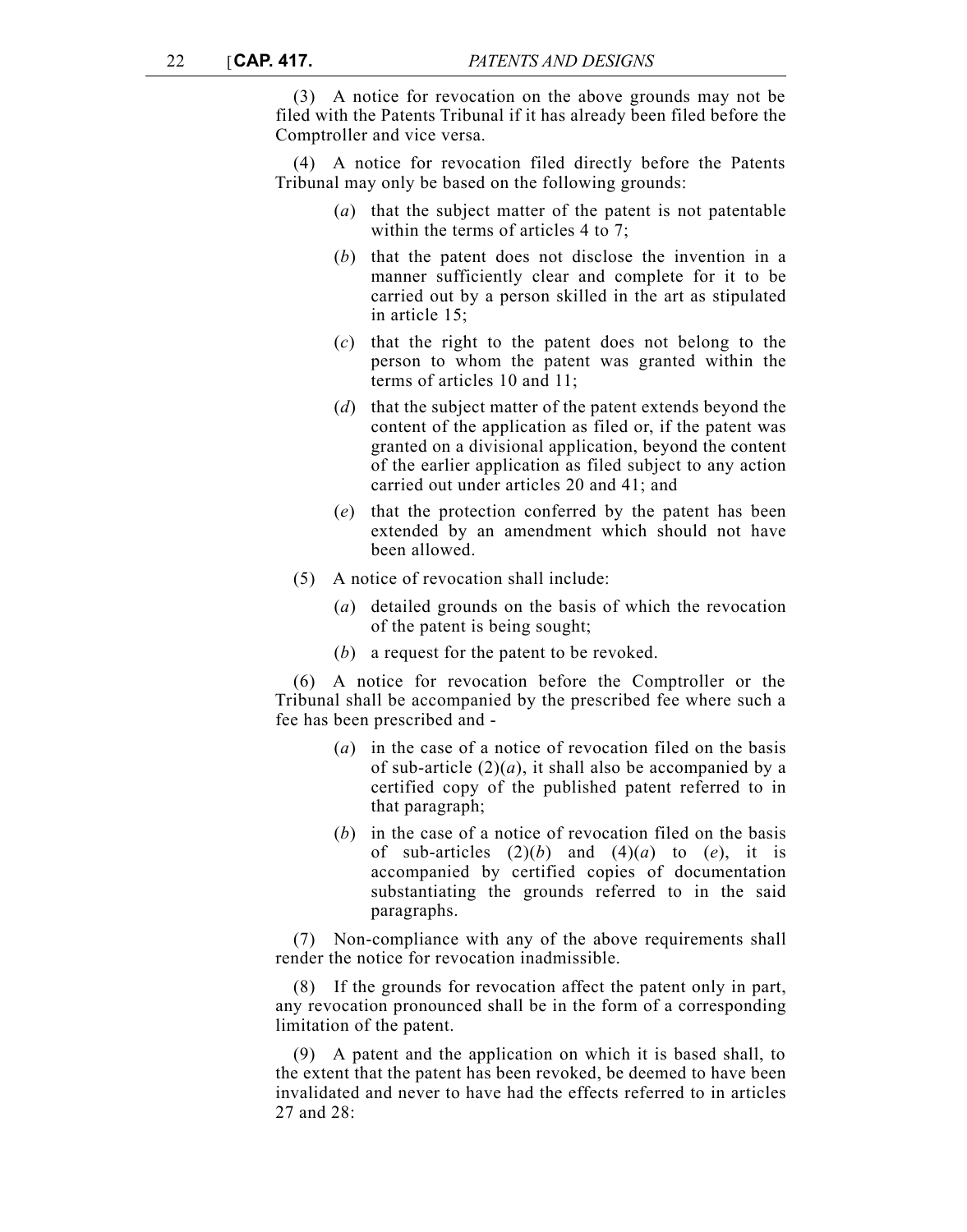(3) A notice for revocation on the above grounds may not be filed with the Patents Tribunal if it has already been filed before the Comptroller and vice versa.

(4) A notice for revocation filed directly before the Patents Tribunal may only be based on the following grounds:

- (*a*) that the subject matter of the patent is not patentable within the terms of articles 4 to 7;
- (*b*) that the patent does not disclose the invention in a manner sufficiently clear and complete for it to be carried out by a person skilled in the art as stipulated in article 15;
- (*c*) that the right to the patent does not belong to the person to whom the patent was granted within the terms of articles 10 and 11;
- (*d*) that the subject matter of the patent extends beyond the content of the application as filed or, if the patent was granted on a divisional application, beyond the content of the earlier application as filed subject to any action carried out under articles 20 and 41; and
- (*e*) that the protection conferred by the patent has been extended by an amendment which should not have been allowed.
- (5) A notice of revocation shall include:
	- (*a*) detailed grounds on the basis of which the revocation of the patent is being sought;
	- (*b*) a request for the patent to be revoked.

(6) A notice for revocation before the Comptroller or the Tribunal shall be accompanied by the prescribed fee where such a fee has been prescribed and -

- (*a*) in the case of a notice of revocation filed on the basis of sub-article  $(2)(a)$ , it shall also be accompanied by a certified copy of the published patent referred to in that paragraph;
- (*b*) in the case of a notice of revocation filed on the basis of sub-articles  $(2)(b)$  and  $(4)(a)$  to  $(e)$ , it is accompanied by certified copies of documentation substantiating the grounds referred to in the said paragraphs.

(7) Non-compliance with any of the above requirements shall render the notice for revocation inadmissible.

(8) If the grounds for revocation affect the patent only in part, any revocation pronounced shall be in the form of a corresponding limitation of the patent.

(9) A patent and the application on which it is based shall, to the extent that the patent has been revoked, be deemed to have been invalidated and never to have had the effects referred to in articles 27 and  $28$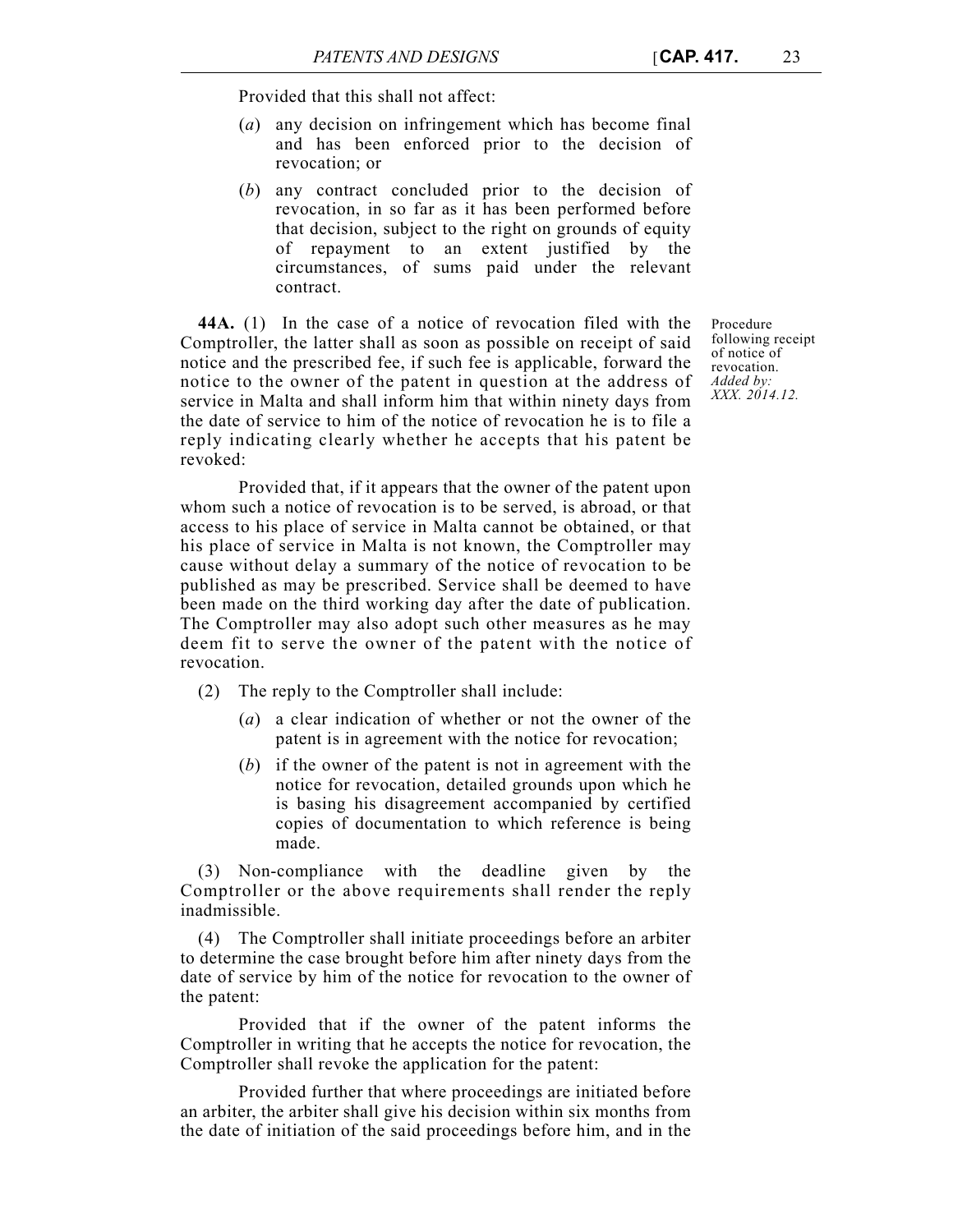Provided that this shall not affect:

- (*a*) any decision on infringement which has become final and has been enforced prior to the decision of revocation; or
- (*b*) any contract concluded prior to the decision of revocation, in so far as it has been performed before that decision, subject to the right on grounds of equity of repayment to an extent justified by the circumstances, of sums paid under the relevant contract.

**44A.** (1) In the case of a notice of revocation filed with the Comptroller, the latter shall as soon as possible on receipt of said notice and the prescribed fee, if such fee is applicable, forward the notice to the owner of the patent in question at the address of service in Malta and shall inform him that within ninety days from the date of service to him of the notice of revocation he is to file a reply indicating clearly whether he accepts that his patent be revoked:

Provided that, if it appears that the owner of the patent upon whom such a notice of revocation is to be served, is abroad, or that access to his place of service in Malta cannot be obtained, or that his place of service in Malta is not known, the Comptroller may cause without delay a summary of the notice of revocation to be published as may be prescribed. Service shall be deemed to have been made on the third working day after the date of publication. The Comptroller may also adopt such other measures as he may deem fit to serve the owner of the patent with the notice of revocation.

(2) The reply to the Comptroller shall include:

- (*a*) a clear indication of whether or not the owner of the patent is in agreement with the notice for revocation;
- (*b*) if the owner of the patent is not in agreement with the notice for revocation, detailed grounds upon which he is basing his disagreement accompanied by certified copies of documentation to which reference is being made.

(3) Non-compliance with the deadline given by the Comptroller or the above requirements shall render the reply inadmissible.

(4) The Comptroller shall initiate proceedings before an arbiter to determine the case brought before him after ninety days from the date of service by him of the notice for revocation to the owner of the patent:

Provided that if the owner of the patent informs the Comptroller in writing that he accepts the notice for revocation, the Comptroller shall revoke the application for the patent:

Provided further that where proceedings are initiated before an arbiter, the arbiter shall give his decision within six months from the date of initiation of the said proceedings before him, and in the

Procedure following receipt of notice of revocation. *Added by: XXX. 2014.12.*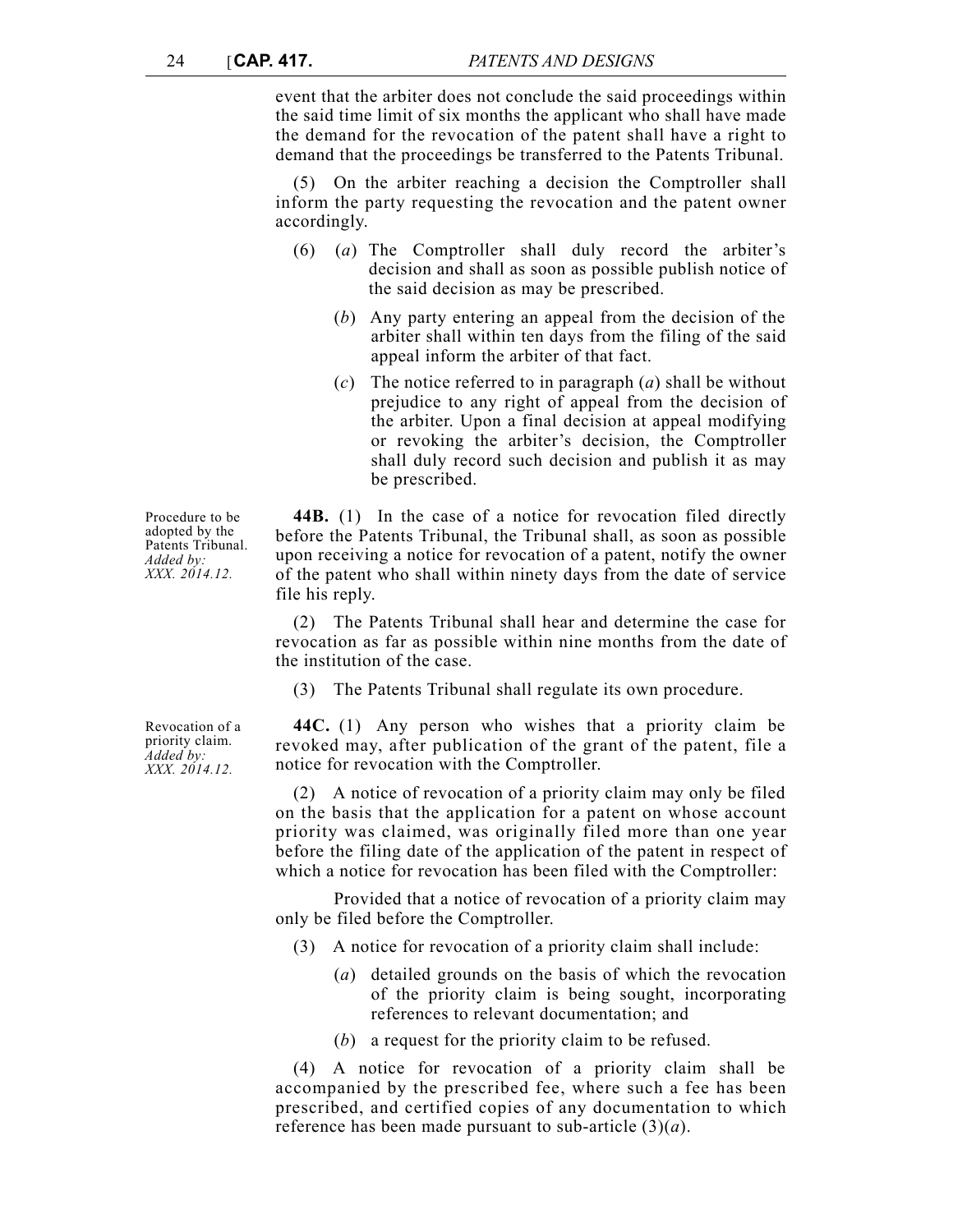event that the arbiter does not conclude the said proceedings within the said time limit of six months the applicant who shall have made the demand for the revocation of the patent shall have a right to demand that the proceedings be transferred to the Patents Tribunal.

(5) On the arbiter reaching a decision the Comptroller shall inform the party requesting the revocation and the patent owner accordingly.

- (6) (*a*) The Comptroller shall duly record the arbiter's decision and shall as soon as possible publish notice of the said decision as may be prescribed.
	- (*b*) Any party entering an appeal from the decision of the arbiter shall within ten days from the filing of the said appeal inform the arbiter of that fact.
	- (*c*) The notice referred to in paragraph (*a*) shall be without prejudice to any right of appeal from the decision of the arbiter. Upon a final decision at appeal modifying or revoking the arbiter's decision, the Comptroller shall duly record such decision and publish it as may be prescribed.

**44B.** (1) In the case of a notice for revocation filed directly before the Patents Tribunal, the Tribunal shall, as soon as possible upon receiving a notice for revocation of a patent, notify the owner of the patent who shall within ninety days from the date of service file his reply.

(2) The Patents Tribunal shall hear and determine the case for revocation as far as possible within nine months from the date of the institution of the case.

(3) The Patents Tribunal shall regulate its own procedure.

**44C.** (1) Any person who wishes that a priority claim be revoked may, after publication of the grant of the patent, file a notice for revocation with the Comptroller.

(2) A notice of revocation of a priority claim may only be filed on the basis that the application for a patent on whose account priority was claimed, was originally filed more than one year before the filing date of the application of the patent in respect of which a notice for revocation has been filed with the Comptroller:

Provided that a notice of revocation of a priority claim may only be filed before the Comptroller.

- (3) A notice for revocation of a priority claim shall include:
	- (*a*) detailed grounds on the basis of which the revocation of the priority claim is being sought, incorporating references to relevant documentation; and
	- (*b*) a request for the priority claim to be refused.

(4) A notice for revocation of a priority claim shall be accompanied by the prescribed fee, where such a fee has been prescribed, and certified copies of any documentation to which reference has been made pursuant to sub-article (3)(*a*).

Revocation of a priority claim. *Added by: XXX. 2014.12.*

Procedure to be adopted by the Patents Tribunal. *Added by: XXX. 2014.12.*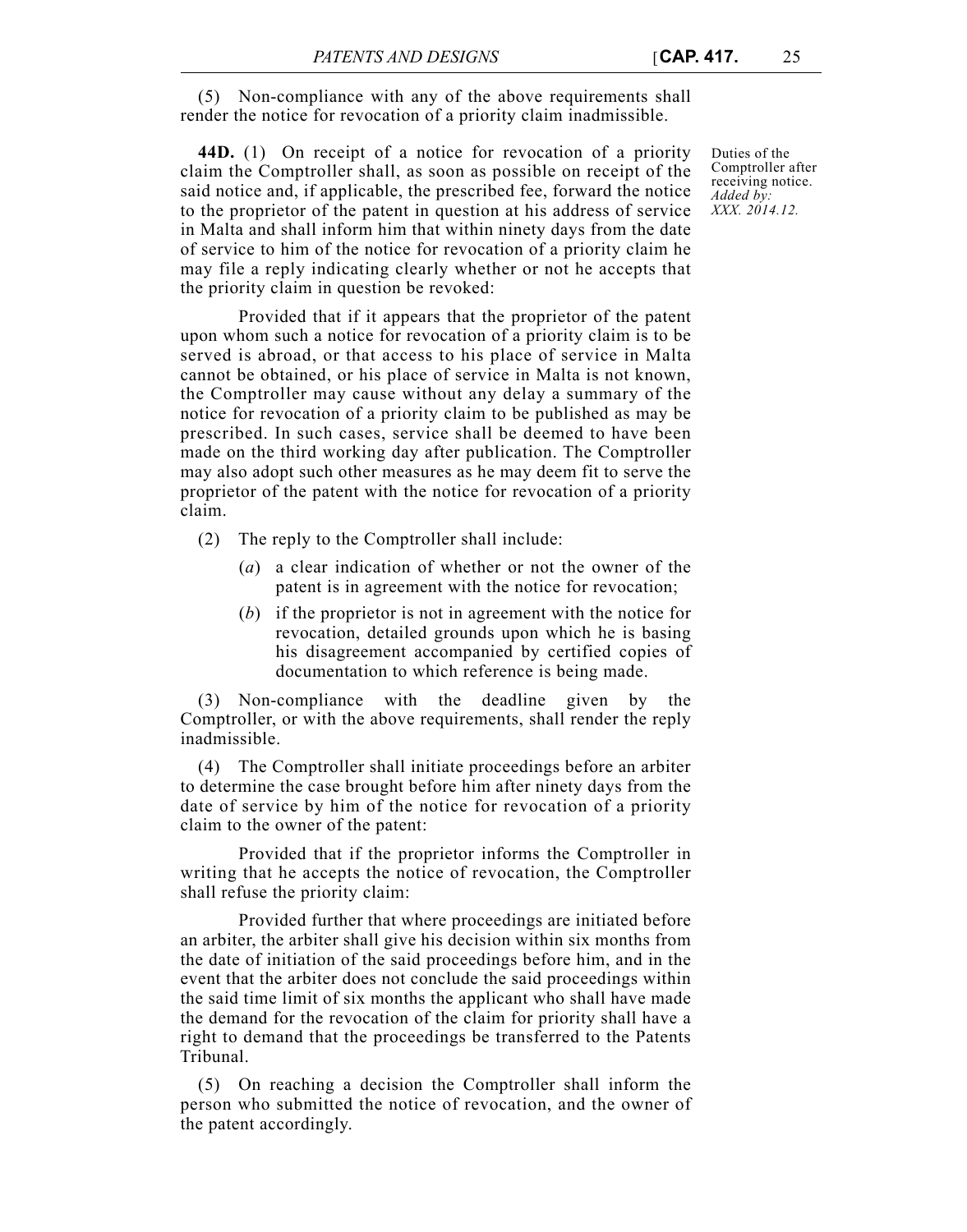(5) Non-compliance with any of the above requirements shall render the notice for revocation of a priority claim inadmissible.

**44D.** (1) On receipt of a notice for revocation of a priority claim the Comptroller shall, as soon as possible on receipt of the said notice and, if applicable, the prescribed fee, forward the notice to the proprietor of the patent in question at his address of service in Malta and shall inform him that within ninety days from the date of service to him of the notice for revocation of a priority claim he may file a reply indicating clearly whether or not he accepts that the priority claim in question be revoked:

Provided that if it appears that the proprietor of the patent upon whom such a notice for revocation of a priority claim is to be served is abroad, or that access to his place of service in Malta cannot be obtained, or his place of service in Malta is not known, the Comptroller may cause without any delay a summary of the notice for revocation of a priority claim to be published as may be prescribed. In such cases, service shall be deemed to have been made on the third working day after publication. The Comptroller may also adopt such other measures as he may deem fit to serve the proprietor of the patent with the notice for revocation of a priority claim.

(2) The reply to the Comptroller shall include:

- (*a*) a clear indication of whether or not the owner of the patent is in agreement with the notice for revocation;
- (*b*) if the proprietor is not in agreement with the notice for revocation, detailed grounds upon which he is basing his disagreement accompanied by certified copies of documentation to which reference is being made.

(3) Non-compliance with the deadline given by the Comptroller, or with the above requirements, shall render the reply inadmissible.

(4) The Comptroller shall initiate proceedings before an arbiter to determine the case brought before him after ninety days from the date of service by him of the notice for revocation of a priority claim to the owner of the patent:

Provided that if the proprietor informs the Comptroller in writing that he accepts the notice of revocation, the Comptroller shall refuse the priority claim:

Provided further that where proceedings are initiated before an arbiter, the arbiter shall give his decision within six months from the date of initiation of the said proceedings before him, and in the event that the arbiter does not conclude the said proceedings within the said time limit of six months the applicant who shall have made the demand for the revocation of the claim for priority shall have a right to demand that the proceedings be transferred to the Patents Tribunal.

(5) On reaching a decision the Comptroller shall inform the person who submitted the notice of revocation, and the owner of the patent accordingly.

Duties of the Comptroller after receiving notice. *Added by: XXX. 2014.12.*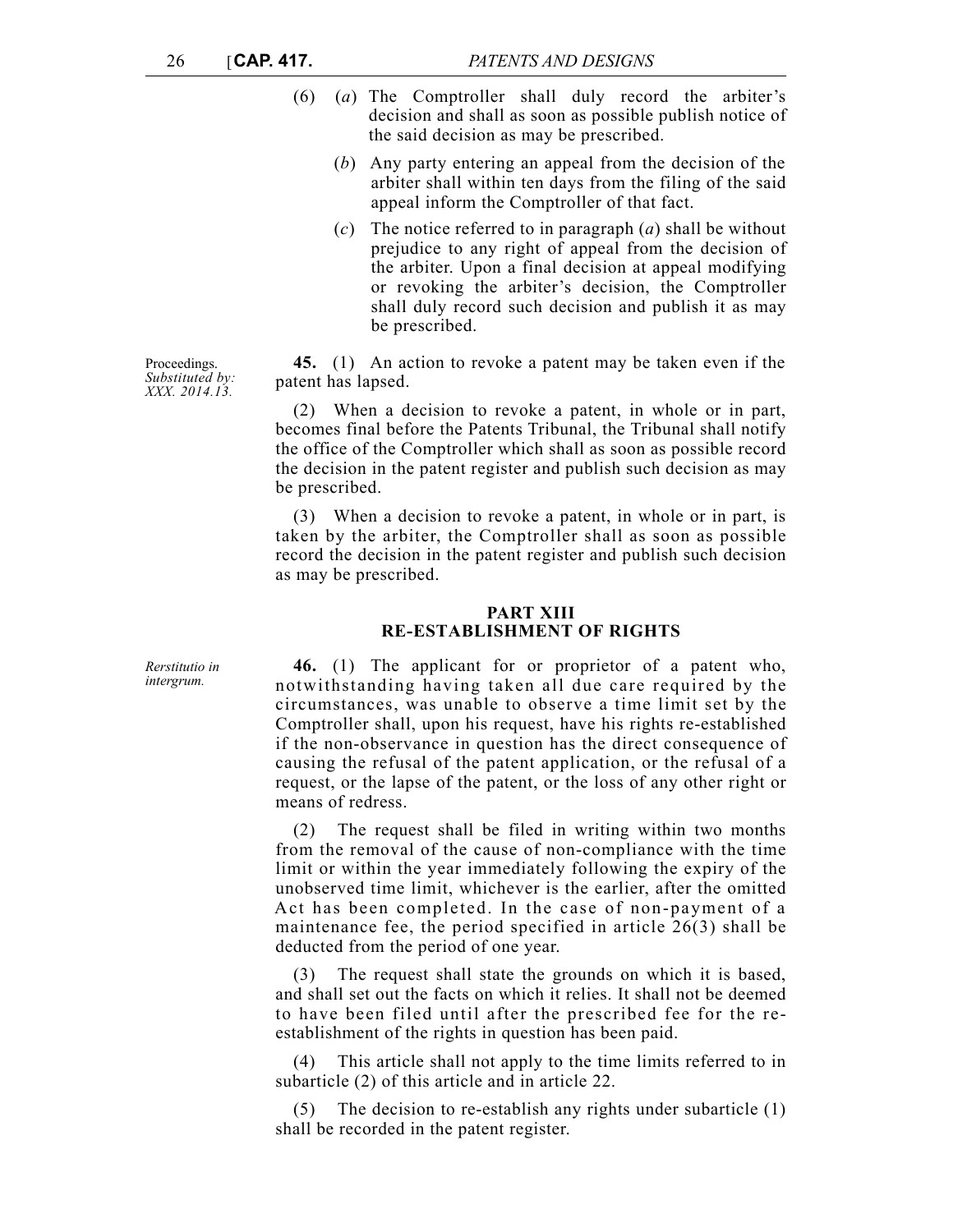- (6) (*a*) The Comptroller shall duly record the arbiter's decision and shall as soon as possible publish notice of the said decision as may be prescribed.
	- (*b*) Any party entering an appeal from the decision of the arbiter shall within ten days from the filing of the said appeal inform the Comptroller of that fact.
	- (*c*) The notice referred to in paragraph (*a*) shall be without prejudice to any right of appeal from the decision of the arbiter. Upon a final decision at appeal modifying or revoking the arbiter's decision, the Comptroller shall duly record such decision and publish it as may be prescribed.

**45.** (1) An action to revoke a patent may be taken even if the patent has lapsed.

(2) When a decision to revoke a patent, in whole or in part, becomes final before the Patents Tribunal, the Tribunal shall notify the office of the Comptroller which shall as soon as possible record the decision in the patent register and publish such decision as may be prescribed.

(3) When a decision to revoke a patent, in whole or in part, is taken by the arbiter, the Comptroller shall as soon as possible record the decision in the patent register and publish such decision as may be prescribed.

### **PART XIII RE-ESTABLISHMENT OF RIGHTS**

**46.** (1) The applicant for or proprietor of a patent who, notwithstanding having taken all due care required by the circumstances, was unable to observe a time limit set by the Comptroller shall, upon his request, have his rights re-established if the non-observance in question has the direct consequence of causing the refusal of the patent application, or the refusal of a request, or the lapse of the patent, or the loss of any other right or means of redress.

(2) The request shall be filed in writing within two months from the removal of the cause of non-compliance with the time limit or within the year immediately following the expiry of the unobserved time limit, whichever is the earlier, after the omitted Act has been completed. In the case of non-payment of a maintenance fee, the period specified in article 26(3) shall be deducted from the period of one year.

(3) The request shall state the grounds on which it is based, and shall set out the facts on which it relies. It shall not be deemed to have been filed until after the prescribed fee for the reestablishment of the rights in question has been paid.

This article shall not apply to the time limits referred to in subarticle (2) of this article and in article 22.

(5) The decision to re-establish any rights under subarticle (1) shall be recorded in the patent register.

Proceedings. *Substituted by: XXX. 2014.13.*

*Rerstitutio in intergrum.*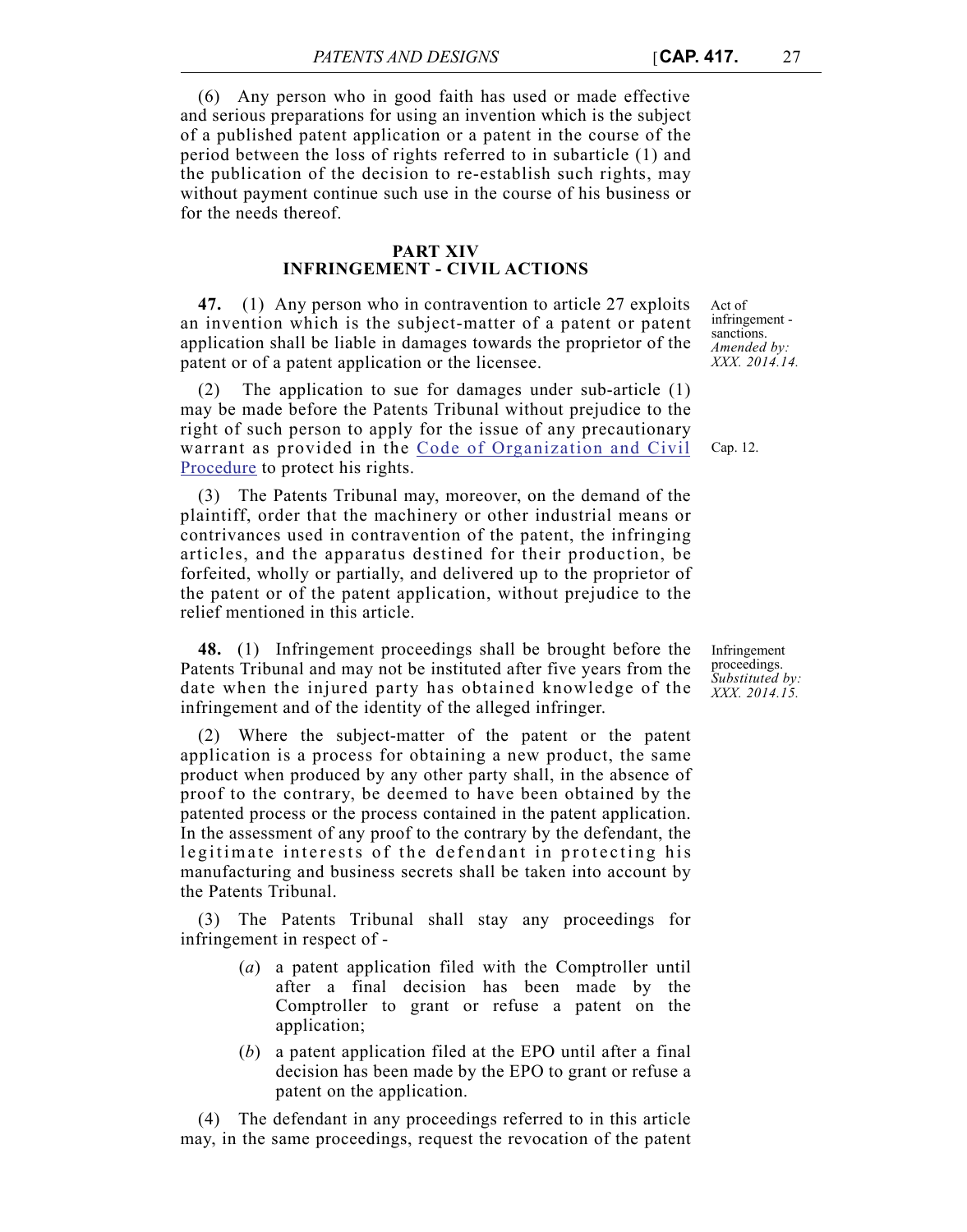(6) Any person who in good faith has used or made effective and serious preparations for using an invention which is the subject of a published patent application or a patent in the course of the period between the loss of rights referred to in subarticle (1) and the publication of the decision to re-establish such rights, may without payment continue such use in the course of his business or for the needs thereof.

#### **PART XIV INFRINGEMENT - CIVIL ACTIONS**

**47.** (1) Any person who in contravention to article 27 exploits an invention which is the subject-matter of a patent or patent application shall be liable in damages towards the proprietor of the patent or of a patent application or the licensee.

The application to sue for damages under sub-article  $(1)$ may be made before the Patents Tribunal without prejudice to the right of such person to apply for the issue of any precautionary warrant as provided in the [Code of Organization and Civil](http://www.justiceservices.gov.mt/DownloadDocument.aspx?app=lom&itemid=8577&l=1) [Procedure](http://www.justiceservices.gov.mt/DownloadDocument.aspx?app=lom&itemid=8577&l=1) to protect his rights.

(3) The Patents Tribunal may, moreover, on the demand of the plaintiff, order that the machinery or other industrial means or contrivances used in contravention of the patent, the infringing articles, and the apparatus destined for their production, be forfeited, wholly or partially, and delivered up to the proprietor of the patent or of the patent application, without prejudice to the relief mentioned in this article.

**48.** (1) Infringement proceedings shall be brought before the Patents Tribunal and may not be instituted after five years from the date when the injured party has obtained knowledge of the infringement and of the identity of the alleged infringer.

(2) Where the subject-matter of the patent or the patent application is a process for obtaining a new product, the same product when produced by any other party shall, in the absence of proof to the contrary, be deemed to have been obtained by the patented process or the process contained in the patent application. In the assessment of any proof to the contrary by the defendant, the legitimate interests of the defendant in protecting his manufacturing and business secrets shall be taken into account by the Patents Tribunal.

(3) The Patents Tribunal shall stay any proceedings for infringement in respect of -

- (*a*) a patent application filed with the Comptroller until after a final decision has been made by the Comptroller to grant or refuse a patent on the application;
- (*b*) a patent application filed at the EPO until after a final decision has been made by the EPO to grant or refuse a patent on the application.

(4) The defendant in any proceedings referred to in this article may, in the same proceedings, request the revocation of the patent Act of infringement sanctions. *Amended by: XXX. 2014.14.*

Cap. 12.

Infringement proceedings. *Substituted by: XXX. 2014.15.*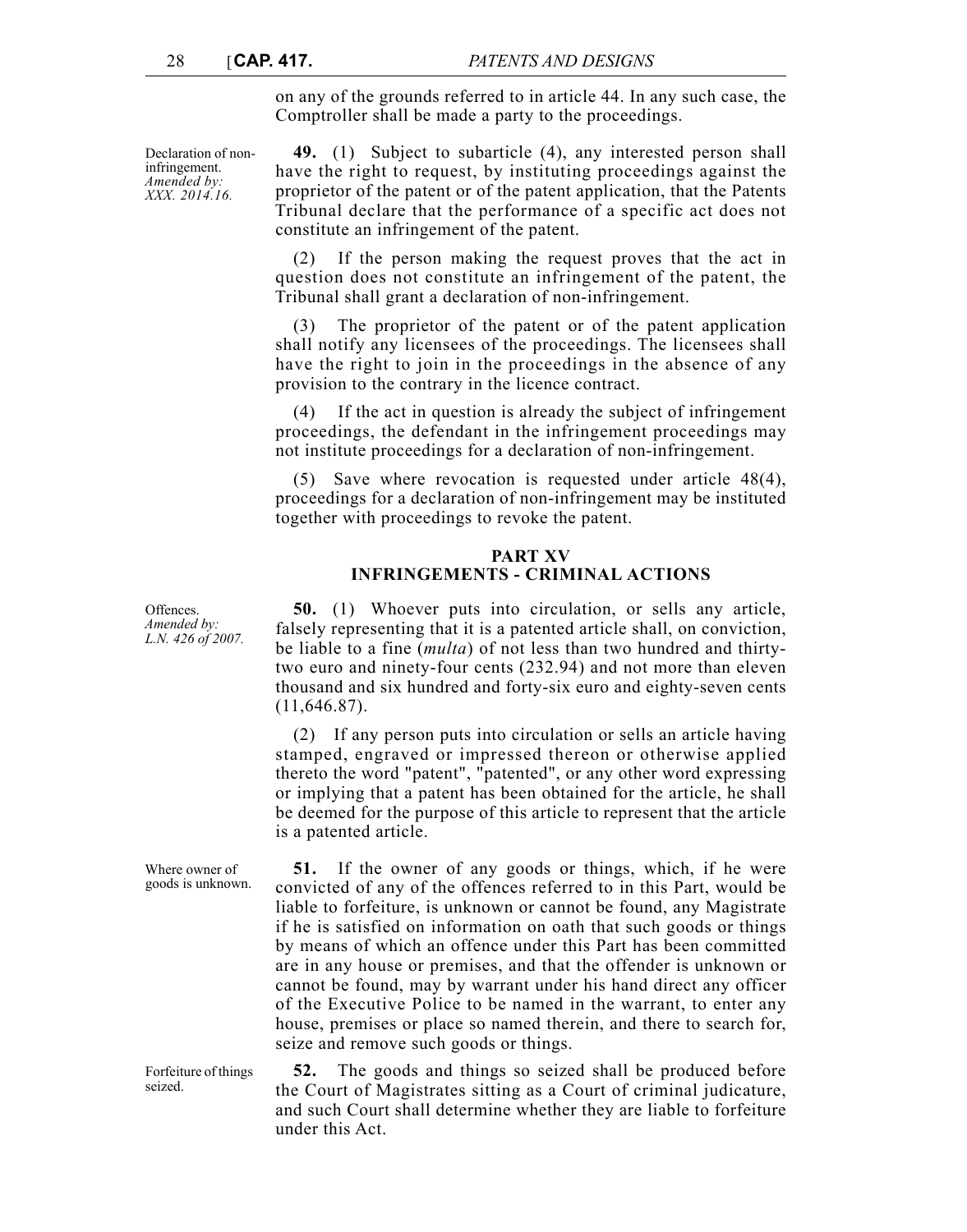infringement. *Amended by: XXX. 2014.16.* on any of the grounds referred to in article 44. In any such case, the Comptroller shall be made a party to the proceedings.

Declaration of non-**49.** (1) Subject to subarticle (4), any interested person shall have the right to request, by instituting proceedings against the proprietor of the patent or of the patent application, that the Patents Tribunal declare that the performance of a specific act does not constitute an infringement of the patent.

> (2) If the person making the request proves that the act in question does not constitute an infringement of the patent, the Tribunal shall grant a declaration of non-infringement.

> (3) The proprietor of the patent or of the patent application shall notify any licensees of the proceedings. The licensees shall have the right to join in the proceedings in the absence of any provision to the contrary in the licence contract.

> (4) If the act in question is already the subject of infringement proceedings, the defendant in the infringement proceedings may not institute proceedings for a declaration of non-infringement.

> (5) Save where revocation is requested under article 48(4), proceedings for a declaration of non-infringement may be instituted together with proceedings to revoke the patent.

## **PART XV INFRINGEMENTS - CRIMINAL ACTIONS**

**50.** (1) Whoever puts into circulation, or sells any article, falsely representing that it is a patented article shall, on conviction, be liable to a fine (*multa*) of not less than two hundred and thirtytwo euro and ninety-four cents (232.94) and not more than eleven thousand and six hundred and forty-six euro and eighty-seven cents (11,646.87).

(2) If any person puts into circulation or sells an article having stamped, engraved or impressed thereon or otherwise applied thereto the word "patent", "patented", or any other word expressing or implying that a patent has been obtained for the article, he shall be deemed for the purpose of this article to represent that the article is a patented article.

**51.** If the owner of any goods or things, which, if he were convicted of any of the offences referred to in this Part, would be liable to forfeiture, is unknown or cannot be found, any Magistrate if he is satisfied on information on oath that such goods or things by means of which an offence under this Part has been committed are in any house or premises, and that the offender is unknown or cannot be found, may by warrant under his hand direct any officer of the Executive Police to be named in the warrant, to enter any house, premises or place so named therein, and there to search for, seize and remove such goods or things.

**52.** The goods and things so seized shall be produced before the Court of Magistrates sitting as a Court of criminal judicature, and such Court shall determine whether they are liable to forfeiture under this Act.

**Offences** *Amended by: L.N. 426 of 2007.*

Where owner of goods is unknown.

Forfeiture of things seized.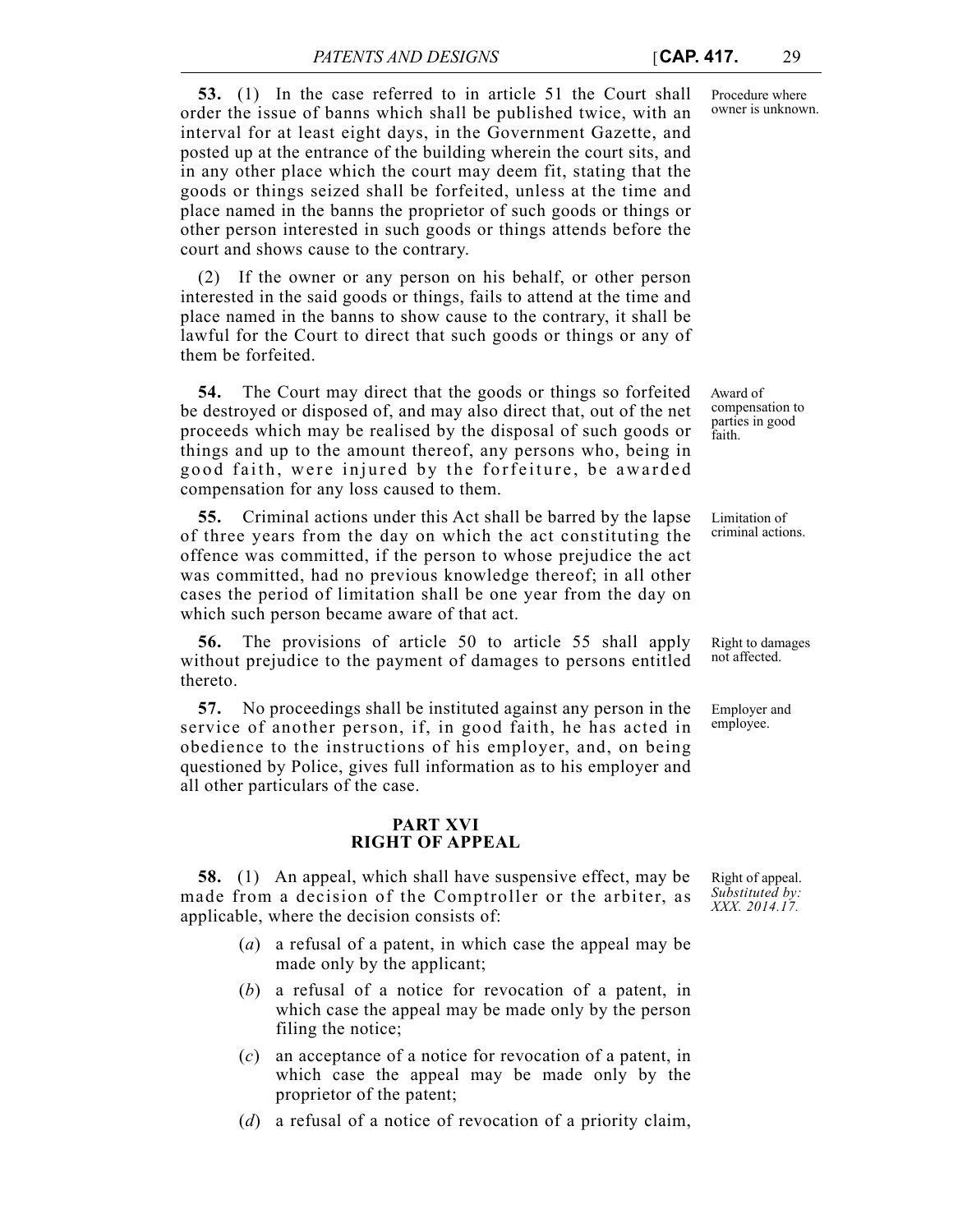**53.** (1) In the case referred to in article 51 the Court shall order the issue of banns which shall be published twice, with an interval for at least eight days, in the Government Gazette, and posted up at the entrance of the building wherein the court sits, and in any other place which the court may deem fit, stating that the goods or things seized shall be forfeited, unless at the time and place named in the banns the proprietor of such goods or things or other person interested in such goods or things attends before the court and shows cause to the contrary.

(2) If the owner or any person on his behalf, or other person interested in the said goods or things, fails to attend at the time and place named in the banns to show cause to the contrary, it shall be lawful for the Court to direct that such goods or things or any of them be forfeited.

**54.** The Court may direct that the goods or things so forfeited be destroyed or disposed of, and may also direct that, out of the net proceeds which may be realised by the disposal of such goods or things and up to the amount thereof, any persons who, being in good faith, were injured by the forfeiture, be awarded compensation for any loss caused to them.

**55.** Criminal actions under this Act shall be barred by the lapse of three years from the day on which the act constituting the offence was committed, if the person to whose prejudice the act was committed, had no previous knowledge thereof; in all other cases the period of limitation shall be one year from the day on which such person became aware of that act.

**56.** The provisions of article 50 to article 55 shall apply without prejudice to the payment of damages to persons entitled thereto.

**57.** No proceedings shall be instituted against any person in the service of another person, if, in good faith, he has acted in obedience to the instructions of his employer, and, on being questioned by Police, gives full information as to his employer and all other particulars of the case.

### **PART XVI RIGHT OF APPEAL**

**58.** (1) An appeal, which shall have suspensive effect, may be made from a decision of the Comptroller or the arbiter, as applicable, where the decision consists of:

- (*a*) a refusal of a patent, in which case the appeal may be made only by the applicant;
- (*b*) a refusal of a notice for revocation of a patent, in which case the appeal may be made only by the person filing the notice;
- (*c*) an acceptance of a notice for revocation of a patent, in which case the appeal may be made only by the proprietor of the patent;
- (*d*) a refusal of a notice of revocation of a priority claim,

Award of compensation to parties in good faith.

Limitation of criminal actions.

Right to damages not affected.

Employer and employee.

Right of appeal. *Substituted by: XXX. 2014.17.*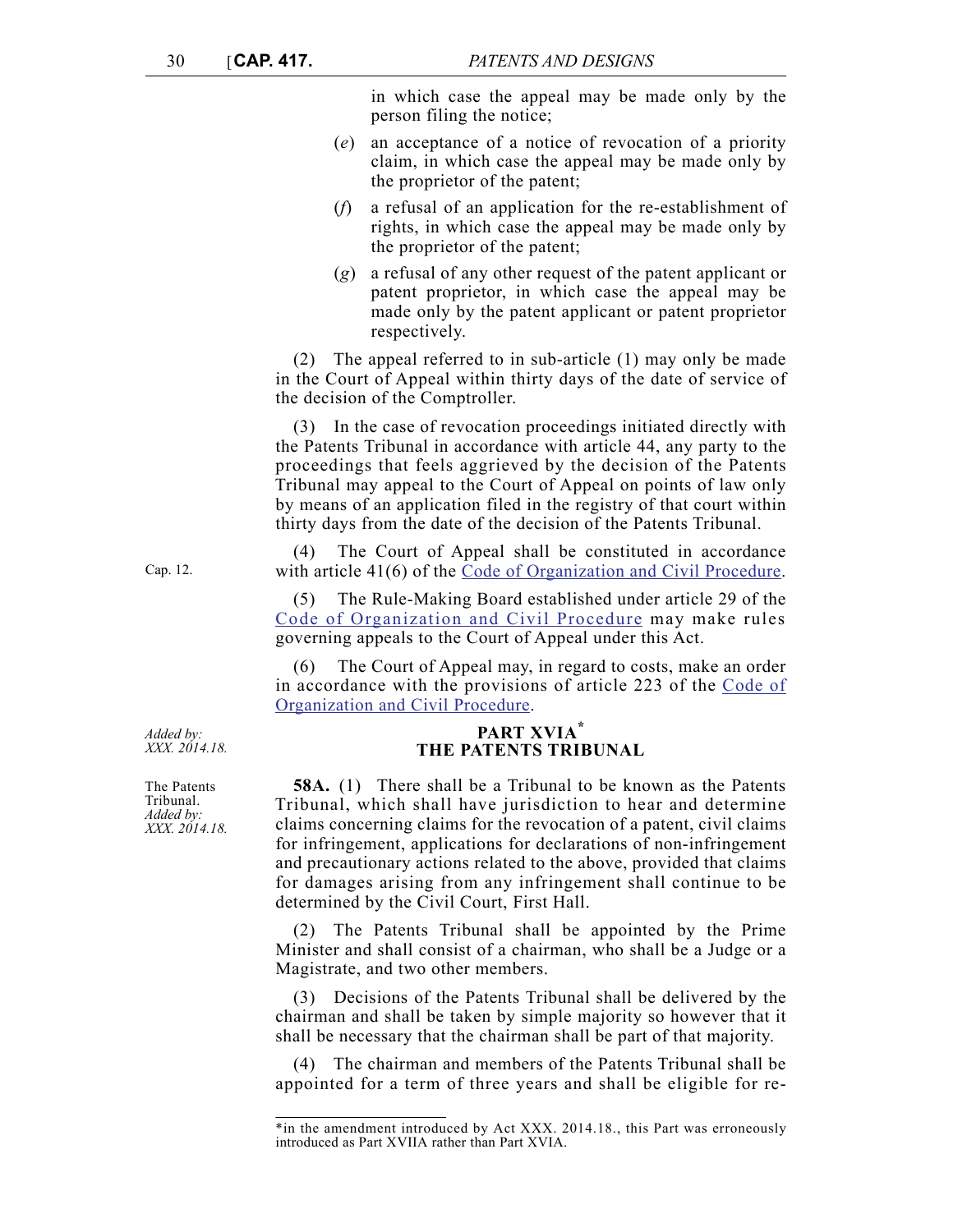in which case the appeal may be made only by the person filing the notice;

- (*e*) an acceptance of a notice of revocation of a priority claim, in which case the appeal may be made only by the proprietor of the patent;
- (*f*) a refusal of an application for the re-establishment of rights, in which case the appeal may be made only by the proprietor of the patent;
- (*g*) a refusal of any other request of the patent applicant or patent proprietor, in which case the appeal may be made only by the patent applicant or patent proprietor respectively.

(2) The appeal referred to in sub-article (1) may only be made in the Court of Appeal within thirty days of the date of service of the decision of the Comptroller.

(3) In the case of revocation proceedings initiated directly with the Patents Tribunal in accordance with article 44, any party to the proceedings that feels aggrieved by the decision of the Patents Tribunal may appeal to the Court of Appeal on points of law only by means of an application filed in the registry of that court within thirty days from the date of the decision of the Patents Tribunal.

(4) The Court of Appeal shall be constituted in accordance with article 41(6) of the [Code of Organization and Civil Procedure](http://www.justiceservices.gov.mt/DownloadDocument.aspx?app=lom&itemid=8577&l=1).

(5) The Rule-Making Board established under article 29 of the [Code of Organization and Civil Procedure](http://www.justiceservices.gov.mt/DownloadDocument.aspx?app=lom&itemid=8577&l=1) may make rules governing appeals to the Court of Appeal under this Act.

(6) The Court of Appeal may, in regard to costs, make an order in accordance with the provisions of article 223 of the [Code of](http://www.justiceservices.gov.mt/DownloadDocument.aspx?app=lom&itemid=8577&l=1) [Organization and Civil Procedure](http://www.justiceservices.gov.mt/DownloadDocument.aspx?app=lom&itemid=8577&l=1).

# **PART XVIA\* THE PATENTS TRIBUNAL**

**58A.** (1) There shall be a Tribunal to be known as the Patents Tribunal, which shall have jurisdiction to hear and determine claims concerning claims for the revocation of a patent, civil claims for infringement, applications for declarations of non-infringement and precautionary actions related to the above, provided that claims for damages arising from any infringement shall continue to be determined by the Civil Court, First Hall.

The Patents Tribunal shall be appointed by the Prime Minister and shall consist of a chairman, who shall be a Judge or a Magistrate, and two other members.

(3) Decisions of the Patents Tribunal shall be delivered by the chairman and shall be taken by simple majority so however that it shall be necessary that the chairman shall be part of that majority.

(4) The chairman and members of the Patents Tribunal shall be appointed for a term of three years and shall be eligible for re-

*Added by: XXX. 2014.18.*

Cap. 12.

The Patents Tribunal. *Added by: XXX. 2014.18.*

<sup>\*</sup>in the amendment introduced by Act XXX. 2014.18., this Part was erroneously introduced as Part XVIIA rather than Part XVIA.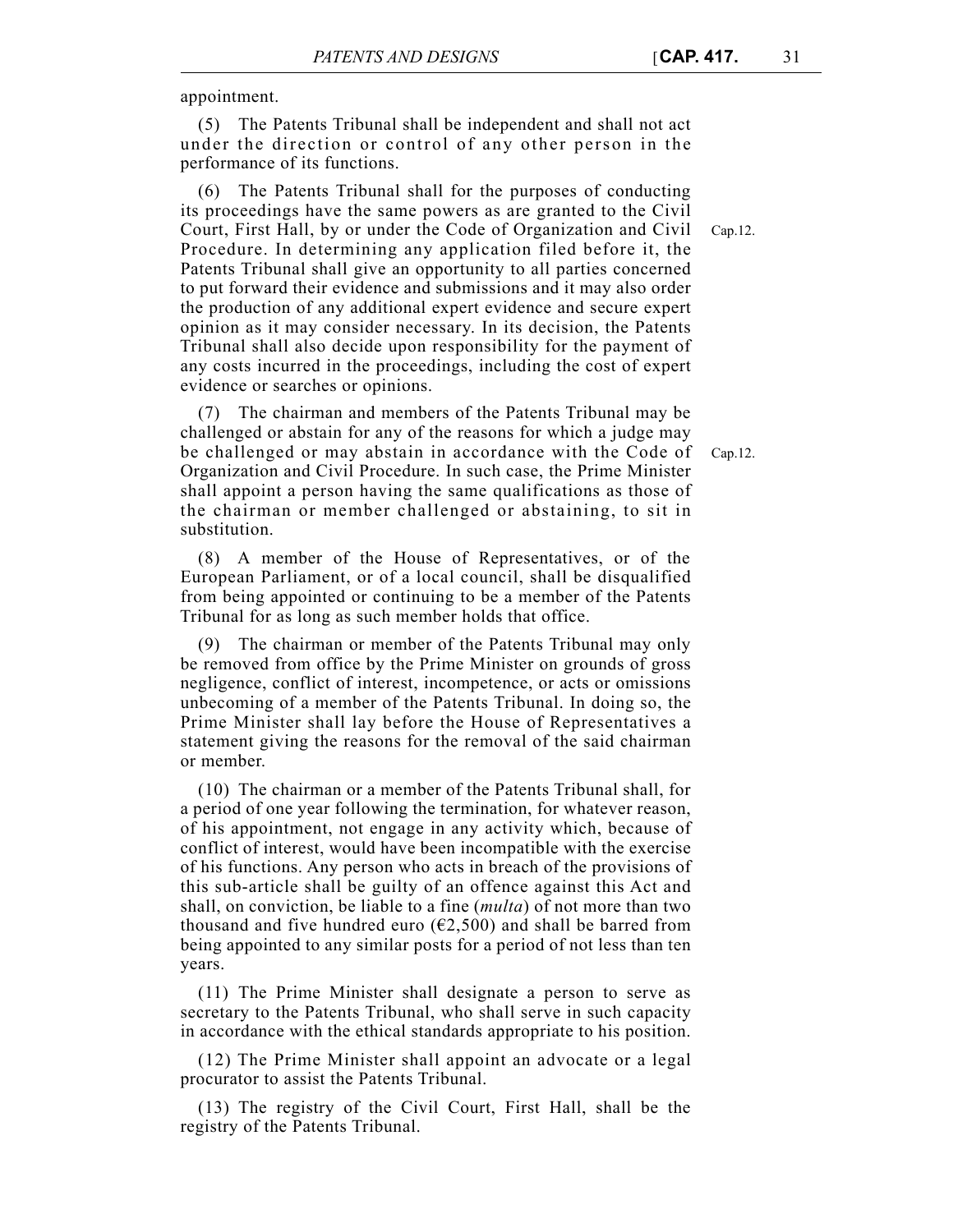appointment.

(5) The Patents Tribunal shall be independent and shall not act under the direction or control of any other person in the performance of its functions.

The Patents Tribunal shall for the purposes of conducting its proceedings have the same powers as are granted to the Civil Court, First Hall, by or under the Code of Organization and Civil Procedure. In determining any application filed before it, the Patents Tribunal shall give an opportunity to all parties concerned to put forward their evidence and submissions and it may also order the production of any additional expert evidence and secure expert opinion as it may consider necessary. In its decision, the Patents Tribunal shall also decide upon responsibility for the payment of any costs incurred in the proceedings, including the cost of expert evidence or searches or opinions.

(7) The chairman and members of the Patents Tribunal may be challenged or abstain for any of the reasons for which a judge may be challenged or may abstain in accordance with the Code of Organization and Civil Procedure. In such case, the Prime Minister shall appoint a person having the same qualifications as those of the chairman or member challenged or abstaining, to sit in substitution.

(8) A member of the House of Representatives, or of the European Parliament, or of a local council, shall be disqualified from being appointed or continuing to be a member of the Patents Tribunal for as long as such member holds that office.

(9) The chairman or member of the Patents Tribunal may only be removed from office by the Prime Minister on grounds of gross negligence, conflict of interest, incompetence, or acts or omissions unbecoming of a member of the Patents Tribunal. In doing so, the Prime Minister shall lay before the House of Representatives a statement giving the reasons for the removal of the said chairman or member.

(10) The chairman or a member of the Patents Tribunal shall, for a period of one year following the termination, for whatever reason, of his appointment, not engage in any activity which, because of conflict of interest, would have been incompatible with the exercise of his functions. Any person who acts in breach of the provisions of this sub-article shall be guilty of an offence against this Act and shall, on conviction, be liable to a fine (*multa*) of not more than two thousand and five hundred euro ( $\epsilon$ 2,500) and shall be barred from being appointed to any similar posts for a period of not less than ten years.

(11) The Prime Minister shall designate a person to serve as secretary to the Patents Tribunal, who shall serve in such capacity in accordance with the ethical standards appropriate to his position.

(12) The Prime Minister shall appoint an advocate or a legal procurator to assist the Patents Tribunal.

(13) The registry of the Civil Court, First Hall, shall be the registry of the Patents Tribunal.

Cap.12.

Cap.12.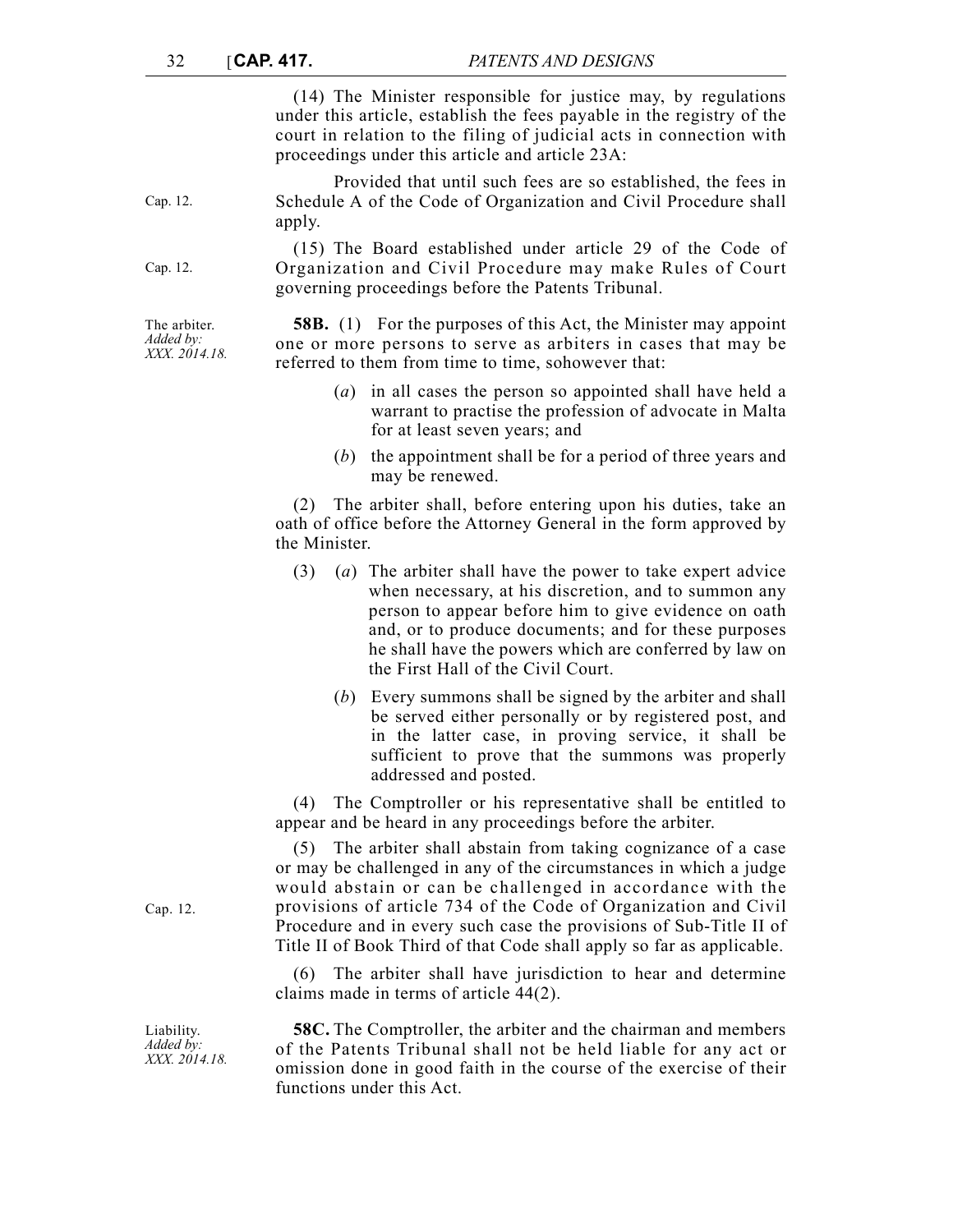(14) The Minister responsible for justice may, by regulations under this article, establish the fees payable in the registry of the court in relation to the filing of judicial acts in connection with proceedings under this article and article 23A:

Provided that until such fees are so established, the fees in Schedule A of the Code of Organization and Civil Procedure shall apply.

(15) The Board established under article 29 of the Code of Organization and Civil Procedure may make Rules of Court governing proceedings before the Patents Tribunal.

**58B.** (1) For the purposes of this Act, the Minister may appoint one or more persons to serve as arbiters in cases that may be referred to them from time to time, sohowever that:

- (*a*) in all cases the person so appointed shall have held a warrant to practise the profession of advocate in Malta for at least seven years; and
- (*b*) the appointment shall be for a period of three years and may be renewed.

(2) The arbiter shall, before entering upon his duties, take an oath of office before the Attorney General in the form approved by the Minister.

- (3) (*a*) The arbiter shall have the power to take expert advice when necessary, at his discretion, and to summon any person to appear before him to give evidence on oath and, or to produce documents; and for these purposes he shall have the powers which are conferred by law on the First Hall of the Civil Court.
	- (*b*) Every summons shall be signed by the arbiter and shall be served either personally or by registered post, and in the latter case, in proving service, it shall be sufficient to prove that the summons was properly addressed and posted.

(4) The Comptroller or his representative shall be entitled to appear and be heard in any proceedings before the arbiter.

(5) The arbiter shall abstain from taking cognizance of a case or may be challenged in any of the circumstances in which a judge would abstain or can be challenged in accordance with the provisions of article 734 of the Code of Organization and Civil Procedure and in every such case the provisions of Sub-Title II of Title II of Book Third of that Code shall apply so far as applicable.

(6) The arbiter shall have jurisdiction to hear and determine claims made in terms of article 44(2).

**58C.** The Comptroller, the arbiter and the chairman and members of the Patents Tribunal shall not be held liable for any act or omission done in good faith in the course of the exercise of their functions under this Act.

Cap. 12.

Liability. *Added by: XXX. 2014.18.*

The arbiter.

Cap. 12.

Cap. 12.

*Added by: XXX. 2014.18.*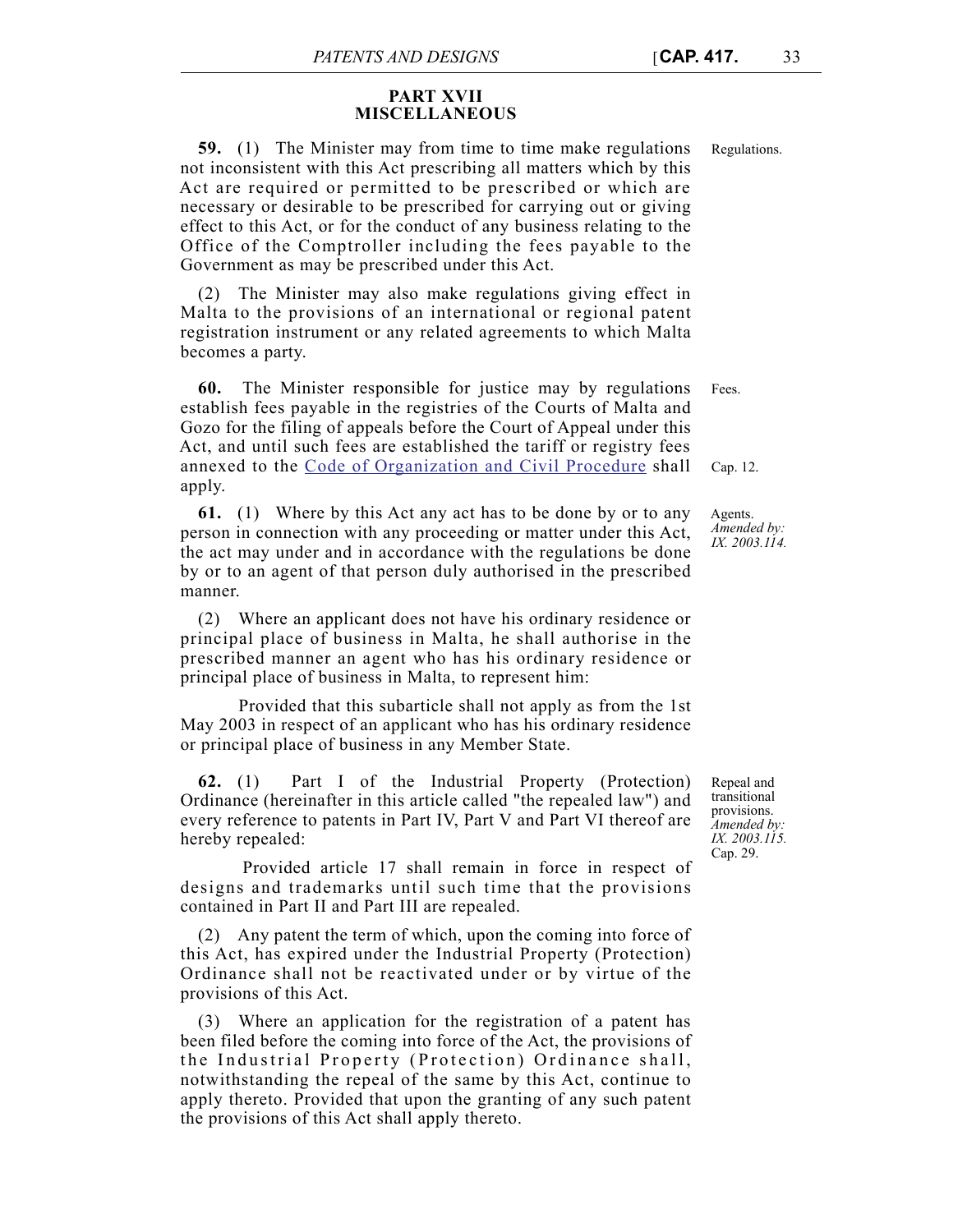# **PART XVII MISCELLANEOUS**

**59.** (1) The Minister may from time to time make regulations Regulations. not inconsistent with this Act prescribing all matters which by this Act are required or permitted to be prescribed or which are necessary or desirable to be prescribed for carrying out or giving effect to this Act, or for the conduct of any business relating to the Office of the Comptroller including the fees payable to the Government as may be prescribed under this Act.

(2) The Minister may also make regulations giving effect in Malta to the provisions of an international or regional patent registration instrument or any related agreements to which Malta becomes a party.

Fees. **60.** The Minister responsible for justice may by regulations establish fees payable in the registries of the Courts of Malta and Gozo for the filing of appeals before the Court of Appeal under this Act, and until such fees are established the tariff or registry fees annexed to the [Code of Organization and Civil Procedure](http://www.justiceservices.gov.mt/DownloadDocument.aspx?app=lom&itemid=8577&l=1) shall apply.

**61.** (1) Where by this Act any act has to be done by or to any person in connection with any proceeding or matter under this Act, the act may under and in accordance with the regulations be done by or to an agent of that person duly authorised in the prescribed manner.

(2) Where an applicant does not have his ordinary residence or principal place of business in Malta, he shall authorise in the prescribed manner an agent who has his ordinary residence or principal place of business in Malta, to represent him:

Provided that this subarticle shall not apply as from the 1st May 2003 in respect of an applicant who has his ordinary residence or principal place of business in any Member State.

**62.** (1) Part I of the Industrial Property (Protection) Ordinance (hereinafter in this article called "the repealed law") and every reference to patents in Part IV, Part V and Part VI thereof are hereby repealed:

Provided article 17 shall remain in force in respect of designs and trademarks until such time that the provisions contained in Part II and Part III are repealed.

(2) Any patent the term of which, upon the coming into force of this Act, has expired under the Industrial Property (Protection) Ordinance shall not be reactivated under or by virtue of the provisions of this Act.

(3) Where an application for the registration of a patent has been filed before the coming into force of the Act, the provisions of the Industrial Property (Protection) Ordinance shall, notwithstanding the repeal of the same by this Act, continue to apply thereto. Provided that upon the granting of any such patent the provisions of this Act shall apply thereto.

Repeal and transitional provisions. *Amended by: IX. 2003.115.* Cap. 29.

Cap. 12.

Agents. *Amended by: IX. 2003.114.*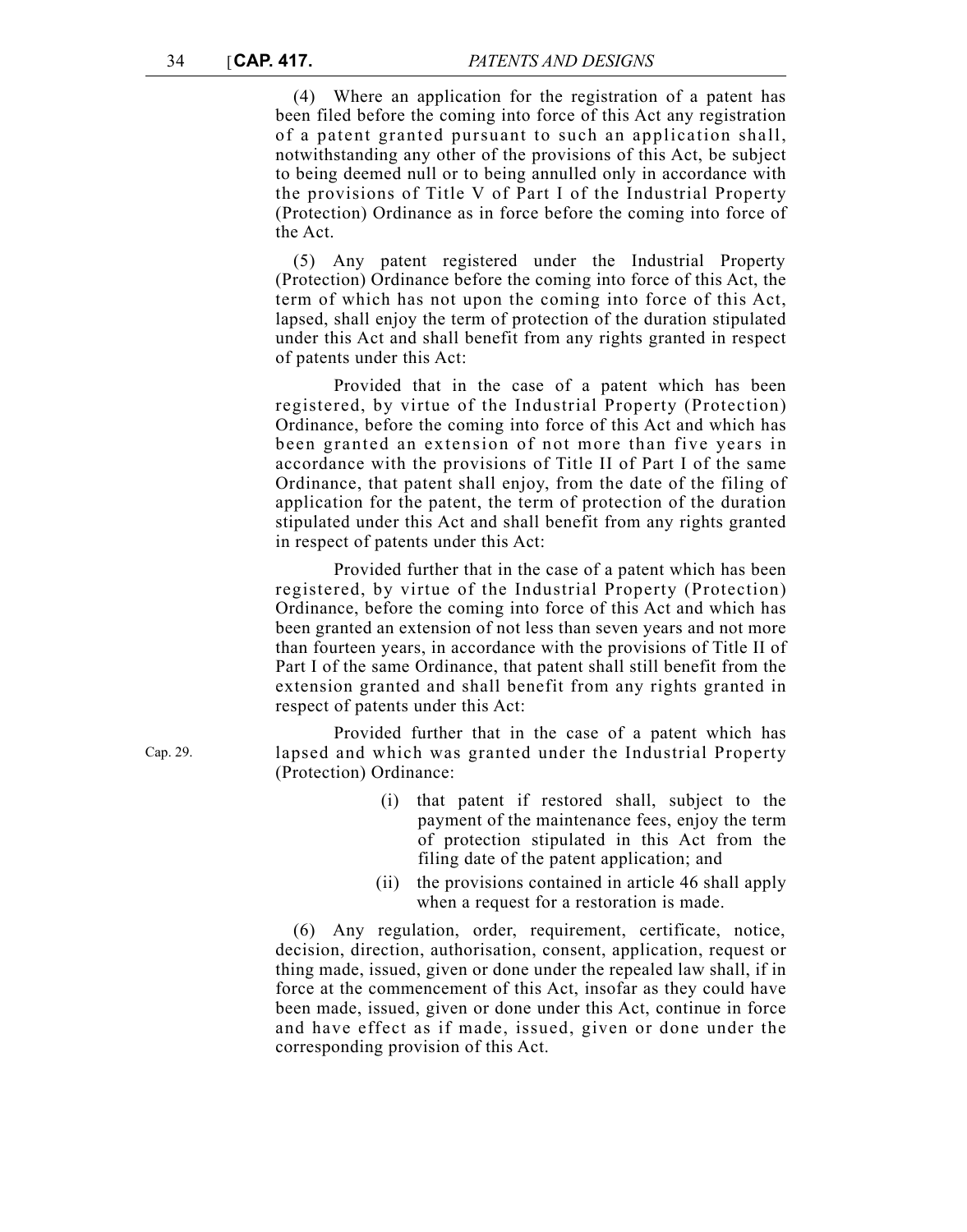(4) Where an application for the registration of a patent has been filed before the coming into force of this Act any registration of a patent granted pursuant to such an application shall, notwithstanding any other of the provisions of this Act, be subject to being deemed null or to being annulled only in accordance with the provisions of Title V of Part I of the Industrial Property (Protection) Ordinance as in force before the coming into force of the Act.

(5) Any patent registered under the Industrial Property (Protection) Ordinance before the coming into force of this Act, the term of which has not upon the coming into force of this Act, lapsed, shall enjoy the term of protection of the duration stipulated under this Act and shall benefit from any rights granted in respect of patents under this Act:

Provided that in the case of a patent which has been registered, by virtue of the Industrial Property (Protection) Ordinance, before the coming into force of this Act and which has been granted an extension of not more than five years in accordance with the provisions of Title II of Part I of the same Ordinance, that patent shall enjoy, from the date of the filing of application for the patent, the term of protection of the duration stipulated under this Act and shall benefit from any rights granted in respect of patents under this Act:

Provided further that in the case of a patent which has been registered, by virtue of the Industrial Property (Protection) Ordinance, before the coming into force of this Act and which has been granted an extension of not less than seven years and not more than fourteen years, in accordance with the provisions of Title II of Part I of the same Ordinance, that patent shall still benefit from the extension granted and shall benefit from any rights granted in respect of patents under this Act:

Provided further that in the case of a patent which has lapsed and which was granted under the Industrial Property (Protection) Ordinance:

- (i) that patent if restored shall, subject to the payment of the maintenance fees, enjoy the term of protection stipulated in this Act from the filing date of the patent application; and
- (ii) the provisions contained in article 46 shall apply when a request for a restoration is made.

(6) Any regulation, order, requirement, certificate, notice, decision, direction, authorisation, consent, application, request or thing made, issued, given or done under the repealed law shall, if in force at the commencement of this Act, insofar as they could have been made, issued, given or done under this Act, continue in force and have effect as if made, issued, given or done under the corresponding provision of this Act.

Cap. 29.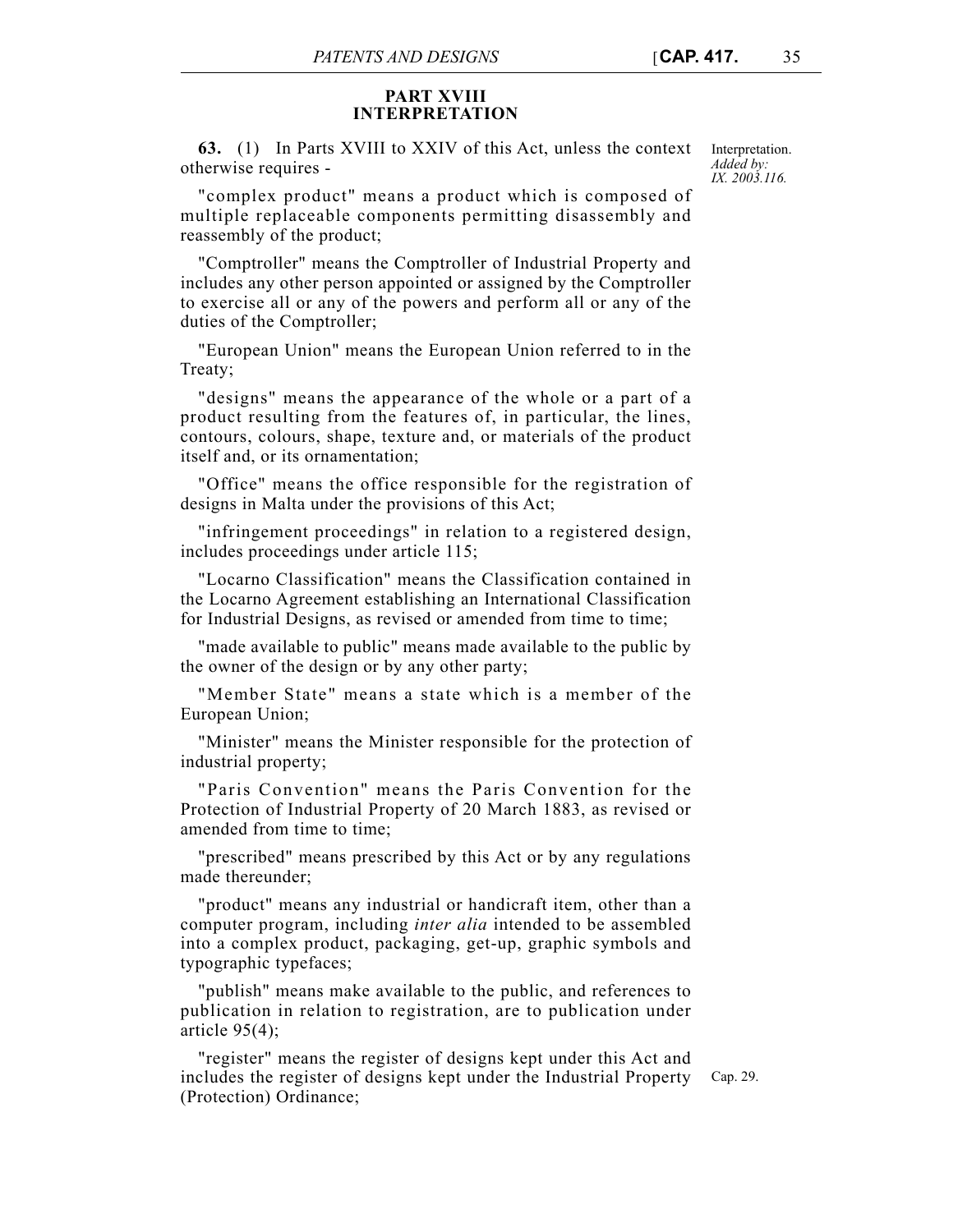## **PART XVIII INTERPRETATION**

**63.** (1) In Parts XVIII to XXIV of this Act, unless the context Interpretation. otherwise requires -

*Added by: IX. 2003.116.*

"complex product" means a product which is composed of multiple replaceable components permitting disassembly and reassembly of the product;

"Comptroller" means the Comptroller of Industrial Property and includes any other person appointed or assigned by the Comptroller to exercise all or any of the powers and perform all or any of the duties of the Comptroller;

"European Union" means the European Union referred to in the Treaty;

"designs" means the appearance of the whole or a part of a product resulting from the features of, in particular, the lines, contours, colours, shape, texture and, or materials of the product itself and, or its ornamentation;

"Office" means the office responsible for the registration of designs in Malta under the provisions of this Act;

"infringement proceedings" in relation to a registered design, includes proceedings under article 115;

"Locarno Classification" means the Classification contained in the Locarno Agreement establishing an International Classification for Industrial Designs, as revised or amended from time to time;

"made available to public" means made available to the public by the owner of the design or by any other party;

"Member State" means a state which is a member of the European Union;

"Minister" means the Minister responsible for the protection of industrial property;

"Paris Convention" means the Paris Convention for the Protection of Industrial Property of 20 March 1883, as revised or amended from time to time;

"prescribed" means prescribed by this Act or by any regulations made thereunder;

"product" means any industrial or handicraft item, other than a computer program, including *inter alia* intended to be assembled into a complex product, packaging, get-up, graphic symbols and typographic typefaces;

"publish" means make available to the public, and references to publication in relation to registration, are to publication under article  $95(4)$ ;

"register" means the register of designs kept under this Act and includes the register of designs kept under the Industrial Property (Protection) Ordinance;

Cap. 29.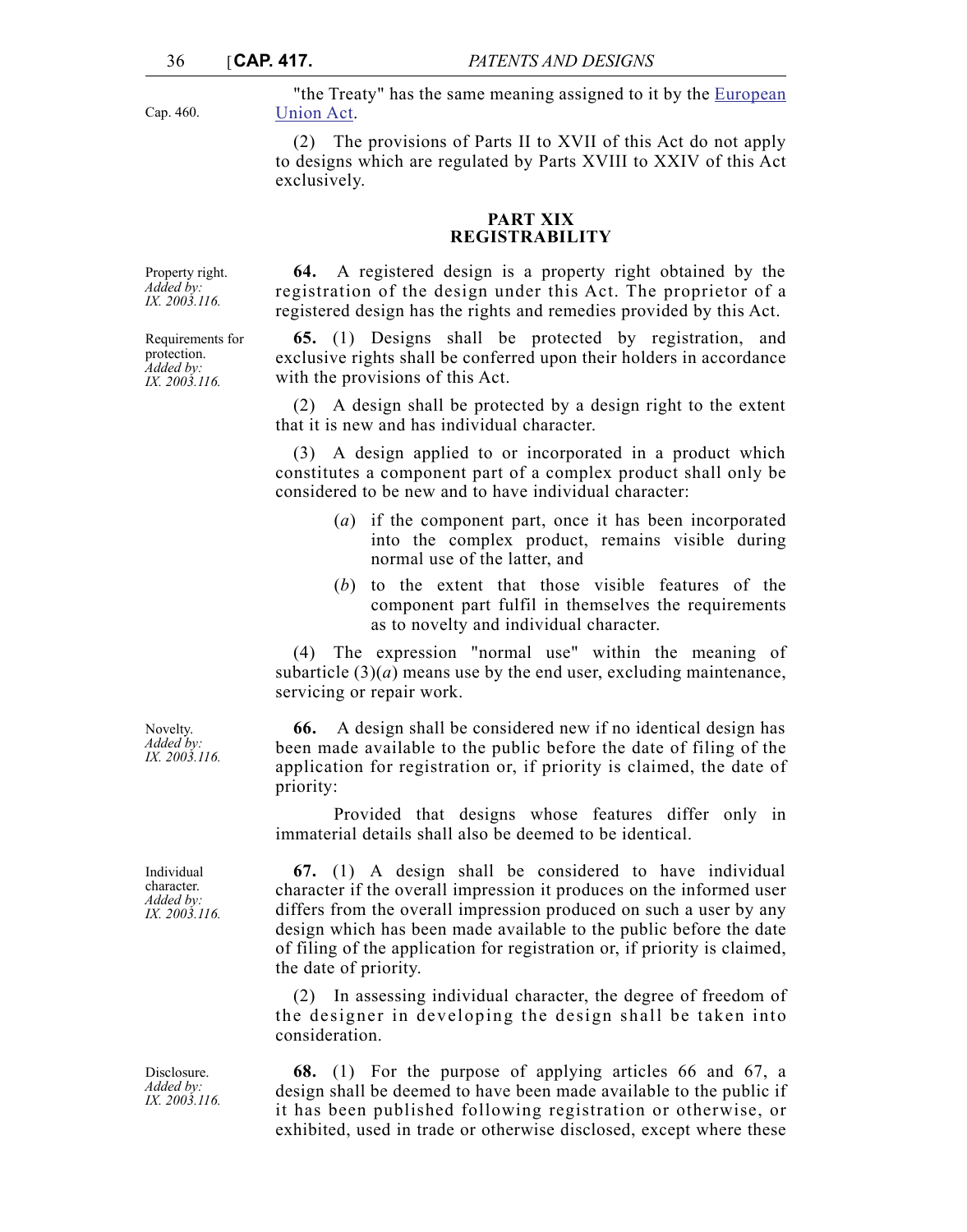Cap. 460.

"the Treaty" has the same meaning assigned to it by the [European](http://www.justiceservices.gov.mt/DownloadDocument.aspx?app=lom&itemid=8926&l=1) [Union Act.](http://www.justiceservices.gov.mt/DownloadDocument.aspx?app=lom&itemid=8926&l=1)

(2) The provisions of Parts II to XVII of this Act do not apply to designs which are regulated by Parts XVIII to XXIV of this Act exclusively.

## **PART XIX REGISTRABILITY**

Property right. *Added by: IX. 2003.116.*

Requirements for protection. *Added by: IX. 2003.116.*

registration of the design under this Act. The proprietor of a registered design has the rights and remedies provided by this Act. **65.** (1) Designs shall be protected by registration, and

**64.** A registered design is a property right obtained by the

exclusive rights shall be conferred upon their holders in accordance with the provisions of this Act.

(2) A design shall be protected by a design right to the extent that it is new and has individual character.

(3) A design applied to or incorporated in a product which constitutes a component part of a complex product shall only be considered to be new and to have individual character:

- (*a*) if the component part, once it has been incorporated into the complex product, remains visible during normal use of the latter, and
- (*b*) to the extent that those visible features of the component part fulfil in themselves the requirements as to novelty and individual character.

(4) The expression "normal use" within the meaning of subarticle  $(3)(a)$  means use by the end user, excluding maintenance, servicing or repair work.

**66.** A design shall be considered new if no identical design has been made available to the public before the date of filing of the application for registration or, if priority is claimed, the date of priority:

Provided that designs whose features differ only in immaterial details shall also be deemed to be identical.

**67.** (1) A design shall be considered to have individual character if the overall impression it produces on the informed user differs from the overall impression produced on such a user by any design which has been made available to the public before the date of filing of the application for registration or, if priority is claimed, the date of priority.

(2) In assessing individual character, the degree of freedom of the designer in developing the design shall be taken into consideration.

**68.** (1) For the purpose of applying articles 66 and 67, a design shall be deemed to have been made available to the public if it has been published following registration or otherwise, or exhibited, used in trade or otherwise disclosed, except where these

Novelty. *Added by: IX. 2003.116.*

Individual character. *Added by: IX. 2003.116.*

Disclosure. *Added by: IX. 2003.116.*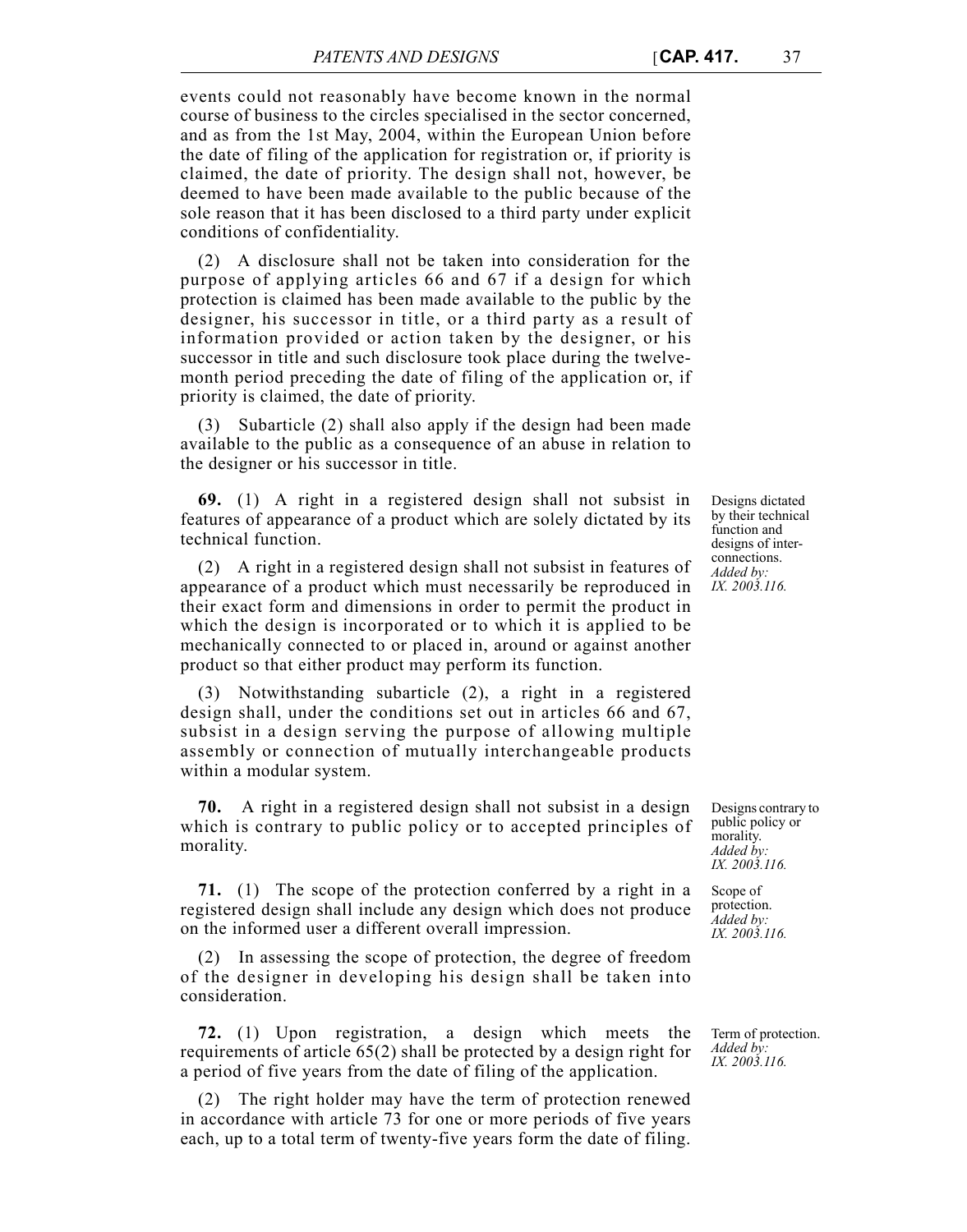events could not reasonably have become known in the normal course of business to the circles specialised in the sector concerned, and as from the 1st May, 2004, within the European Union before the date of filing of the application for registration or, if priority is claimed, the date of priority. The design shall not, however, be deemed to have been made available to the public because of the sole reason that it has been disclosed to a third party under explicit conditions of confidentiality.

(2) A disclosure shall not be taken into consideration for the purpose of applying articles 66 and 67 if a design for which protection is claimed has been made available to the public by the designer, his successor in title, or a third party as a result of information provided or action taken by the designer, or his successor in title and such disclosure took place during the twelvemonth period preceding the date of filing of the application or, if priority is claimed, the date of priority.

(3) Subarticle (2) shall also apply if the design had been made available to the public as a consequence of an abuse in relation to the designer or his successor in title.

**69.** (1) A right in a registered design shall not subsist in features of appearance of a product which are solely dictated by its technical function.

(2) A right in a registered design shall not subsist in features of appearance of a product which must necessarily be reproduced in their exact form and dimensions in order to permit the product in which the design is incorporated or to which it is applied to be mechanically connected to or placed in, around or against another product so that either product may perform its function.

(3) Notwithstanding subarticle (2), a right in a registered design shall, under the conditions set out in articles 66 and 67, subsist in a design serving the purpose of allowing multiple assembly or connection of mutually interchangeable products within a modular system.

**70.** A right in a registered design shall not subsist in a design which is contrary to public policy or to accepted principles of morality.

**71.** (1) The scope of the protection conferred by a right in a registered design shall include any design which does not produce on the informed user a different overall impression.

(2) In assessing the scope of protection, the degree of freedom of the designer in developing his design shall be taken into consideration.

**72.** (1) Upon registration, a design which meets the requirements of article 65(2) shall be protected by a design right for a period of five years from the date of filing of the application.

(2) The right holder may have the term of protection renewed in accordance with article 73 for one or more periods of five years each, up to a total term of twenty-five years form the date of filing.

Designs dictated by their technical function and designs of interconnections. *Added by: IX. 2003.116.*

Designs contrary to public policy or morality. *Added by: IX. 2003.116.*

Scope of protection. *Added by: IX. 2003.116.*

Term of protection. *Added by: IX. 2003.116.*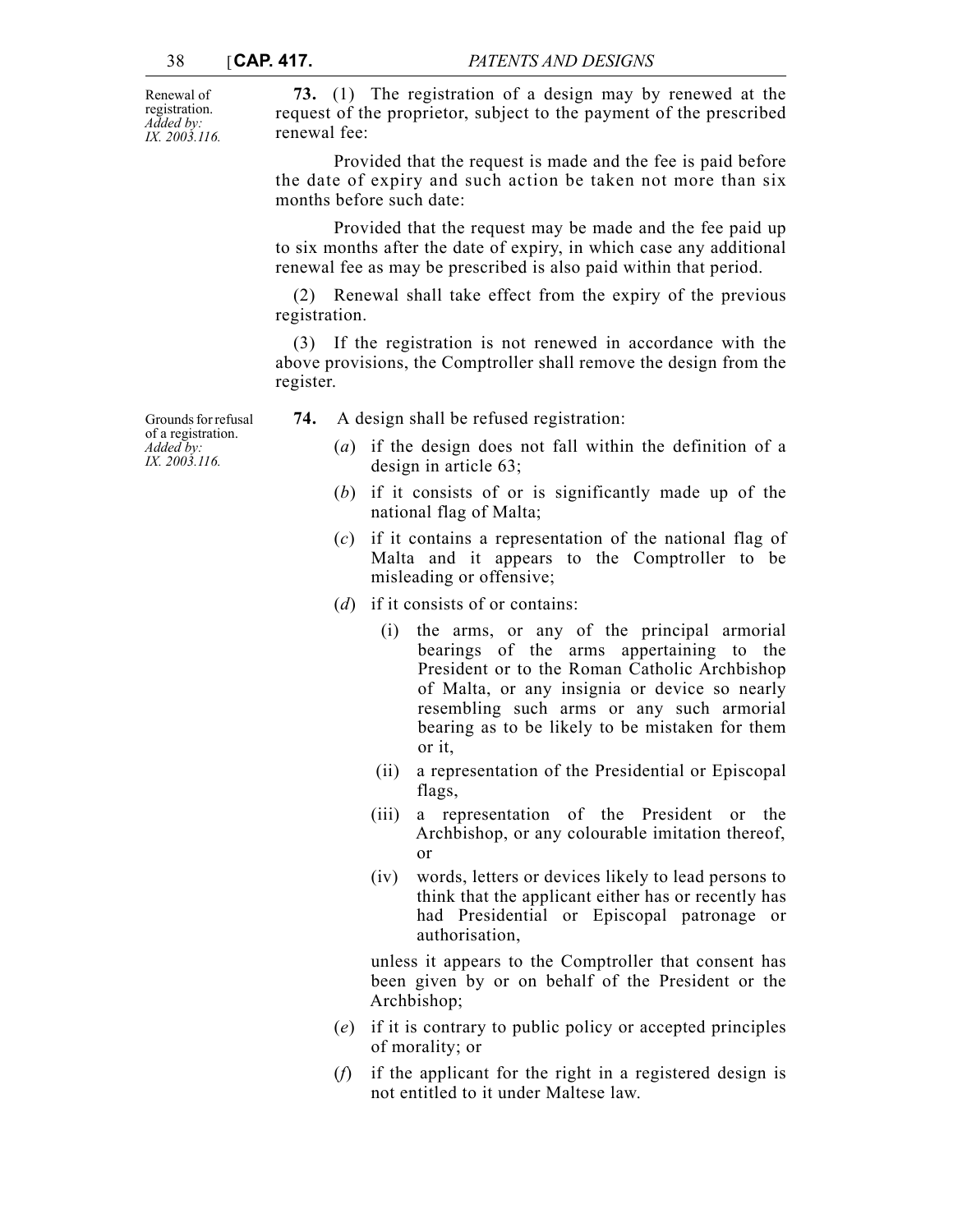Renewal of registration. *Added by: IX. 2003.116.*

**73.** (1) The registration of a design may by renewed at the request of the proprietor, subject to the payment of the prescribed renewal fee:

Provided that the request is made and the fee is paid before the date of expiry and such action be taken not more than six months before such date:

Provided that the request may be made and the fee paid up to six months after the date of expiry, in which case any additional renewal fee as may be prescribed is also paid within that period.

(2) Renewal shall take effect from the expiry of the previous registration.

(3) If the registration is not renewed in accordance with the above provisions, the Comptroller shall remove the design from the register.

**74.** A design shall be refused registration:

- (*a*) if the design does not fall within the definition of a design in article 63;
- (*b*) if it consists of or is significantly made up of the national flag of Malta;
- (*c*) if it contains a representation of the national flag of Malta and it appears to the Comptroller to be misleading or offensive;
- (*d*) if it consists of or contains:
	- (i) the arms, or any of the principal armorial bearings of the arms appertaining to the President or to the Roman Catholic Archbishop of Malta, or any insignia or device so nearly resembling such arms or any such armorial bearing as to be likely to be mistaken for them or it,
	- (ii) a representation of the Presidential or Episcopal flags,
	- (iii) a representation of the President or the Archbishop, or any colourable imitation thereof, or
	- (iv) words, letters or devices likely to lead persons to think that the applicant either has or recently has had Presidential or Episcopal patronage or authorisation,

unless it appears to the Comptroller that consent has been given by or on behalf of the President or the Archbishop;

- (*e*) if it is contrary to public policy or accepted principles of morality; or
- (*f*) if the applicant for the right in a registered design is not entitled to it under Maltese law.

Grounds for refusal of a registration. *Added by: IX. 2003.116.*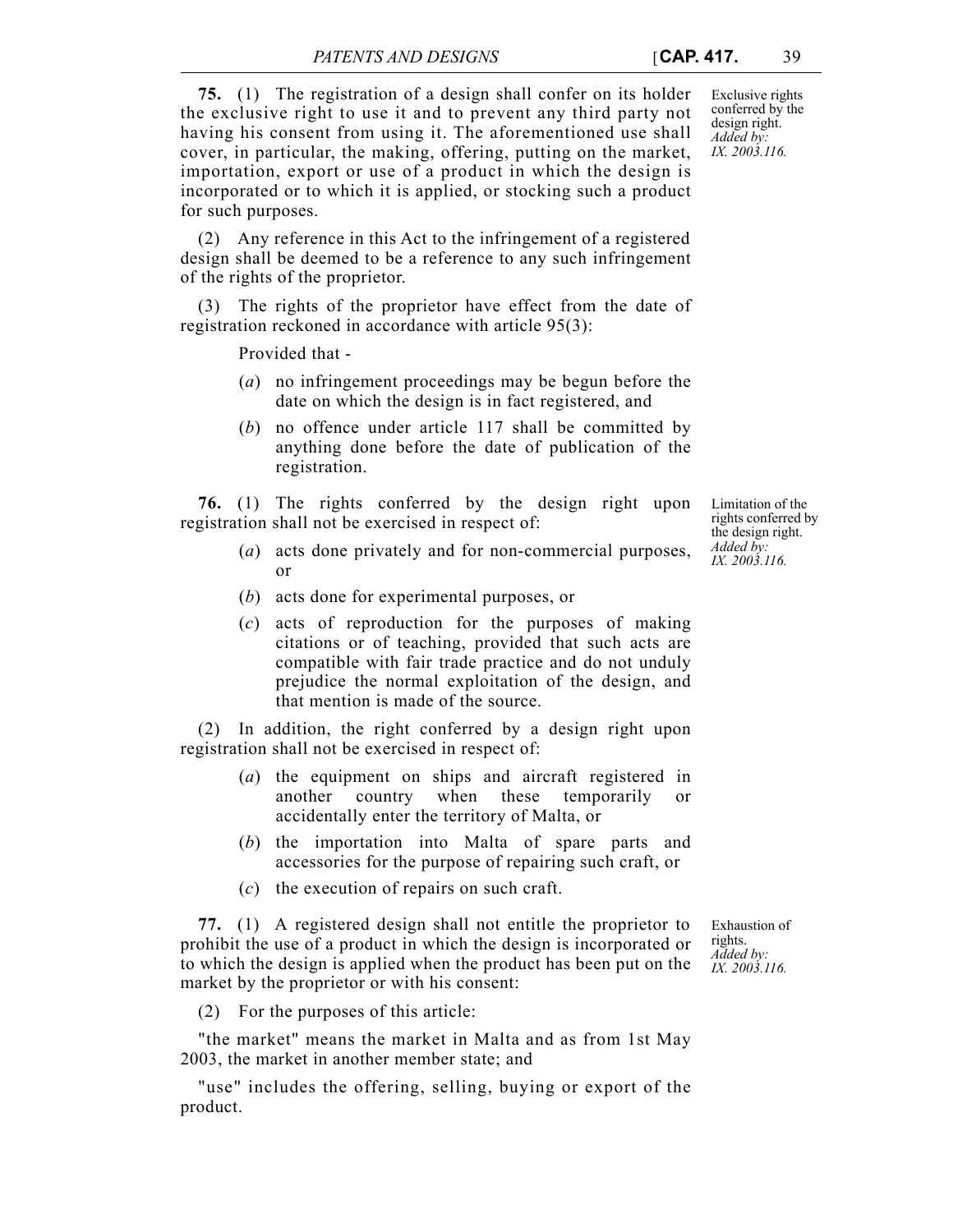**75.** (1) The registration of a design shall confer on its holder the exclusive right to use it and to prevent any third party not having his consent from using it. The aforementioned use shall cover, in particular, the making, offering, putting on the market, importation, export or use of a product in which the design is incorporated or to which it is applied, or stocking such a product for such purposes.

(2) Any reference in this Act to the infringement of a registered design shall be deemed to be a reference to any such infringement of the rights of the proprietor.

(3) The rights of the proprietor have effect from the date of registration reckoned in accordance with article 95(3):

Provided that -

- (*a*) no infringement proceedings may be begun before the date on which the design is in fact registered, and
- (*b*) no offence under article 117 shall be committed by anything done before the date of publication of the registration.

**76.** (1) The rights conferred by the design right upon registration shall not be exercised in respect of:

- (*a*) acts done privately and for non-commercial purposes, or
- (*b*) acts done for experimental purposes, or
- (*c*) acts of reproduction for the purposes of making citations or of teaching, provided that such acts are compatible with fair trade practice and do not unduly prejudice the normal exploitation of the design, and that mention is made of the source.

(2) In addition, the right conferred by a design right upon registration shall not be exercised in respect of:

- (*a*) the equipment on ships and aircraft registered in another country when these temporarily or accidentally enter the territory of Malta, or
- (*b*) the importation into Malta of spare parts and accessories for the purpose of repairing such craft, or
- (*c*) the execution of repairs on such craft.

Exhaustion of rights. *Added by: IX. 2003.116.* **77.** (1) A registered design shall not entitle the proprietor to prohibit the use of a product in which the design is incorporated or to which the design is applied when the product has been put on the market by the proprietor or with his consent:

(2) For the purposes of this article:

"the market" means the market in Malta and as from 1st May 2003, the market in another member state; and

"use" includes the offering, selling, buying or export of the product.

Limitation of the rights conferred by the design right. *Added by: IX. 2003.116.*

Exclusive rights conferred by the design right. *Added by: IX. 2003.116.*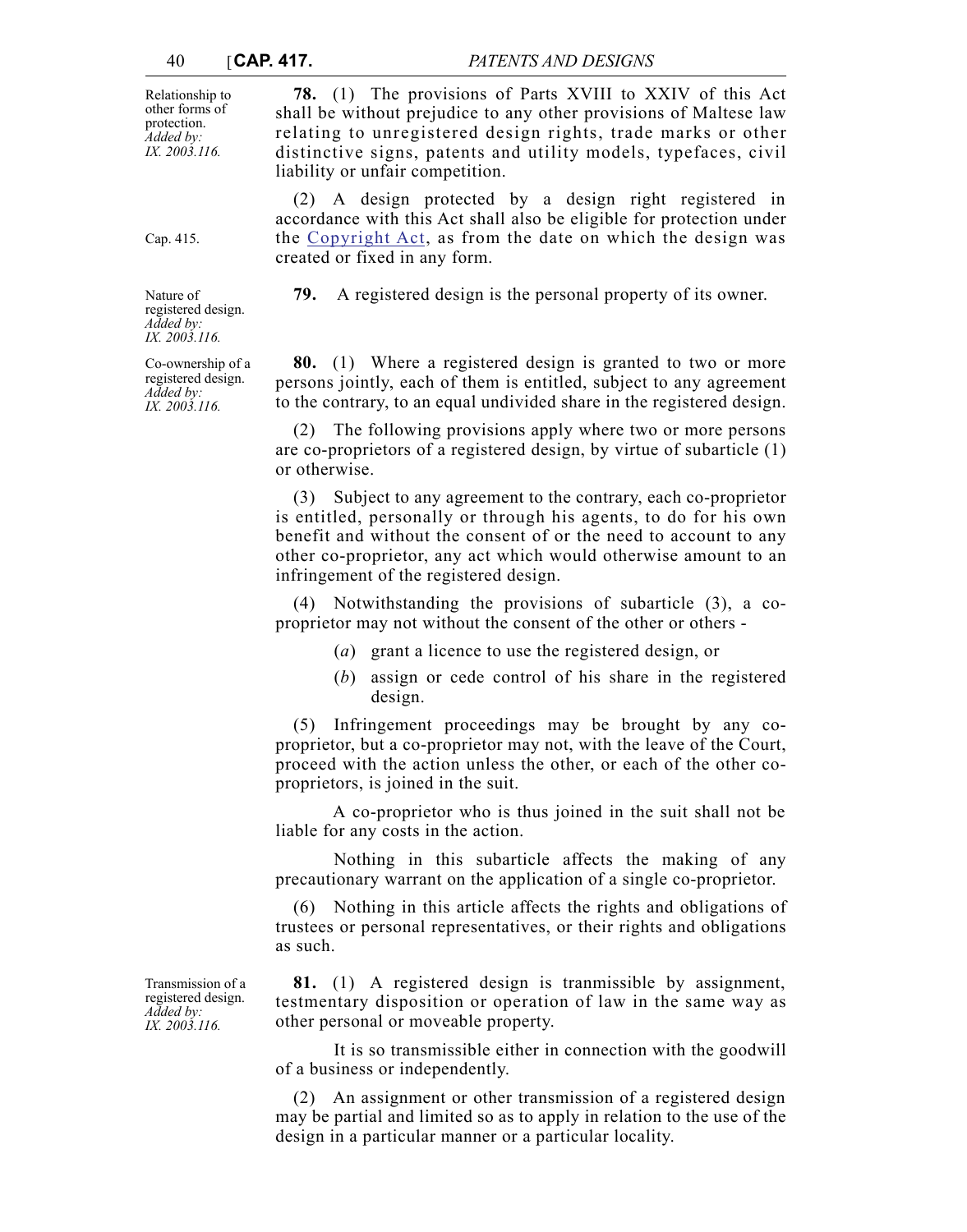Relationship to other forms of protection. *Added by: IX. 2003.116.*

**78.** (1) The provisions of Parts XVIII to XXIV of this Act shall be without prejudice to any other provisions of Maltese law relating to unregistered design rights, trade marks or other distinctive signs, patents and utility models, typefaces, civil liability or unfair competition.

(2) A design protected by a design right registered in accordance with this Act shall also be eligible for protection under the [Copyright Act](http://www.justiceservices.gov.mt/DownloadDocument.aspx?app=lom&itemid=8881&l=1), as from the date on which the design was created or fixed in any form.

**79.** A registered design is the personal property of its owner.

**80.** (1) Where a registered design is granted to two or more persons jointly, each of them is entitled, subject to any agreement to the contrary, to an equal undivided share in the registered design.

(2) The following provisions apply where two or more persons are co-proprietors of a registered design, by virtue of subarticle (1) or otherwise.

(3) Subject to any agreement to the contrary, each co-proprietor is entitled, personally or through his agents, to do for his own benefit and without the consent of or the need to account to any other co-proprietor, any act which would otherwise amount to an infringement of the registered design.

(4) Notwithstanding the provisions of subarticle (3), a coproprietor may not without the consent of the other or others -

- (*a*) grant a licence to use the registered design, or
- (*b*) assign or cede control of his share in the registered design.

(5) Infringement proceedings may be brought by any coproprietor, but a co-proprietor may not, with the leave of the Court, proceed with the action unless the other, or each of the other coproprietors, is joined in the suit.

A co-proprietor who is thus joined in the suit shall not be liable for any costs in the action.

Nothing in this subarticle affects the making of any precautionary warrant on the application of a single co-proprietor.

(6) Nothing in this article affects the rights and obligations of trustees or personal representatives, or their rights and obligations as such.

**81.** (1) A registered design is tranmissible by assignment, testmentary disposition or operation of law in the same way as other personal or moveable property.

It is so transmissible either in connection with the goodwill of a business or independently.

(2) An assignment or other transmission of a registered design may be partial and limited so as to apply in relation to the use of the design in a particular manner or a particular locality.

Transmission of a registered design. *Added by: IX. 2003.116.*

Nature of registered design. *Added by: IX. 2003.116.*

Cap. 415.

Co-ownership of a registered design. *Added by: IX. 2003.116.*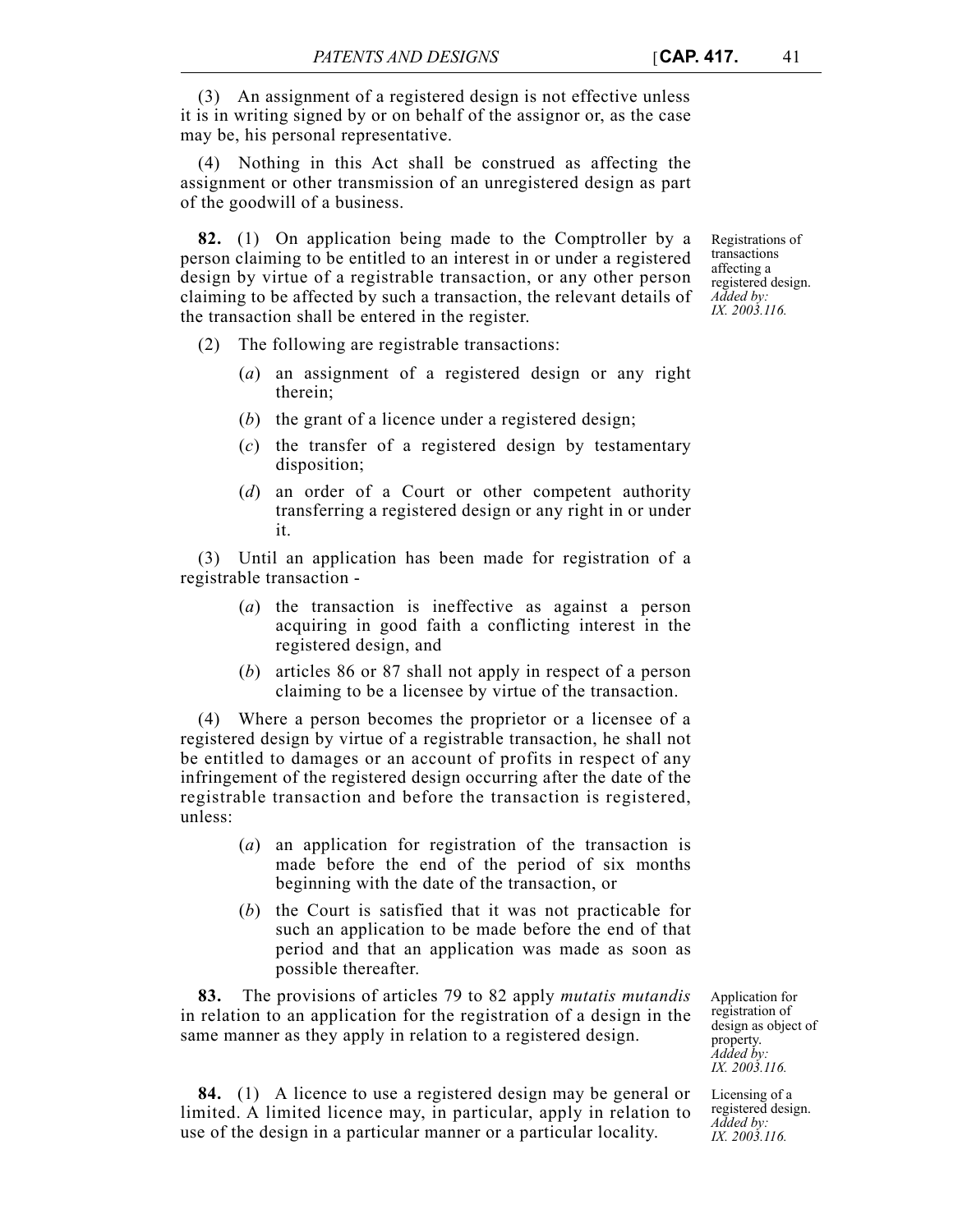(3) An assignment of a registered design is not effective unless it is in writing signed by or on behalf of the assignor or, as the case may be, his personal representative.

(4) Nothing in this Act shall be construed as affecting the assignment or other transmission of an unregistered design as part of the goodwill of a business.

**82.** (1) On application being made to the Comptroller by a person claiming to be entitled to an interest in or under a registered design by virtue of a registrable transaction, or any other person claiming to be affected by such a transaction, the relevant details of the transaction shall be entered in the register.

- (2) The following are registrable transactions:
	- (*a*) an assignment of a registered design or any right therein;
	- (*b*) the grant of a licence under a registered design;
	- (*c*) the transfer of a registered design by testamentary disposition;
	- (*d*) an order of a Court or other competent authority transferring a registered design or any right in or under it.

(3) Until an application has been made for registration of a registrable transaction -

- (*a*) the transaction is ineffective as against a person acquiring in good faith a conflicting interest in the registered design, and
- (*b*) articles 86 or 87 shall not apply in respect of a person claiming to be a licensee by virtue of the transaction.

(4) Where a person becomes the proprietor or a licensee of a registered design by virtue of a registrable transaction, he shall not be entitled to damages or an account of profits in respect of any infringement of the registered design occurring after the date of the registrable transaction and before the transaction is registered, unless:

- (*a*) an application for registration of the transaction is made before the end of the period of six months beginning with the date of the transaction, or
- (*b*) the Court is satisfied that it was not practicable for such an application to be made before the end of that period and that an application was made as soon as possible thereafter.

**83.** The provisions of articles 79 to 82 apply *mutatis mutandis* in relation to an application for the registration of a design in the same manner as they apply in relation to a registered design.

**84.** (1) A licence to use a registered design may be general or limited. A limited licence may, in particular, apply in relation to use of the design in a particular manner or a particular locality.

Application for registration of design as object of property. *Added by: IX. 2003.116.*

Licensing of a registered design. *Added by: IX. 2003.116.*

Registrations of transactions affecting a registered design. *Added by: IX. 2003.116.*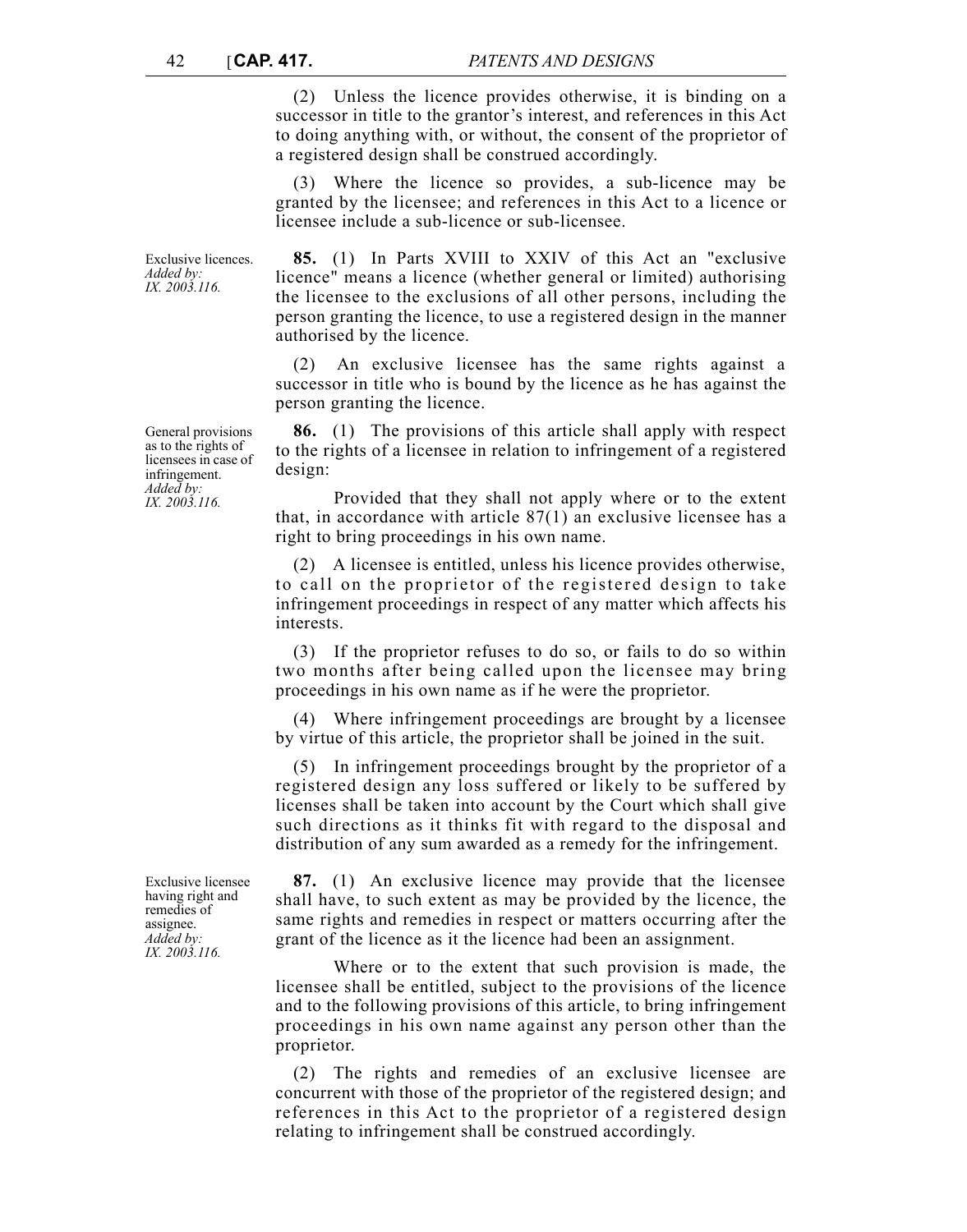(2) Unless the licence provides otherwise, it is binding on a successor in title to the grantor's interest, and references in this Act to doing anything with, or without, the consent of the proprietor of a registered design shall be construed accordingly.

(3) Where the licence so provides, a sub-licence may be granted by the licensee; and references in this Act to a licence or licensee include a sub-licence or sub-licensee.

**85.** (1) In Parts XVIII to XXIV of this Act an "exclusive licence" means a licence (whether general or limited) authorising the licensee to the exclusions of all other persons, including the person granting the licence, to use a registered design in the manner authorised by the licence.

(2) An exclusive licensee has the same rights against a successor in title who is bound by the licence as he has against the person granting the licence.

**86.** (1) The provisions of this article shall apply with respect to the rights of a licensee in relation to infringement of a registered design:

Provided that they shall not apply where or to the extent that, in accordance with article 87(1) an exclusive licensee has a right to bring proceedings in his own name.

(2) A licensee is entitled, unless his licence provides otherwise, to call on the proprietor of the registered design to take infringement proceedings in respect of any matter which affects his interests.

(3) If the proprietor refuses to do so, or fails to do so within two months after being called upon the licensee may bring proceedings in his own name as if he were the proprietor.

(4) Where infringement proceedings are brought by a licensee by virtue of this article, the proprietor shall be joined in the suit.

(5) In infringement proceedings brought by the proprietor of a registered design any loss suffered or likely to be suffered by licenses shall be taken into account by the Court which shall give such directions as it thinks fit with regard to the disposal and distribution of any sum awarded as a remedy for the infringement.

**87.** (1) An exclusive licence may provide that the licensee shall have, to such extent as may be provided by the licence, the same rights and remedies in respect or matters occurring after the grant of the licence as it the licence had been an assignment.

Where or to the extent that such provision is made, the licensee shall be entitled, subject to the provisions of the licence and to the following provisions of this article, to bring infringement proceedings in his own name against any person other than the proprietor.

(2) The rights and remedies of an exclusive licensee are concurrent with those of the proprietor of the registered design; and references in this Act to the proprietor of a registered design relating to infringement shall be construed accordingly.

General provisions as to the rights of licensees in case of infringement. *Added by: IX. 2003.116.*

Exclusive licences. *Added by: IX. 2003.116.*

Exclusive licensee having right and remedies of assignee. *Added by: IX. 2003.116.*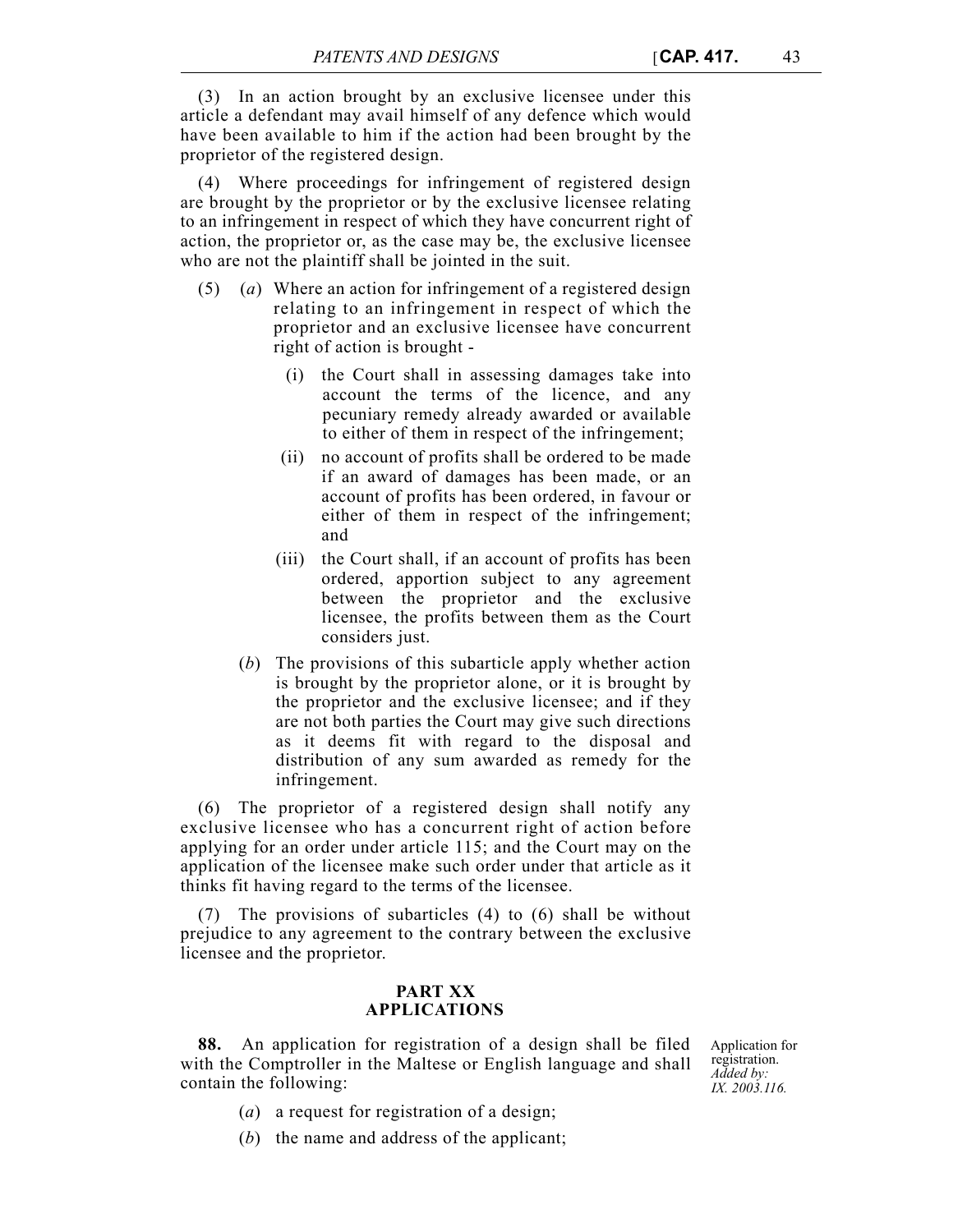(3) In an action brought by an exclusive licensee under this article a defendant may avail himself of any defence which would have been available to him if the action had been brought by the proprietor of the registered design.

(4) Where proceedings for infringement of registered design are brought by the proprietor or by the exclusive licensee relating to an infringement in respect of which they have concurrent right of action, the proprietor or, as the case may be, the exclusive licensee who are not the plaintiff shall be jointed in the suit.

- (5) (*a*) Where an action for infringement of a registered design relating to an infringement in respect of which the proprietor and an exclusive licensee have concurrent right of action is brought -
	- (i) the Court shall in assessing damages take into account the terms of the licence, and any pecuniary remedy already awarded or available to either of them in respect of the infringement;
	- (ii) no account of profits shall be ordered to be made if an award of damages has been made, or an account of profits has been ordered, in favour or either of them in respect of the infringement; and
	- (iii) the Court shall, if an account of profits has been ordered, apportion subject to any agreement between the proprietor and the exclusive licensee, the profits between them as the Court considers just.
	- (*b*) The provisions of this subarticle apply whether action is brought by the proprietor alone, or it is brought by the proprietor and the exclusive licensee; and if they are not both parties the Court may give such directions as it deems fit with regard to the disposal and distribution of any sum awarded as remedy for the infringement.

(6) The proprietor of a registered design shall notify any exclusive licensee who has a concurrent right of action before applying for an order under article 115; and the Court may on the application of the licensee make such order under that article as it thinks fit having regard to the terms of the licensee.

(7) The provisions of subarticles (4) to (6) shall be without prejudice to any agreement to the contrary between the exclusive licensee and the proprietor.

### **PART XX APPLICATIONS**

**88.** An application for registration of a design shall be filed with the Comptroller in the Maltese or English language and shall contain the following:

Application for registration. *Added by: IX. 2003.116.*

- (*a*) a request for registration of a design;
- (*b*) the name and address of the applicant;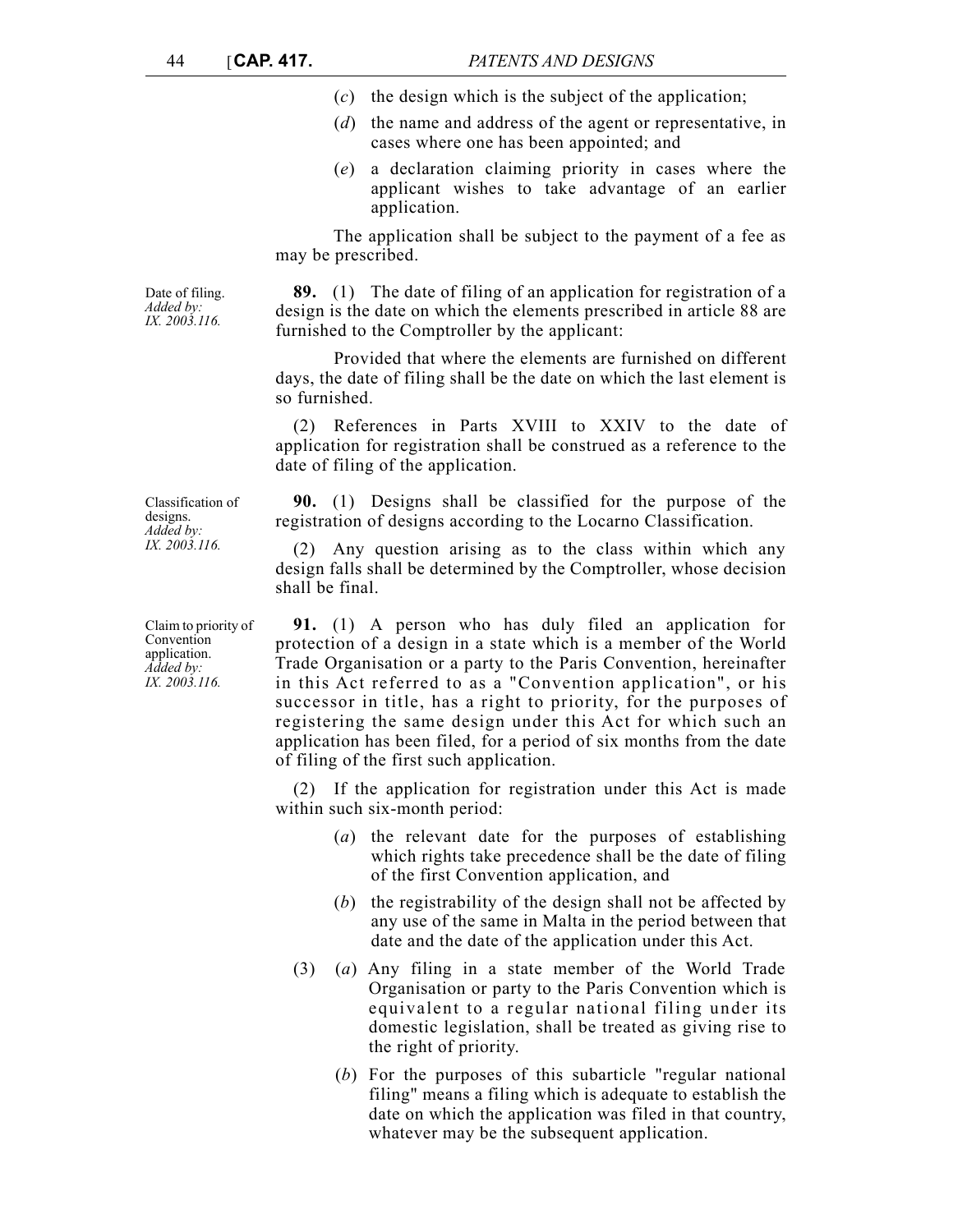- (*c*) the design which is the subject of the application;
- (*d*) the name and address of the agent or representative, in cases where one has been appointed; and
- (*e*) a declaration claiming priority in cases where the applicant wishes to take advantage of an earlier application.

The application shall be subject to the payment of a fee as may be prescribed.

**89.** (1) The date of filing of an application for registration of a design is the date on which the elements prescribed in article 88 are furnished to the Comptroller by the applicant:

Provided that where the elements are furnished on different days, the date of filing shall be the date on which the last element is so furnished.

(2) References in Parts XVIII to XXIV to the date of application for registration shall be construed as a reference to the date of filing of the application.

**90.** (1) Designs shall be classified for the purpose of the registration of designs according to the Locarno Classification.

(2) Any question arising as to the class within which any design falls shall be determined by the Comptroller, whose decision shall be final.

**91.** (1) A person who has duly filed an application for protection of a design in a state which is a member of the World Trade Organisation or a party to the Paris Convention, hereinafter in this Act referred to as a "Convention application", or his successor in title, has a right to priority, for the purposes of registering the same design under this Act for which such an application has been filed, for a period of six months from the date of filing of the first such application.

(2) If the application for registration under this Act is made within such six-month period:

- (*a*) the relevant date for the purposes of establishing which rights take precedence shall be the date of filing of the first Convention application, and
- (*b*) the registrability of the design shall not be affected by any use of the same in Malta in the period between that date and the date of the application under this Act.
- (3) (*a*) Any filing in a state member of the World Trade Organisation or party to the Paris Convention which is equivalent to a regular national filing under its domestic legislation, shall be treated as giving rise to the right of priority.
	- (*b*) For the purposes of this subarticle "regular national filing" means a filing which is adequate to establish the date on which the application was filed in that country, whatever may be the subsequent application.

Date of filing. *Added by: IX. 2003.116.*

Classification of designs. *Added by: IX. 2003.116.*

Claim to priority of Convention application. *Added by: IX. 2003.116.*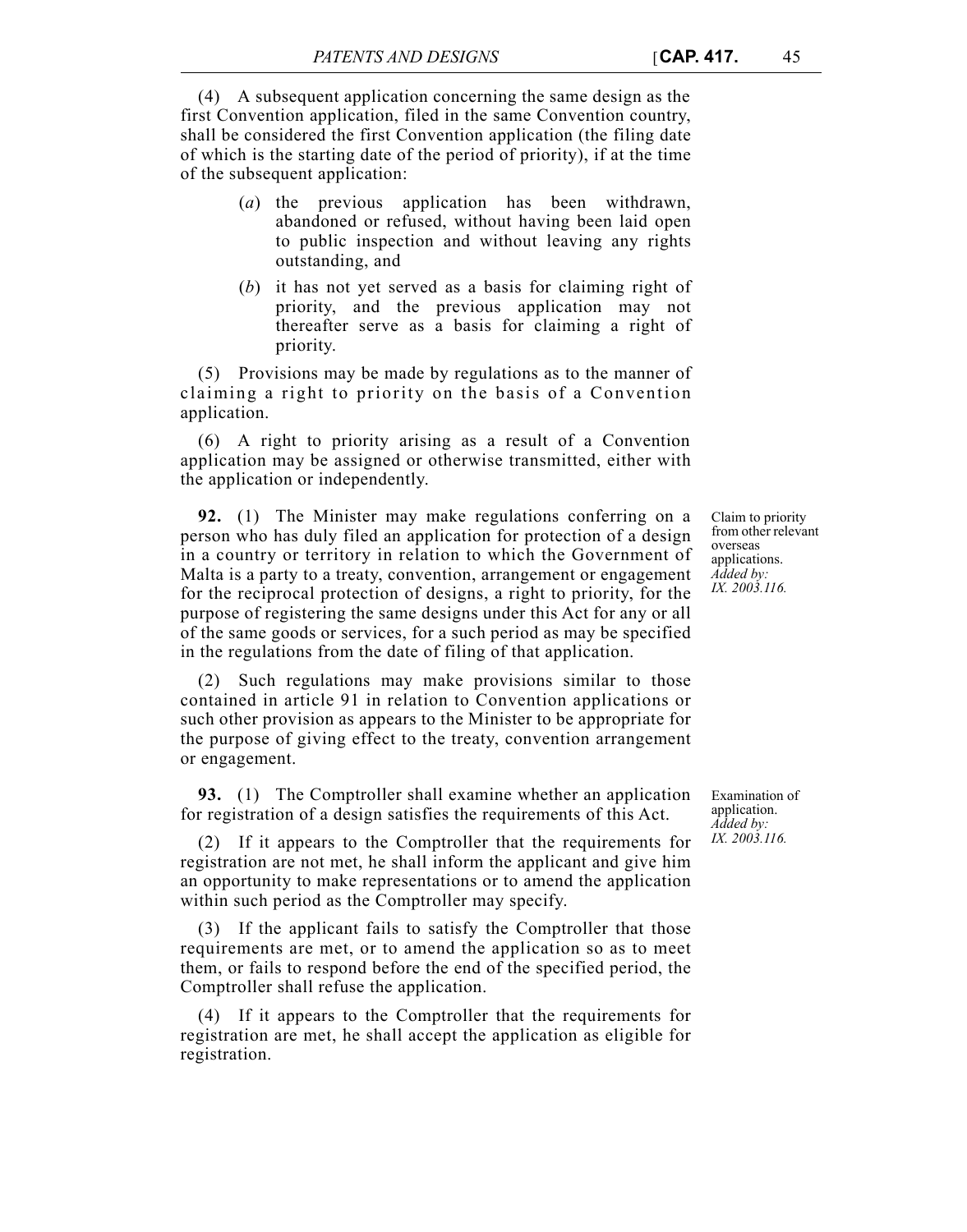(4) A subsequent application concerning the same design as the first Convention application, filed in the same Convention country, shall be considered the first Convention application (the filing date of which is the starting date of the period of priority), if at the time of the subsequent application:

- (*a*) the previous application has been withdrawn, abandoned or refused, without having been laid open to public inspection and without leaving any rights outstanding, and
- (*b*) it has not yet served as a basis for claiming right of priority, and the previous application may not thereafter serve as a basis for claiming a right of priority.

(5) Provisions may be made by regulations as to the manner of claiming a right to priority on the basis of a Convention application.

(6) A right to priority arising as a result of a Convention application may be assigned or otherwise transmitted, either with the application or independently.

**92.** (1) The Minister may make regulations conferring on a person who has duly filed an application for protection of a design in a country or territory in relation to which the Government of Malta is a party to a treaty, convention, arrangement or engagement for the reciprocal protection of designs, a right to priority, for the purpose of registering the same designs under this Act for any or all of the same goods or services, for a such period as may be specified in the regulations from the date of filing of that application.

(2) Such regulations may make provisions similar to those contained in article 91 in relation to Convention applications or such other provision as appears to the Minister to be appropriate for the purpose of giving effect to the treaty, convention arrangement or engagement.

**93.** (1) The Comptroller shall examine whether an application for registration of a design satisfies the requirements of this Act.

(2) If it appears to the Comptroller that the requirements for registration are not met, he shall inform the applicant and give him an opportunity to make representations or to amend the application within such period as the Comptroller may specify.

(3) If the applicant fails to satisfy the Comptroller that those requirements are met, or to amend the application so as to meet them, or fails to respond before the end of the specified period, the Comptroller shall refuse the application.

(4) If it appears to the Comptroller that the requirements for registration are met, he shall accept the application as eligible for registration.

from other relevant overseas applications. *Added by: IX. 2003.116.*

Claim to priority

Examination of application. *Added by: IX. 2003.116.*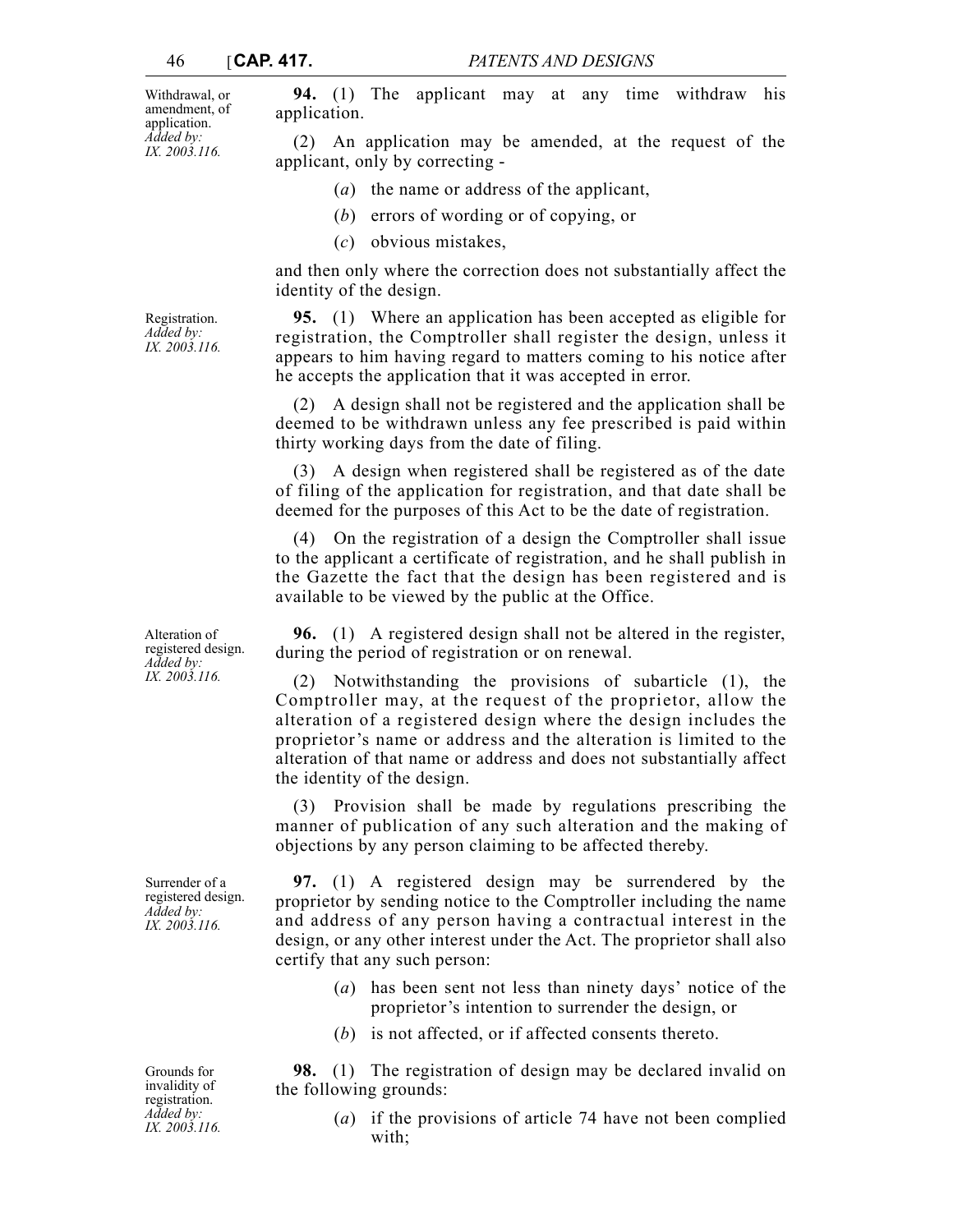Withdrawal, or amendment, of application. *Added by: IX. 2003.116.*

**94.** (1) The applicant may at any time withdraw his application.

(2) An application may be amended, at the request of the applicant, only by correcting -

- (*a*) the name or address of the applicant,
- (*b*) errors of wording or of copying, or
- (*c*) obvious mistakes,

and then only where the correction does not substantially affect the identity of the design.

**95.** (1) Where an application has been accepted as eligible for registration, the Comptroller shall register the design, unless it appears to him having regard to matters coming to his notice after he accepts the application that it was accepted in error.

(2) A design shall not be registered and the application shall be deemed to be withdrawn unless any fee prescribed is paid within thirty working days from the date of filing.

(3) A design when registered shall be registered as of the date of filing of the application for registration, and that date shall be deemed for the purposes of this Act to be the date of registration.

(4) On the registration of a design the Comptroller shall issue to the applicant a certificate of registration, and he shall publish in the Gazette the fact that the design has been registered and is available to be viewed by the public at the Office.

**96.** (1) A registered design shall not be altered in the register, during the period of registration or on renewal.

(2) Notwithstanding the provisions of subarticle (1), the Comptroller may, at the request of the proprietor, allow the alteration of a registered design where the design includes the proprietor's name or address and the alteration is limited to the alteration of that name or address and does not substantially affect the identity of the design.

(3) Provision shall be made by regulations prescribing the manner of publication of any such alteration and the making of objections by any person claiming to be affected thereby.

**97.** (1) A registered design may be surrendered by the proprietor by sending notice to the Comptroller including the name and address of any person having a contractual interest in the design, or any other interest under the Act. The proprietor shall also certify that any such person:

- (*a*) has been sent not less than ninety days' notice of the proprietor's intention to surrender the design, or
- (*b*) is not affected, or if affected consents thereto.

**98.** (1) The registration of design may be declared invalid on the following grounds:

> (*a*) if the provisions of article 74 have not been complied with;

Registration. *Added by: IX. 2003.116.*

Alteration of registered design. *Added by: IX. 2003.116.*

Surrender of a registered design. *Added by: IX. 2003.116.*

Grounds for invalidity of registration. *Added by: IX. 2003.116.*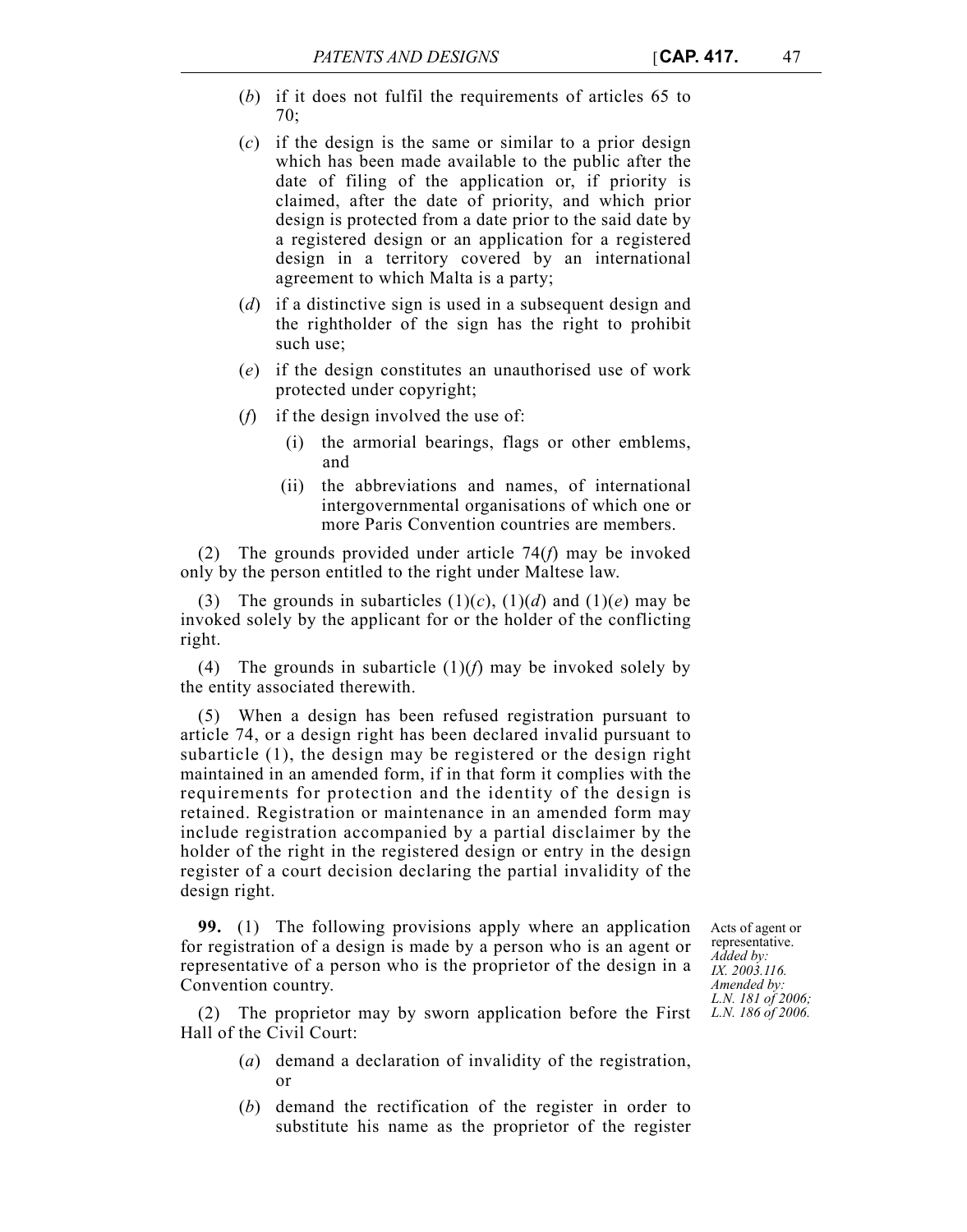- (*b*) if it does not fulfil the requirements of articles 65 to 70;
- (*c*) if the design is the same or similar to a prior design which has been made available to the public after the date of filing of the application or, if priority is claimed, after the date of priority, and which prior design is protected from a date prior to the said date by a registered design or an application for a registered design in a territory covered by an international agreement to which Malta is a party;
- (*d*) if a distinctive sign is used in a subsequent design and the rightholder of the sign has the right to prohibit such use;
- (*e*) if the design constitutes an unauthorised use of work protected under copyright;
- (*f*) if the design involved the use of:
	- (i) the armorial bearings, flags or other emblems, and
	- (ii) the abbreviations and names, of international intergovernmental organisations of which one or more Paris Convention countries are members.

(2) The grounds provided under article 74(*f*) may be invoked only by the person entitled to the right under Maltese law.

(3) The grounds in subarticles  $(1)(c)$ ,  $(1)(d)$  and  $(1)(e)$  may be invoked solely by the applicant for or the holder of the conflicting right.

(4) The grounds in subarticle  $(1)(f)$  may be invoked solely by the entity associated therewith.

(5) When a design has been refused registration pursuant to article 74, or a design right has been declared invalid pursuant to subarticle (1), the design may be registered or the design right maintained in an amended form, if in that form it complies with the requirements for protection and the identity of the design is retained. Registration or maintenance in an amended form may include registration accompanied by a partial disclaimer by the holder of the right in the registered design or entry in the design register of a court decision declaring the partial invalidity of the design right.

**99.** (1) The following provisions apply where an application for registration of a design is made by a person who is an agent or representative of a person who is the proprietor of the design in a Convention country.

Acts of agent or representative. *Added by: IX. 2003.116. Amended by: L.N. 181 of 2006; L.N. 186 of 2006.*

(2) The proprietor may by sworn application before the First Hall of the Civil Court:

- (*a*) demand a declaration of invalidity of the registration, or
- (*b*) demand the rectification of the register in order to substitute his name as the proprietor of the register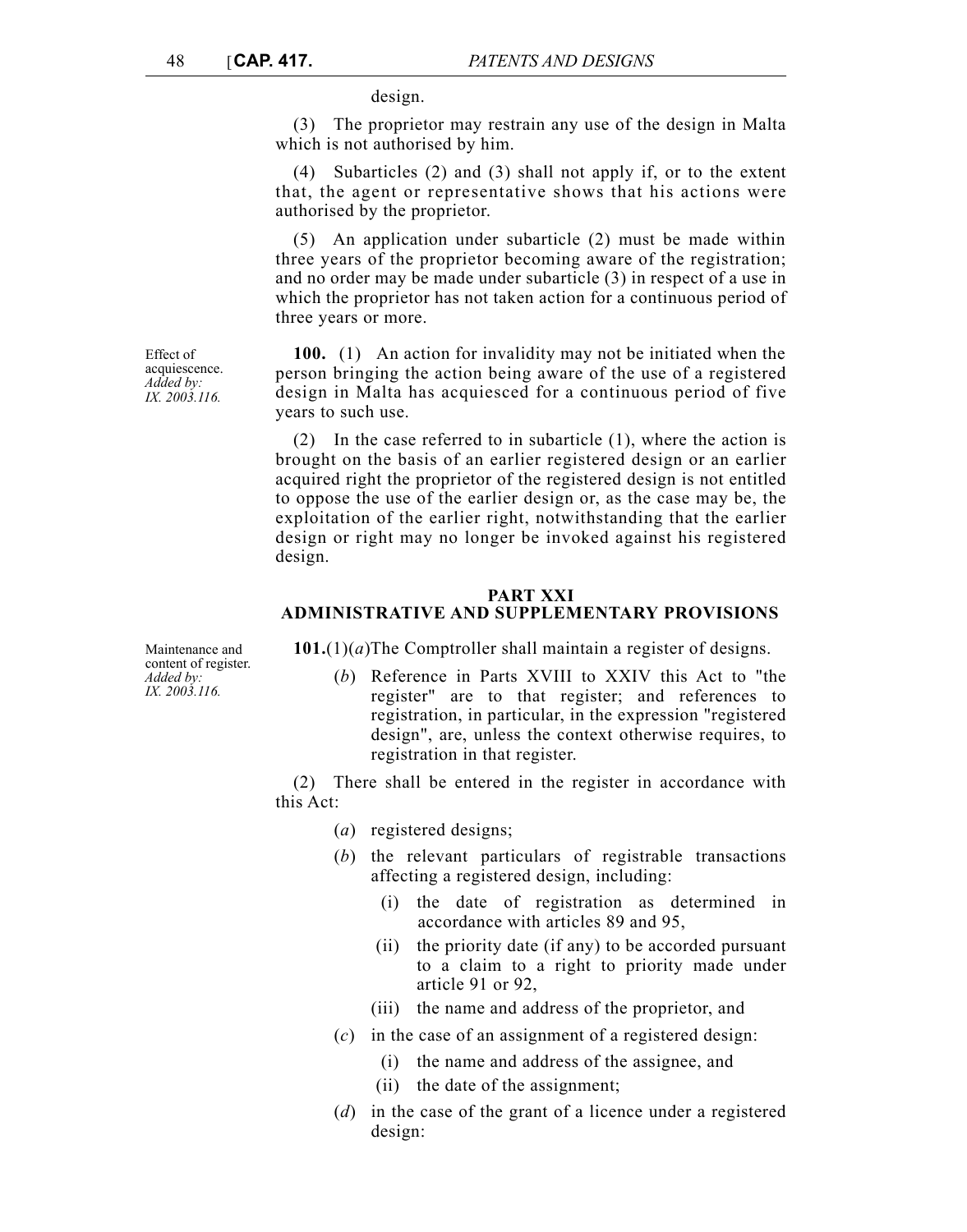design.

(3) The proprietor may restrain any use of the design in Malta which is not authorised by him.

(4) Subarticles (2) and (3) shall not apply if, or to the extent that, the agent or representative shows that his actions were authorised by the proprietor.

(5) An application under subarticle (2) must be made within three years of the proprietor becoming aware of the registration; and no order may be made under subarticle (3) in respect of a use in which the proprietor has not taken action for a continuous period of three years or more.

**100.** (1) An action for invalidity may not be initiated when the person bringing the action being aware of the use of a registered design in Malta has acquiesced for a continuous period of five years to such use.

(2) In the case referred to in subarticle (1), where the action is brought on the basis of an earlier registered design or an earlier acquired right the proprietor of the registered design is not entitled to oppose the use of the earlier design or, as the case may be, the exploitation of the earlier right, notwithstanding that the earlier design or right may no longer be invoked against his registered design.

# **PART XXI ADMINISTRATIVE AND SUPPLEMENTARY PROVISIONS**

**101.**(1)(*a*)The Comptroller shall maintain a register of designs.

(*b*) Reference in Parts XVIII to XXIV this Act to "the register" are to that register; and references to registration, in particular, in the expression "registered design", are, unless the context otherwise requires, to registration in that register.

(2) There shall be entered in the register in accordance with this Act:

- (*a*) registered designs;
- (*b*) the relevant particulars of registrable transactions affecting a registered design, including:
	- (i) the date of registration as determined in accordance with articles 89 and 95,
	- (ii) the priority date (if any) to be accorded pursuant to a claim to a right to priority made under article 91 or 92,
	- (iii) the name and address of the proprietor, and
- (*c*) in the case of an assignment of a registered design:
	- (i) the name and address of the assignee, and
	- (ii) the date of the assignment;
- (*d*) in the case of the grant of a licence under a registered design:

Effect of acquiescence. *Added by: IX. 2003.116.*

Maintenance and content of register. *Added by: IX. 2003.116.*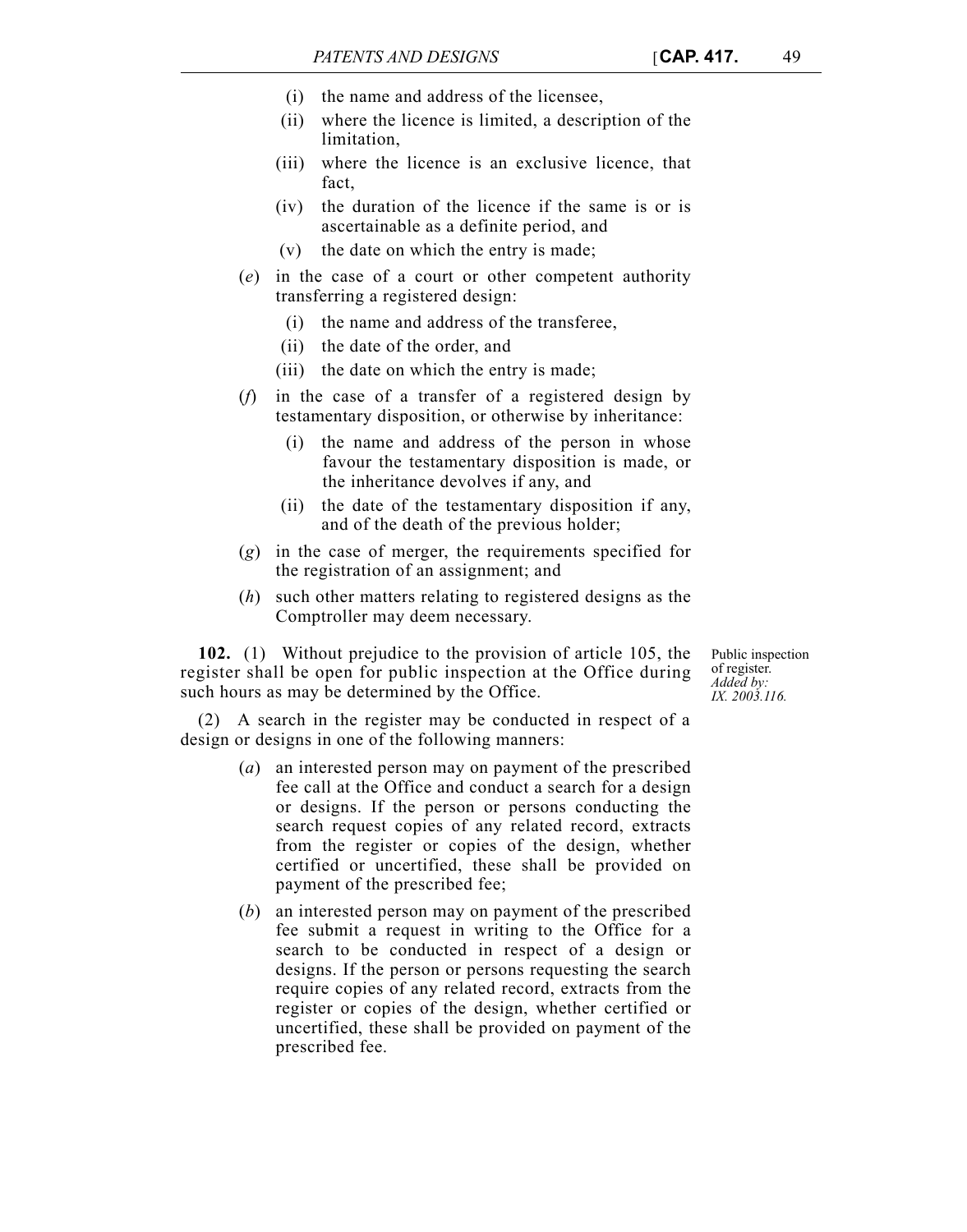- (i) the name and address of the licensee,
- (ii) where the licence is limited, a description of the limitation,
- (iii) where the licence is an exclusive licence, that fact,
- (iv) the duration of the licence if the same is or is ascertainable as a definite period, and
- (v) the date on which the entry is made;
- (*e*) in the case of a court or other competent authority transferring a registered design:
	- (i) the name and address of the transferee,
	- (ii) the date of the order, and
	- (iii) the date on which the entry is made;
- (*f*) in the case of a transfer of a registered design by testamentary disposition, or otherwise by inheritance:
	- (i) the name and address of the person in whose favour the testamentary disposition is made, or the inheritance devolves if any, and
	- (ii) the date of the testamentary disposition if any, and of the death of the previous holder;
- (*g*) in the case of merger, the requirements specified for the registration of an assignment; and
- (*h*) such other matters relating to registered designs as the Comptroller may deem necessary.

**102.** (1) Without prejudice to the provision of article 105, the register shall be open for public inspection at the Office during such hours as may be determined by the Office.

Public inspection of register. *Added by: IX. 2003.116.*

(2) A search in the register may be conducted in respect of a design or designs in one of the following manners:

- (*a*) an interested person may on payment of the prescribed fee call at the Office and conduct a search for a design or designs. If the person or persons conducting the search request copies of any related record, extracts from the register or copies of the design, whether certified or uncertified, these shall be provided on payment of the prescribed fee;
- (*b*) an interested person may on payment of the prescribed fee submit a request in writing to the Office for a search to be conducted in respect of a design or designs. If the person or persons requesting the search require copies of any related record, extracts from the register or copies of the design, whether certified or uncertified, these shall be provided on payment of the prescribed fee.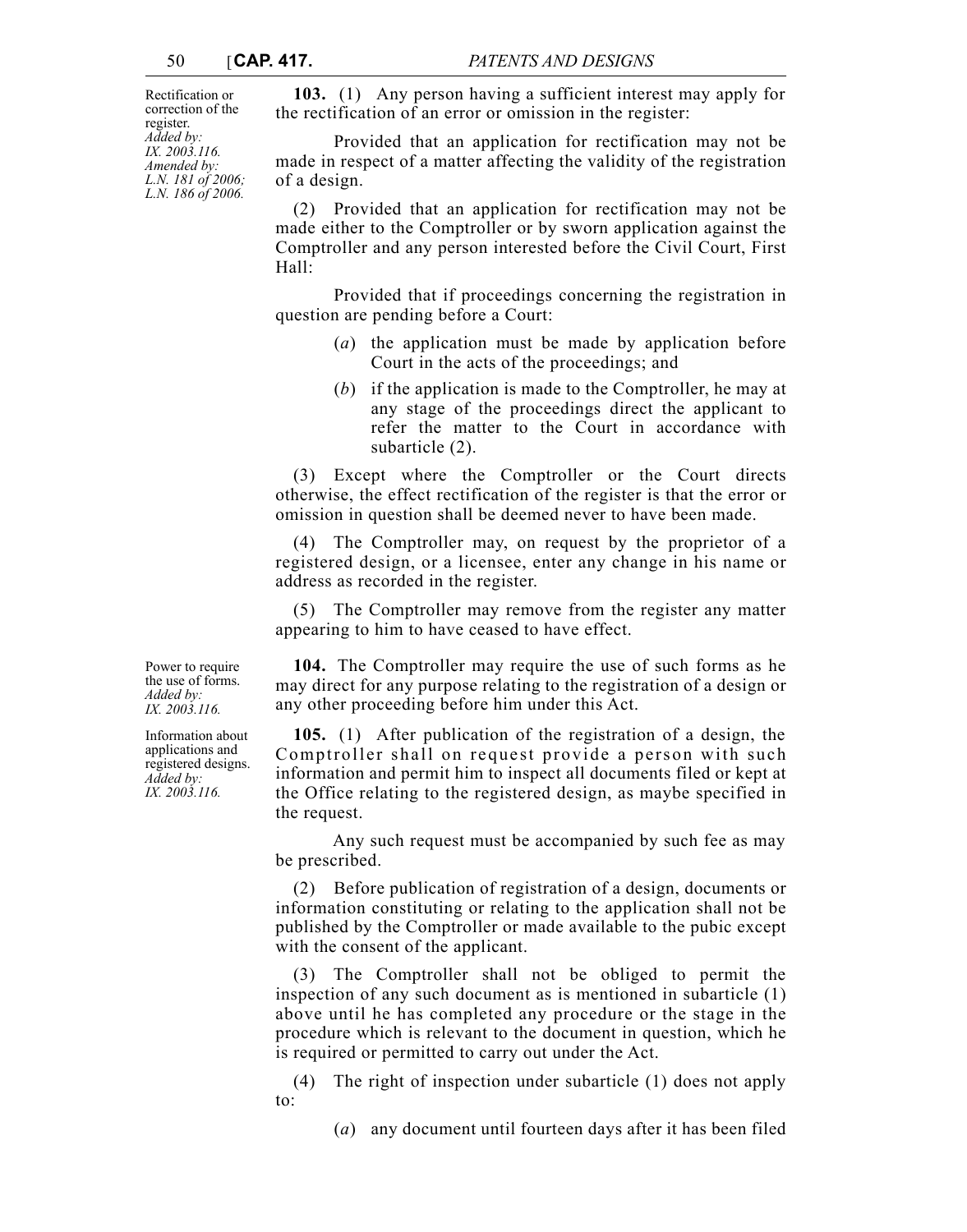Rectification or correction of the register. *Added by: IX. 2003.116. Amended by: L.N. 181 of 2006; L.N. 186 of 2006.*

**103.** (1) Any person having a sufficient interest may apply for the rectification of an error or omission in the register:

Provided that an application for rectification may not be made in respect of a matter affecting the validity of the registration of a design.

(2) Provided that an application for rectification may not be made either to the Comptroller or by sworn application against the Comptroller and any person interested before the Civil Court, First Hall:

Provided that if proceedings concerning the registration in question are pending before a Court:

- (*a*) the application must be made by application before Court in the acts of the proceedings; and
- (*b*) if the application is made to the Comptroller, he may at any stage of the proceedings direct the applicant to refer the matter to the Court in accordance with subarticle (2).

(3) Except where the Comptroller or the Court directs otherwise, the effect rectification of the register is that the error or omission in question shall be deemed never to have been made.

(4) The Comptroller may, on request by the proprietor of a registered design, or a licensee, enter any change in his name or address as recorded in the register.

(5) The Comptroller may remove from the register any matter appearing to him to have ceased to have effect.

**104.** The Comptroller may require the use of such forms as he may direct for any purpose relating to the registration of a design or any other proceeding before him under this Act.

**105.** (1) After publication of the registration of a design, the Comptroller shall on request provide a person with such information and permit him to inspect all documents filed or kept at the Office relating to the registered design, as maybe specified in the request.

Any such request must be accompanied by such fee as may be prescribed.

(2) Before publication of registration of a design, documents or information constituting or relating to the application shall not be published by the Comptroller or made available to the pubic except with the consent of the applicant.

(3) The Comptroller shall not be obliged to permit the inspection of any such document as is mentioned in subarticle (1) above until he has completed any procedure or the stage in the procedure which is relevant to the document in question, which he is required or permitted to carry out under the Act.

(4) The right of inspection under subarticle (1) does not apply to:

(*a*) any document until fourteen days after it has been filed

Power to require the use of forms. *Added by: IX. 2003.116.*

Information about applications and registered designs. *Added by: IX. 2003.116.*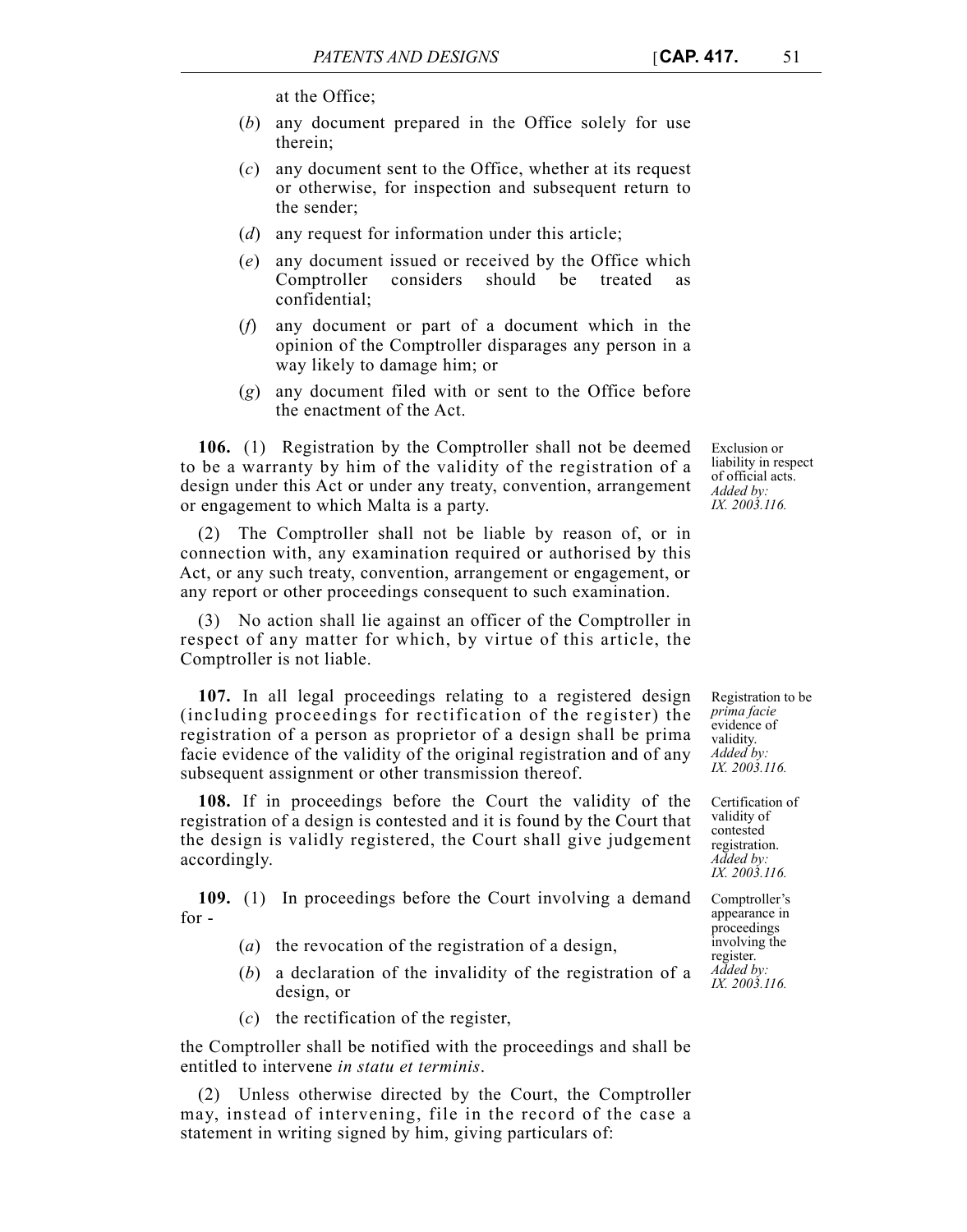at the Office;

- (*b*) any document prepared in the Office solely for use therein;
- (*c*) any document sent to the Office, whether at its request or otherwise, for inspection and subsequent return to the sender;
- (*d*) any request for information under this article;
- (*e*) any document issued or received by the Office which Comptroller considers should be treated confidential;
- (*f*) any document or part of a document which in the opinion of the Comptroller disparages any person in a way likely to damage him; or
- (*g*) any document filed with or sent to the Office before the enactment of the Act.

**106.** (1) Registration by the Comptroller shall not be deemed to be a warranty by him of the validity of the registration of a design under this Act or under any treaty, convention, arrangement or engagement to which Malta is a party.

(2) The Comptroller shall not be liable by reason of, or in connection with, any examination required or authorised by this Act, or any such treaty, convention, arrangement or engagement, or any report or other proceedings consequent to such examination.

(3) No action shall lie against an officer of the Comptroller in respect of any matter for which, by virtue of this article, the Comptroller is not liable.

**107.** In all legal proceedings relating to a registered design (including proceedings for rectification of the register) the registration of a person as proprietor of a design shall be prima facie evidence of the validity of the original registration and of any subsequent assignment or other transmission thereof.

**108.** If in proceedings before the Court the validity of the registration of a design is contested and it is found by the Court that the design is validly registered, the Court shall give judgement accordingly.

**109.** (1) In proceedings before the Court involving a demand for -

- (*a*) the revocation of the registration of a design,
- (*b*) a declaration of the invalidity of the registration of a design, or
- (*c*) the rectification of the register,

the Comptroller shall be notified with the proceedings and shall be entitled to intervene *in statu et terminis*.

(2) Unless otherwise directed by the Court, the Comptroller may, instead of intervening, file in the record of the case a statement in writing signed by him, giving particulars of:

Exclusion or liability in respect of official acts. *Added by: IX. 2003.116.*

Registration to be *prima facie* evidence of validity. *Added by: IX. 2003.116.*

Certification of validity of contested registration. *Added by: IX. 2003.116.*

Comptroller's appearance in proceedings involving the register. *Added by: IX. 2003.116.*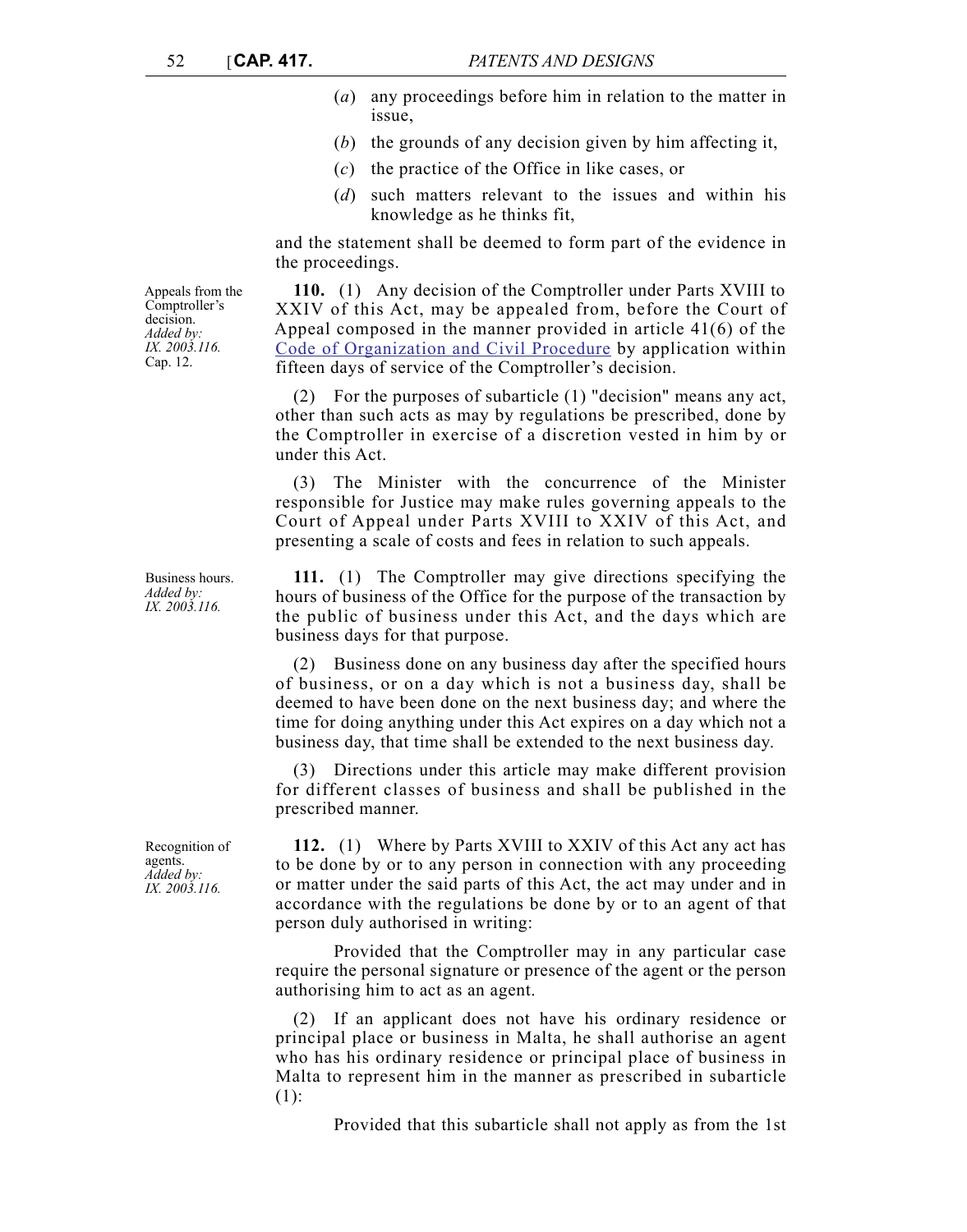- (*a*) any proceedings before him in relation to the matter in issue,
- (*b*) the grounds of any decision given by him affecting it,
- (*c*) the practice of the Office in like cases, or
- (*d*) such matters relevant to the issues and within his knowledge as he thinks fit,

and the statement shall be deemed to form part of the evidence in the proceedings.

**110.** (1) Any decision of the Comptroller under Parts XVIII to XXIV of this Act, may be appealed from, before the Court of Appeal composed in the manner provided in article 41(6) of the [Code of Organization and Civil Procedure](http://www.justiceservices.gov.mt/DownloadDocument.aspx?app=lom&itemid=8577&l=1) by application within fifteen days of service of the Comptroller's decision.

(2) For the purposes of subarticle (1) "decision" means any act, other than such acts as may by regulations be prescribed, done by the Comptroller in exercise of a discretion vested in him by or under this Act.

(3) The Minister with the concurrence of the Minister responsible for Justice may make rules governing appeals to the Court of Appeal under Parts XVIII to XXIV of this Act, and presenting a scale of costs and fees in relation to such appeals.

**111.** (1) The Comptroller may give directions specifying the hours of business of the Office for the purpose of the transaction by the public of business under this Act, and the days which are business days for that purpose.

(2) Business done on any business day after the specified hours of business, or on a day which is not a business day, shall be deemed to have been done on the next business day; and where the time for doing anything under this Act expires on a day which not a business day, that time shall be extended to the next business day.

(3) Directions under this article may make different provision for different classes of business and shall be published in the prescribed manner.

**112.** (1) Where by Parts XVIII to XXIV of this Act any act has to be done by or to any person in connection with any proceeding or matter under the said parts of this Act, the act may under and in accordance with the regulations be done by or to an agent of that person duly authorised in writing:

Provided that the Comptroller may in any particular case require the personal signature or presence of the agent or the person authorising him to act as an agent.

(2) If an applicant does not have his ordinary residence or principal place or business in Malta, he shall authorise an agent who has his ordinary residence or principal place of business in Malta to represent him in the manner as prescribed in subarticle (1):

Provided that this subarticle shall not apply as from the 1st

Appeals from the Comptroller's decision. *Added by: IX. 2003.116.* Cap. 12.

Business hours. *Added by: IX. 2003.116.*

Recognition of agents. *Added by: IX. 2003.116.*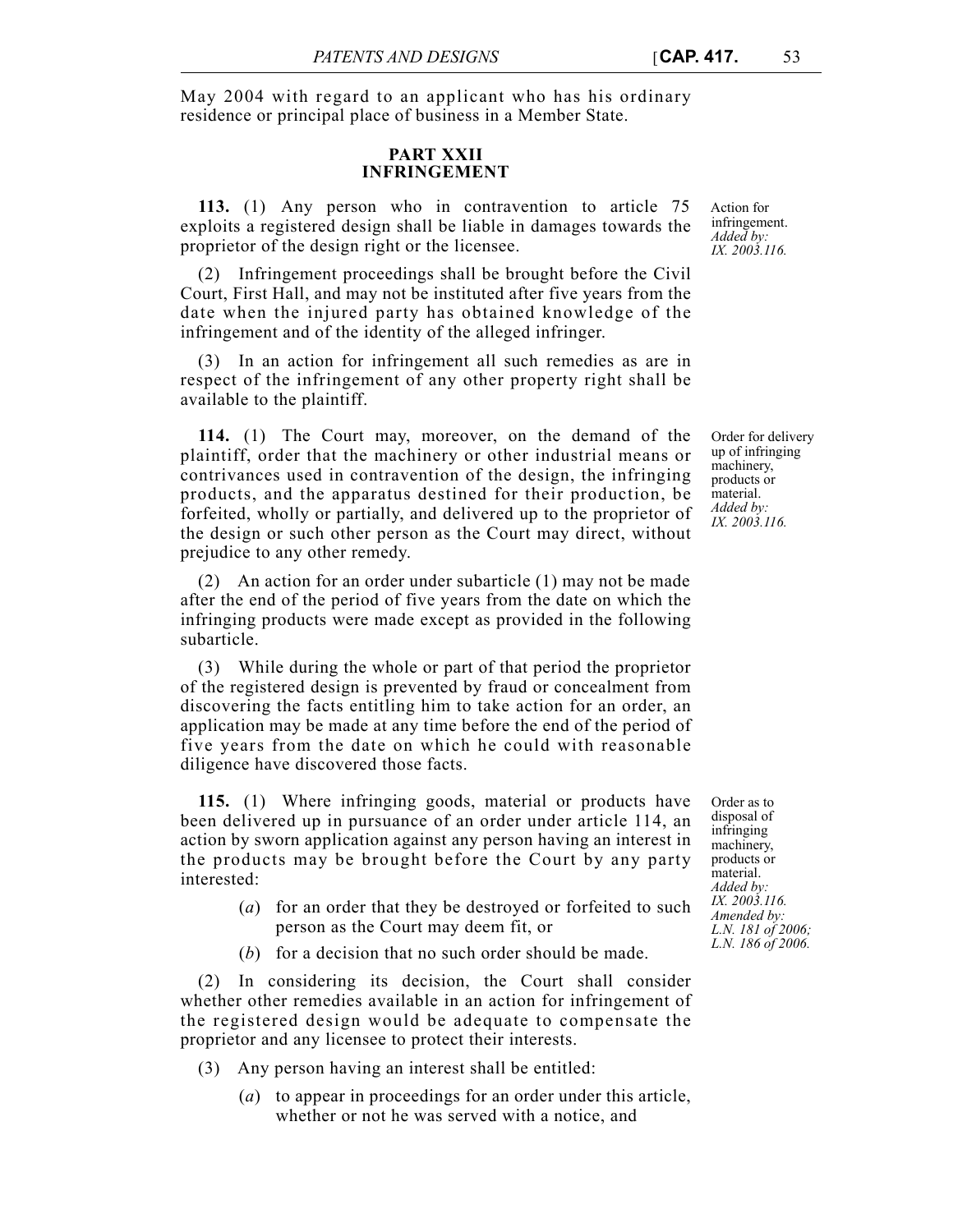May 2004 with regard to an applicant who has his ordinary residence or principal place of business in a Member State.

### **PART XXII INFRINGEMENT**

**113.** (1) Any person who in contravention to article 75 exploits a registered design shall be liable in damages towards the proprietor of the design right or the licensee.

(2) Infringement proceedings shall be brought before the Civil Court, First Hall, and may not be instituted after five years from the date when the injured party has obtained knowledge of the infringement and of the identity of the alleged infringer.

(3) In an action for infringement all such remedies as are in respect of the infringement of any other property right shall be available to the plaintiff.

**114.** (1) The Court may, moreover, on the demand of the plaintiff, order that the machinery or other industrial means or contrivances used in contravention of the design, the infringing products, and the apparatus destined for their production, be forfeited, wholly or partially, and delivered up to the proprietor of the design or such other person as the Court may direct, without prejudice to any other remedy.

(2) An action for an order under subarticle (1) may not be made after the end of the period of five years from the date on which the infringing products were made except as provided in the following subarticle.

(3) While during the whole or part of that period the proprietor of the registered design is prevented by fraud or concealment from discovering the facts entitling him to take action for an order, an application may be made at any time before the end of the period of five years from the date on which he could with reasonable diligence have discovered those facts.

**115.** (1) Where infringing goods, material or products have been delivered up in pursuance of an order under article 114, an action by sworn application against any person having an interest in the products may be brought before the Court by any party interested:

- (*a*) for an order that they be destroyed or forfeited to such person as the Court may deem fit, or
- (*b*) for a decision that no such order should be made.

(2) In considering its decision, the Court shall consider whether other remedies available in an action for infringement of the registered design would be adequate to compensate the proprietor and any licensee to protect their interests.

- (3) Any person having an interest shall be entitled:
	- (*a*) to appear in proceedings for an order under this article, whether or not he was served with a notice, and

Action for infringement. *Added by: IX. 2003.116.*

Order for delivery up of infringing machinery, products or material. *Added by: IX. 2003.116.*

Order as to disposal of infringing machinery, products or material. *Added by: IX. 2003.116. Amended by: L.N. 181 of 2006; L.N. 186 of 2006.*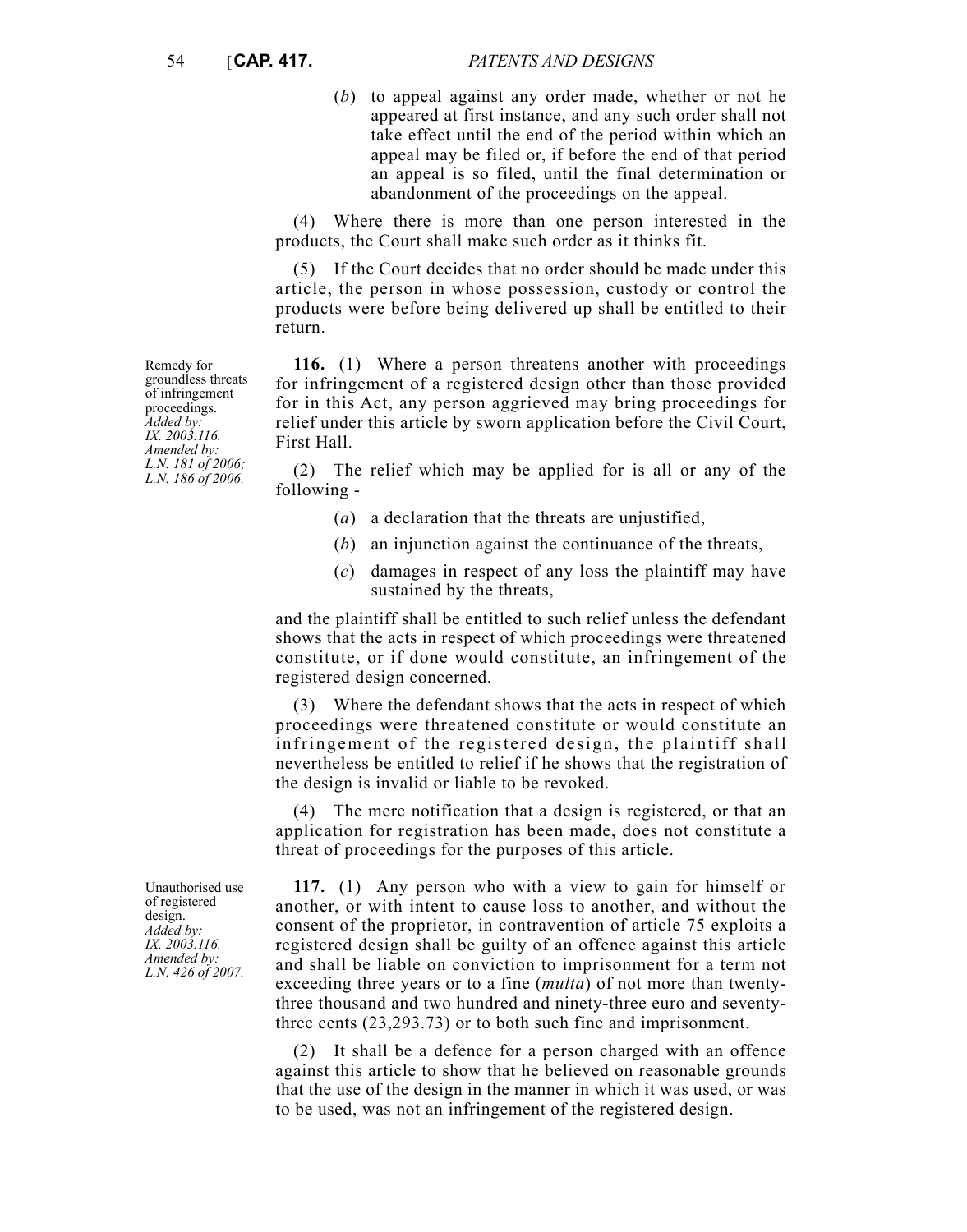(*b*) to appeal against any order made, whether or not he appeared at first instance, and any such order shall not take effect until the end of the period within which an appeal may be filed or, if before the end of that period an appeal is so filed, until the final determination or abandonment of the proceedings on the appeal.

(4) Where there is more than one person interested in the products, the Court shall make such order as it thinks fit.

(5) If the Court decides that no order should be made under this article, the person in whose possession, custody or control the products were before being delivered up shall be entitled to their return.

**116.** (1) Where a person threatens another with proceedings for infringement of a registered design other than those provided for in this Act, any person aggrieved may bring proceedings for relief under this article by sworn application before the Civil Court, First Hall.

(2) The relief which may be applied for is all or any of the following -

- (*a*) a declaration that the threats are unjustified,
- (*b*) an injunction against the continuance of the threats,
- (*c*) damages in respect of any loss the plaintiff may have sustained by the threats,

and the plaintiff shall be entitled to such relief unless the defendant shows that the acts in respect of which proceedings were threatened constitute, or if done would constitute, an infringement of the registered design concerned.

(3) Where the defendant shows that the acts in respect of which proceedings were threatened constitute or would constitute an infringement of the registered design, the plaintiff shall nevertheless be entitled to relief if he shows that the registration of the design is invalid or liable to be revoked.

(4) The mere notification that a design is registered, or that an application for registration has been made, does not constitute a threat of proceedings for the purposes of this article.

**117.** (1) Any person who with a view to gain for himself or another, or with intent to cause loss to another, and without the consent of the proprietor, in contravention of article 75 exploits a registered design shall be guilty of an offence against this article and shall be liable on conviction to imprisonment for a term not exceeding three years or to a fine (*multa*) of not more than twentythree thousand and two hundred and ninety-three euro and seventythree cents (23,293.73) or to both such fine and imprisonment.

(2) It shall be a defence for a person charged with an offence against this article to show that he believed on reasonable grounds that the use of the design in the manner in which it was used, or was to be used, was not an infringement of the registered design.

Remedy for groundless threats of infringement proceedings. *Added by: IX. 2003.116. Amended by: L.N. 181 of 2006; L.N. 186 of 2006.*

Unauthorised use of registered design. *Added by: IX. 2003.116. Amended by: L.N. 426 of 2007.*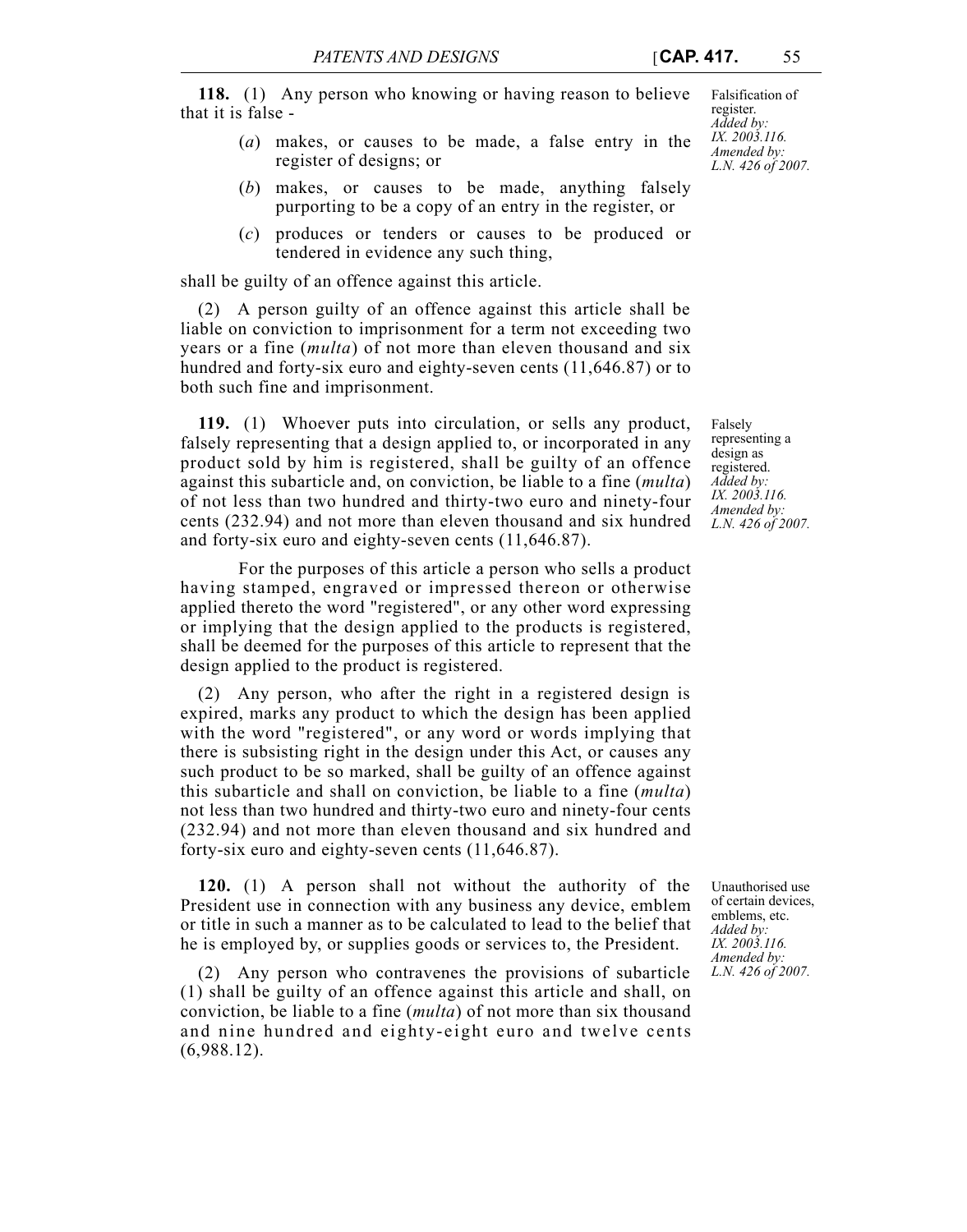**118.** (1) Any person who knowing or having reason to believe that it is false -

- (*a*) makes, or causes to be made, a false entry in the register of designs; or
- (*b*) makes, or causes to be made, anything falsely purporting to be a copy of an entry in the register, or
- (*c*) produces or tenders or causes to be produced or tendered in evidence any such thing,

shall be guilty of an offence against this article.

(2) A person guilty of an offence against this article shall be liable on conviction to imprisonment for a term not exceeding two years or a fine (*multa*) of not more than eleven thousand and six hundred and forty-six euro and eighty-seven cents (11,646.87) or to both such fine and imprisonment.

**119.** (1) Whoever puts into circulation, or sells any product, falsely representing that a design applied to, or incorporated in any product sold by him is registered, shall be guilty of an offence against this subarticle and, on conviction, be liable to a fine (*multa*) of not less than two hundred and thirty-two euro and ninety-four cents (232.94) and not more than eleven thousand and six hundred and forty-six euro and eighty-seven cents (11,646.87).

For the purposes of this article a person who sells a product having stamped, engraved or impressed thereon or otherwise applied thereto the word "registered", or any other word expressing or implying that the design applied to the products is registered, shall be deemed for the purposes of this article to represent that the design applied to the product is registered.

(2) Any person, who after the right in a registered design is expired, marks any product to which the design has been applied with the word "registered", or any word or words implying that there is subsisting right in the design under this Act, or causes any such product to be so marked, shall be guilty of an offence against this subarticle and shall on conviction, be liable to a fine (*multa*) not less than two hundred and thirty-two euro and ninety-four cents (232.94) and not more than eleven thousand and six hundred and forty-six euro and eighty-seven cents (11,646.87).

**120.** (1) A person shall not without the authority of the President use in connection with any business any device, emblem or title in such a manner as to be calculated to lead to the belief that he is employed by, or supplies goods or services to, the President.

(2) Any person who contravenes the provisions of subarticle (1) shall be guilty of an offence against this article and shall, on conviction, be liable to a fine (*multa*) of not more than six thousand and nine hundred and eighty-eight euro and twelve cents (6,988.12).

Falsification of register. *Added by: IX. 2003.116. Amended by: L.N. 426 of 2007.*

Falsely representing a design as registered. *Added by: IX. 2003.116. Amended by: L.N. 426 of 2007.*

Unauthorised use of certain devices, emblems, etc. *Added by: IX. 2003.116. Amended by: L.N. 426 of 2007.*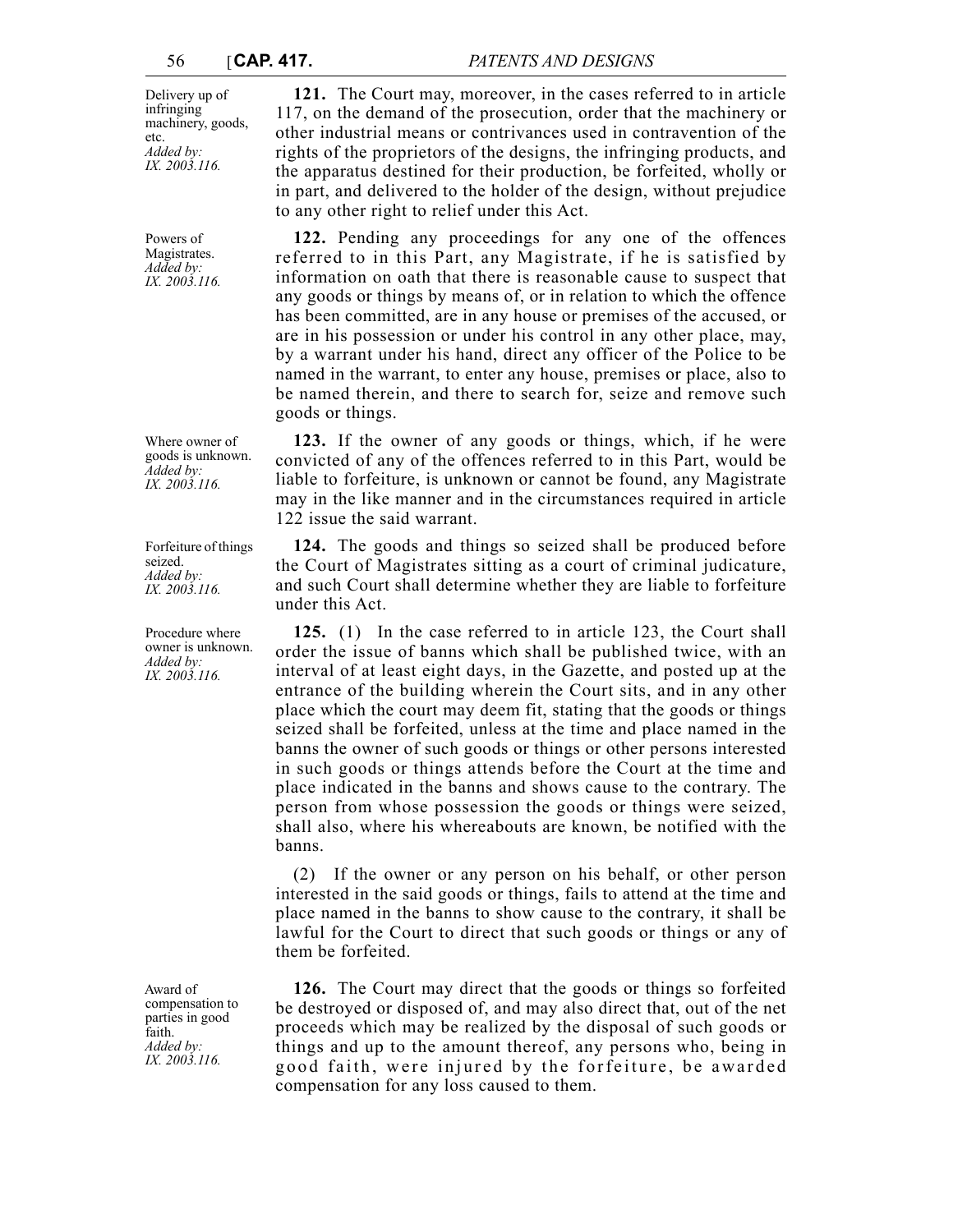Delivery up of infringing machinery, goods, etc. *Added by: IX. 2003.116.*

Powers of Magistrates. *Added by: IX. 2003.116.*

Where owner of goods is unknown. *Added by: IX. 2003.116.*

Forfeiture of things seized. *Added by: IX. 2003.116.*

Procedure where owner is unknown. *Added by: IX. 2003.116.*

Award of compensation to parties in good faith. *Added by: IX. 2003.116.*

**121.** The Court may, moreover, in the cases referred to in article 117, on the demand of the prosecution, order that the machinery or other industrial means or contrivances used in contravention of the rights of the proprietors of the designs, the infringing products, and the apparatus destined for their production, be forfeited, wholly or in part, and delivered to the holder of the design, without prejudice to any other right to relief under this Act.

**122.** Pending any proceedings for any one of the offences referred to in this Part, any Magistrate, if he is satisfied by information on oath that there is reasonable cause to suspect that any goods or things by means of, or in relation to which the offence has been committed, are in any house or premises of the accused, or are in his possession or under his control in any other place, may, by a warrant under his hand, direct any officer of the Police to be named in the warrant, to enter any house, premises or place, also to be named therein, and there to search for, seize and remove such goods or things.

**123.** If the owner of any goods or things, which, if he were convicted of any of the offences referred to in this Part, would be liable to forfeiture, is unknown or cannot be found, any Magistrate may in the like manner and in the circumstances required in article 122 issue the said warrant.

**124.** The goods and things so seized shall be produced before the Court of Magistrates sitting as a court of criminal judicature, and such Court shall determine whether they are liable to forfeiture under this Act.

**125.** (1) In the case referred to in article 123, the Court shall order the issue of banns which shall be published twice, with an interval of at least eight days, in the Gazette, and posted up at the entrance of the building wherein the Court sits, and in any other place which the court may deem fit, stating that the goods or things seized shall be forfeited, unless at the time and place named in the banns the owner of such goods or things or other persons interested in such goods or things attends before the Court at the time and place indicated in the banns and shows cause to the contrary. The person from whose possession the goods or things were seized, shall also, where his whereabouts are known, be notified with the banns.

(2) If the owner or any person on his behalf, or other person interested in the said goods or things, fails to attend at the time and place named in the banns to show cause to the contrary, it shall be lawful for the Court to direct that such goods or things or any of them be forfeited.

**126.** The Court may direct that the goods or things so forfeited be destroyed or disposed of, and may also direct that, out of the net proceeds which may be realized by the disposal of such goods or things and up to the amount thereof, any persons who, being in good faith, were injured by the forfeiture, be awarded compensation for any loss caused to them.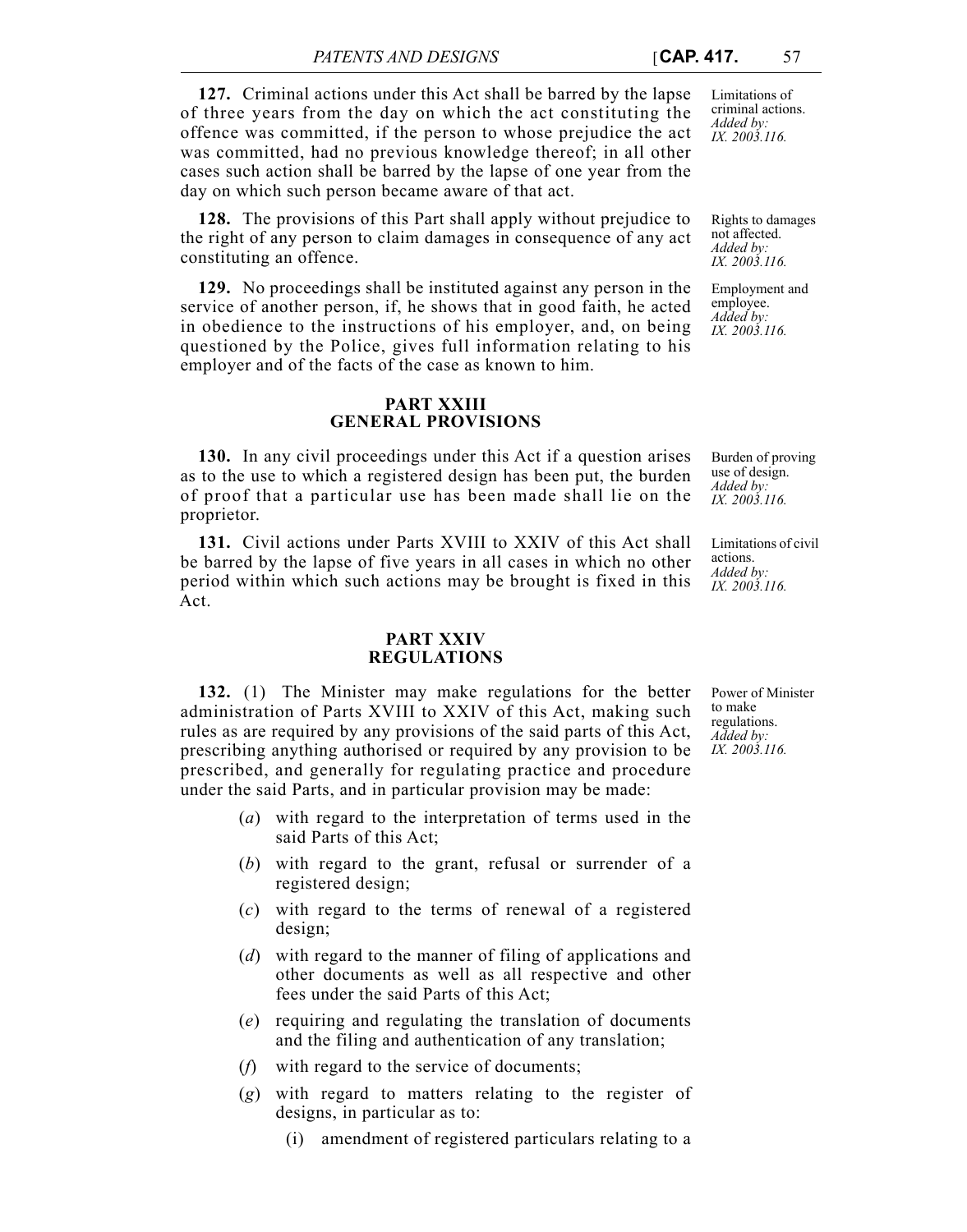**127.** Criminal actions under this Act shall be barred by the lapse of three years from the day on which the act constituting the offence was committed, if the person to whose prejudice the act was committed, had no previous knowledge thereof; in all other cases such action shall be barred by the lapse of one year from the day on which such person became aware of that act.

**128.** The provisions of this Part shall apply without prejudice to the right of any person to claim damages in consequence of any act constituting an offence.

**129.** No proceedings shall be instituted against any person in the service of another person, if, he shows that in good faith, he acted in obedience to the instructions of his employer, and, on being questioned by the Police, gives full information relating to his employer and of the facts of the case as known to him.

## **PART XXIII GENERAL PROVISIONS**

**130.** In any civil proceedings under this Act if a question arises as to the use to which a registered design has been put, the burden of proof that a particular use has been made shall lie on the proprietor.

**131.** Civil actions under Parts XVIII to XXIV of this Act shall be barred by the lapse of five years in all cases in which no other period within which such actions may be brought is fixed in this Act.

### **PART XXIV REGULATIONS**

**132.** (1) The Minister may make regulations for the better administration of Parts XVIII to XXIV of this Act, making such rules as are required by any provisions of the said parts of this Act, prescribing anything authorised or required by any provision to be prescribed, and generally for regulating practice and procedure under the said Parts, and in particular provision may be made:

- (*a*) with regard to the interpretation of terms used in the said Parts of this Act;
- (*b*) with regard to the grant, refusal or surrender of a registered design;
- (*c*) with regard to the terms of renewal of a registered design;
- (*d*) with regard to the manner of filing of applications and other documents as well as all respective and other fees under the said Parts of this Act;
- (*e*) requiring and regulating the translation of documents and the filing and authentication of any translation;
- (*f*) with regard to the service of documents;
- (*g*) with regard to matters relating to the register of designs, in particular as to:
	- (i) amendment of registered particulars relating to a

Limitations of criminal actions. *Added by: IX. 2003.116.*

Rights to damages not affected. *Added by: IX. 2003.116.*

Employment and employee. *Added by: IX. 2003.116.*

Burden of proving use of design. *Added by: IX. 2003.116.*

Limitations of civil actions. *Added by: IX. 2003.116.*

Power of Minister to make regulations. *Added by: IX. 2003.116.*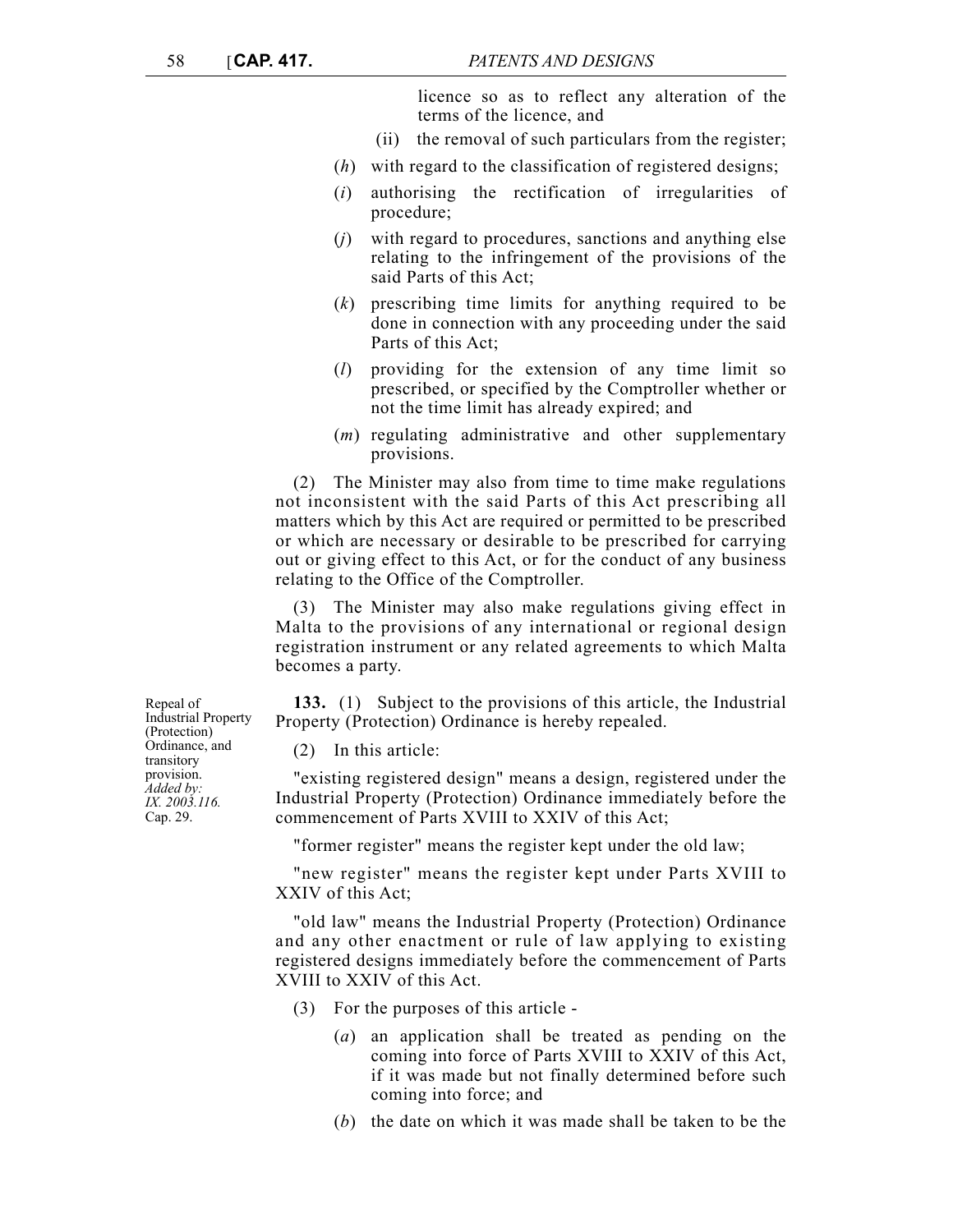licence so as to reflect any alteration of the terms of the licence, and

- (ii) the removal of such particulars from the register;
- (*h*) with regard to the classification of registered designs;
- (*i*) authorising the rectification of irregularities of procedure;
- (*j*) with regard to procedures, sanctions and anything else relating to the infringement of the provisions of the said Parts of this Act;
- (*k*) prescribing time limits for anything required to be done in connection with any proceeding under the said Parts of this Act;
- (*l*) providing for the extension of any time limit so prescribed, or specified by the Comptroller whether or not the time limit has already expired; and
- (*m*) regulating administrative and other supplementary provisions.

(2) The Minister may also from time to time make regulations not inconsistent with the said Parts of this Act prescribing all matters which by this Act are required or permitted to be prescribed or which are necessary or desirable to be prescribed for carrying out or giving effect to this Act, or for the conduct of any business relating to the Office of the Comptroller.

(3) The Minister may also make regulations giving effect in Malta to the provisions of any international or regional design registration instrument or any related agreements to which Malta becomes a party.

**133.** (1) Subject to the provisions of this article, the Industrial Property (Protection) Ordinance is hereby repealed.

(2) In this article:

"existing registered design" means a design, registered under the Industrial Property (Protection) Ordinance immediately before the commencement of Parts XVIII to XXIV of this Act;

"former register" means the register kept under the old law;

"new register" means the register kept under Parts XVIII to XXIV of this Act;

"old law" means the Industrial Property (Protection) Ordinance and any other enactment or rule of law applying to existing registered designs immediately before the commencement of Parts XVIII to XXIV of this Act.

- (3) For the purposes of this article
	- (*a*) an application shall be treated as pending on the coming into force of Parts XVIII to XXIV of this Act, if it was made but not finally determined before such coming into force; and
	- (*b*) the date on which it was made shall be taken to be the

Repeal of Industrial Property (Protection) Ordinance, and transitory provision. *Added by: IX. 2003.116.* Cap. 29.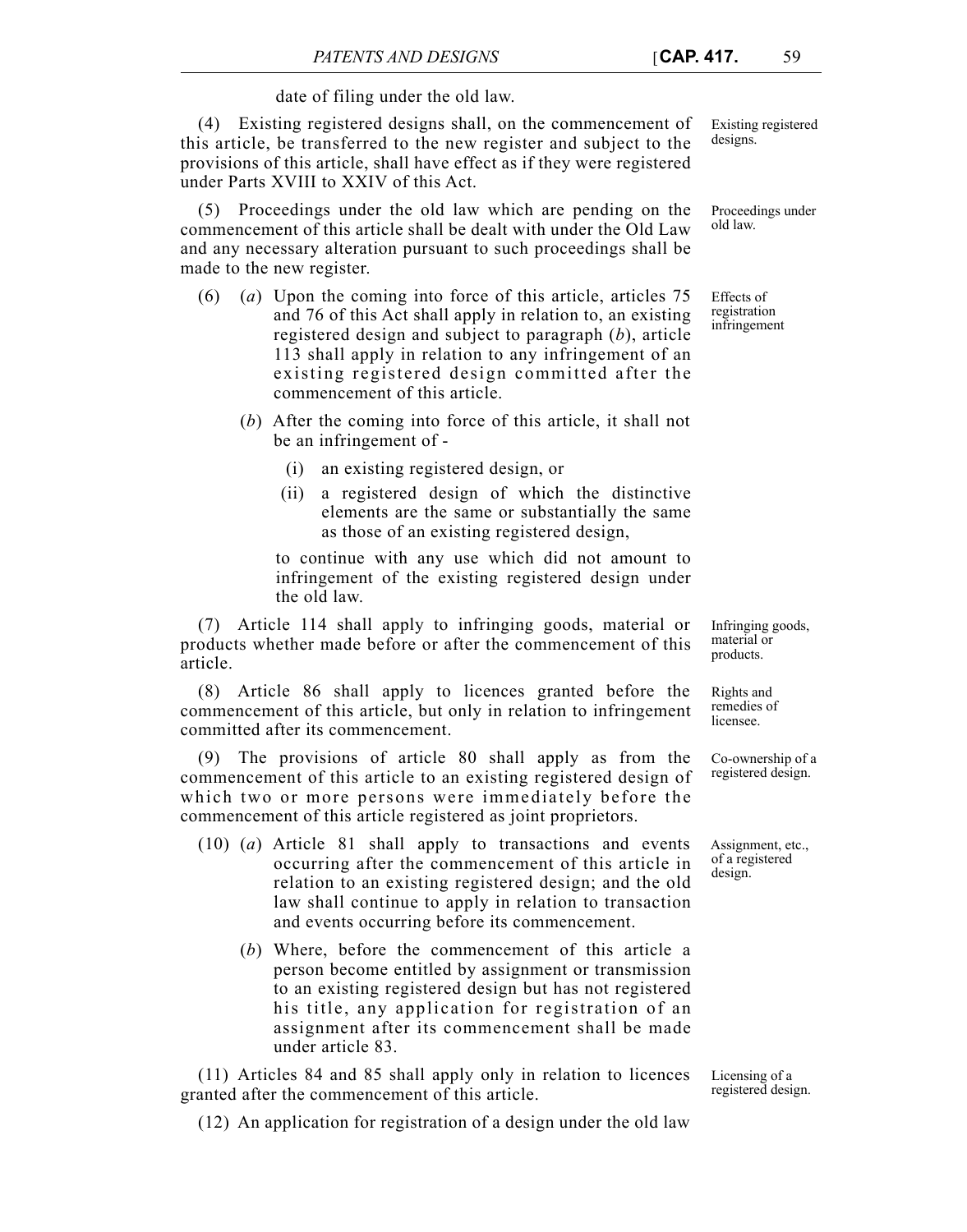# date of filing under the old law.

(4) Existing registered designs shall, on the commencement of this article, be transferred to the new register and subject to the provisions of this article, shall have effect as if they were registered under Parts XVIII to XXIV of this Act.

(5) Proceedings under the old law which are pending on the commencement of this article shall be dealt with under the Old Law and any necessary alteration pursuant to such proceedings shall be made to the new register.

- (6) (*a*) Upon the coming into force of this article, articles 75 and 76 of this Act shall apply in relation to, an existing registered design and subject to paragraph (*b*), article 113 shall apply in relation to any infringement of an existing registered design committed after the commencement of this article.
	- (*b*) After the coming into force of this article, it shall not be an infringement of -
		- (i) an existing registered design, or
		- (ii) a registered design of which the distinctive elements are the same or substantially the same as those of an existing registered design,

to continue with any use which did not amount to infringement of the existing registered design under the old law.

(7) Article 114 shall apply to infringing goods, material or products whether made before or after the commencement of this article.

(8) Article 86 shall apply to licences granted before the commencement of this article, but only in relation to infringement committed after its commencement.

(9) The provisions of article 80 shall apply as from the commencement of this article to an existing registered design of which two or more persons were immediately before the commencement of this article registered as joint proprietors.

- (10) (*a*) Article 81 shall apply to transactions and events occurring after the commencement of this article in relation to an existing registered design; and the old law shall continue to apply in relation to transaction and events occurring before its commencement.
	- (*b*) Where, before the commencement of this article a person become entitled by assignment or transmission to an existing registered design but has not registered his title, any application for registration of an assignment after its commencement shall be made under article 83.

(11) Articles 84 and 85 shall apply only in relation to licences granted after the commencement of this article.

Licensing of a registered design.

(12) An application for registration of a design under the old law

Existing registered designs.

Proceedings under old law.

Effects of registration infringement

Infringing goods, material or products.

Rights and remedies of licensee.

Co-ownership of a registered design.

Assignment, etc., of a registered design.